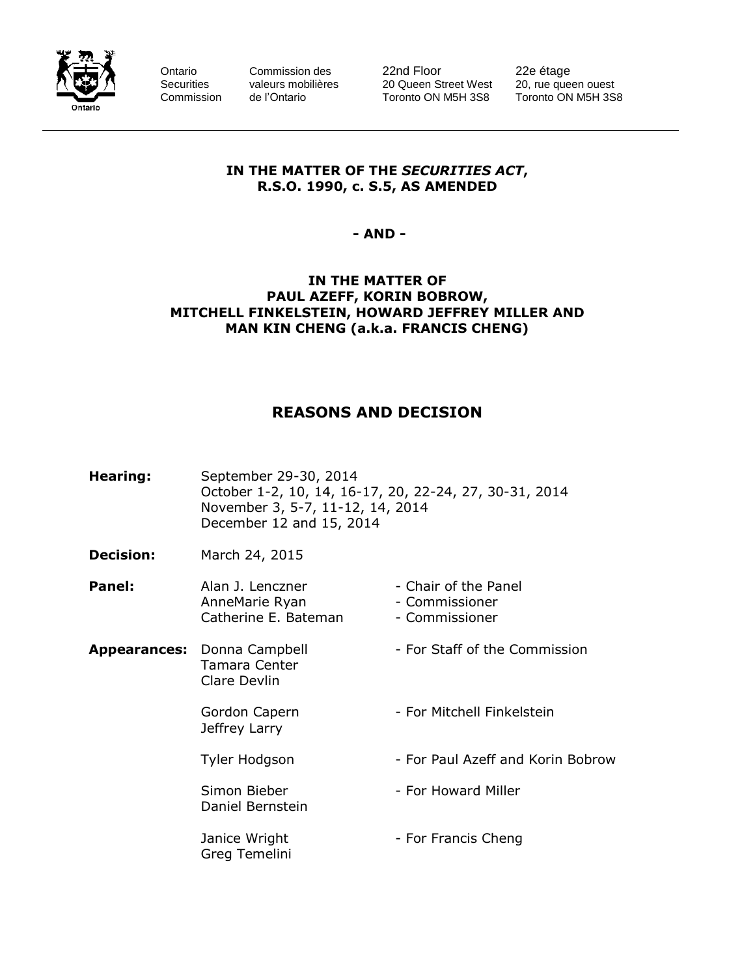

Ontario Commission des 22nd Floor 22e étage<br>
Securities valeurs mobilières 20 Queen Street West 20, rue queen ouest Securities valeurs mobilières 20 Queen Street West 20, rue queen ouest<br>Commission de l'Ontario Toronto ON M5H 3S8 Toronto ON M5H 3S8 Commission de l'Ontario Toronto ON M5H 3S8

#### **IN THE MATTER OF THE** *SECURITIES ACT***, R.S.O. 1990, c. S.5, AS AMENDED**

**- AND -**

#### **IN THE MATTER OF PAUL AZEFF, KORIN BOBROW, MITCHELL FINKELSTEIN, HOWARD JEFFREY MILLER AND MAN KIN CHENG (a.k.a. FRANCIS CHENG)**

# **REASONS AND DECISION**

| Hearing:            | September 29-30, 2014<br>October 1-2, 10, 14, 16-17, 20, 22-24, 27, 30-31, 2014<br>November 3, 5-7, 11-12, 14, 2014<br>December 12 and 15, 2014 |                                                          |  |
|---------------------|-------------------------------------------------------------------------------------------------------------------------------------------------|----------------------------------------------------------|--|
| <b>Decision:</b>    | March 24, 2015                                                                                                                                  |                                                          |  |
| Panel:              | Alan J. Lenczner<br>AnneMarie Ryan<br>Catherine E. Bateman                                                                                      | - Chair of the Panel<br>- Commissioner<br>- Commissioner |  |
| <b>Appearances:</b> | Donna Campbell<br>Tamara Center<br>Clare Devlin                                                                                                 | - For Staff of the Commission                            |  |
|                     | Gordon Capern<br>Jeffrey Larry                                                                                                                  | - For Mitchell Finkelstein                               |  |
|                     | Tyler Hodgson                                                                                                                                   | - For Paul Azeff and Korin Bobrow                        |  |
|                     | Simon Bieber<br>Daniel Bernstein                                                                                                                | - For Howard Miller                                      |  |
|                     | Janice Wright<br>Greg Temelini                                                                                                                  | - For Francis Cheng                                      |  |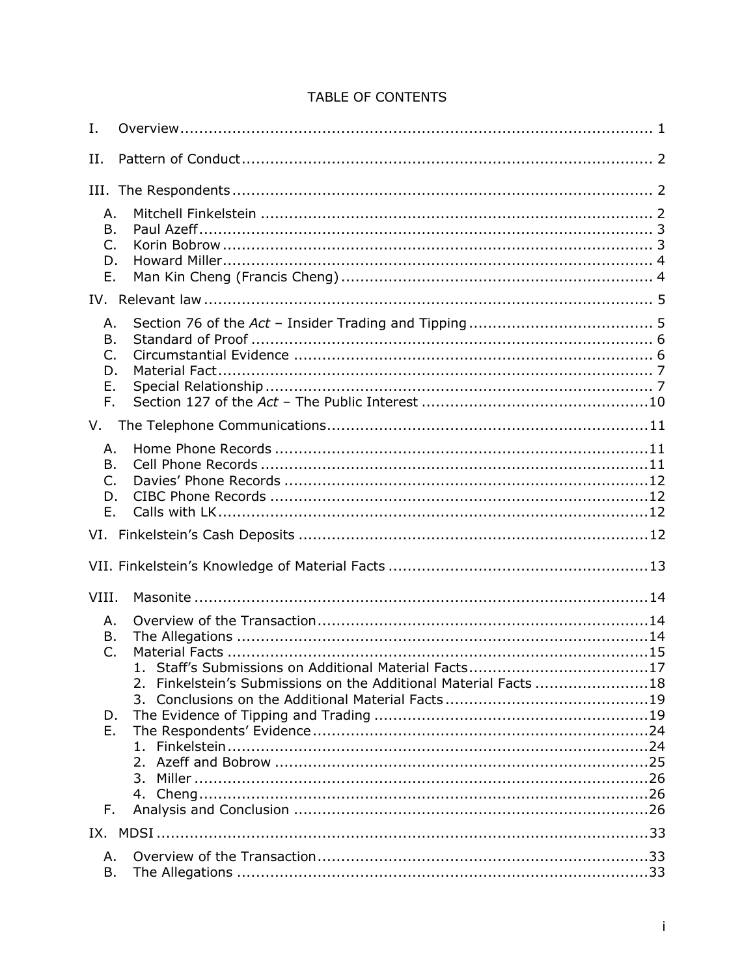| <b>TABLE OF CONTENTS</b> |  |  |
|--------------------------|--|--|
|                          |  |  |

| Ι.                               |                                                                  |
|----------------------------------|------------------------------------------------------------------|
| Н.                               |                                                                  |
|                                  |                                                                  |
| Α.<br>B.<br>C.<br>D.<br>Е.       |                                                                  |
|                                  |                                                                  |
| Α.<br>B.<br>C.<br>D.<br>Е.<br>F. |                                                                  |
| V.                               |                                                                  |
| А.<br>B.<br>C.<br>D.<br>Ε.       |                                                                  |
|                                  |                                                                  |
|                                  |                                                                  |
| VIII.                            |                                                                  |
| Α.                               |                                                                  |
| Β.<br>C.                         |                                                                  |
|                                  | 2. Finkelstein's Submissions on the Additional Material Facts 18 |
| D.<br>Е.                         |                                                                  |
| F.                               |                                                                  |
|                                  |                                                                  |
| Α.<br>Β.                         |                                                                  |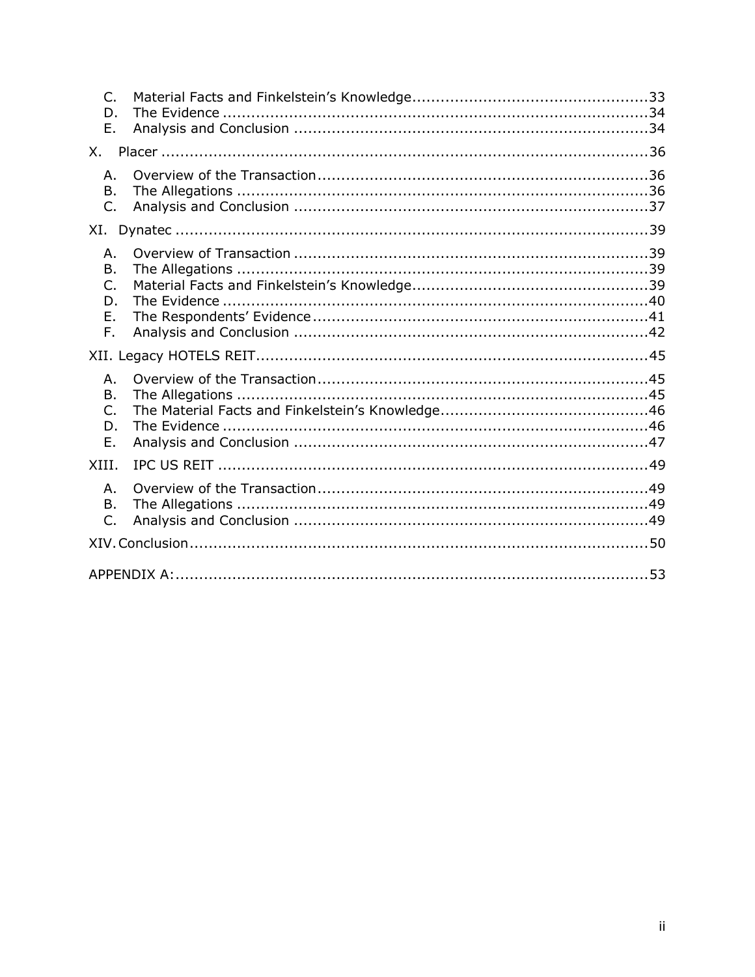| $\subset$<br>D.<br>Ε.                        |  |  |
|----------------------------------------------|--|--|
| X.                                           |  |  |
| Α.<br><b>B.</b><br>$\mathsf{C}$ .            |  |  |
|                                              |  |  |
| Α.<br>B.<br>$\mathsf{C}$ .<br>D.<br>Е.<br>F. |  |  |
|                                              |  |  |
| Α.<br>В.<br>C.<br>D.<br>Ε.                   |  |  |
| XIII.                                        |  |  |
| Α.<br>B.<br>$\mathsf{C}$ .                   |  |  |
|                                              |  |  |
|                                              |  |  |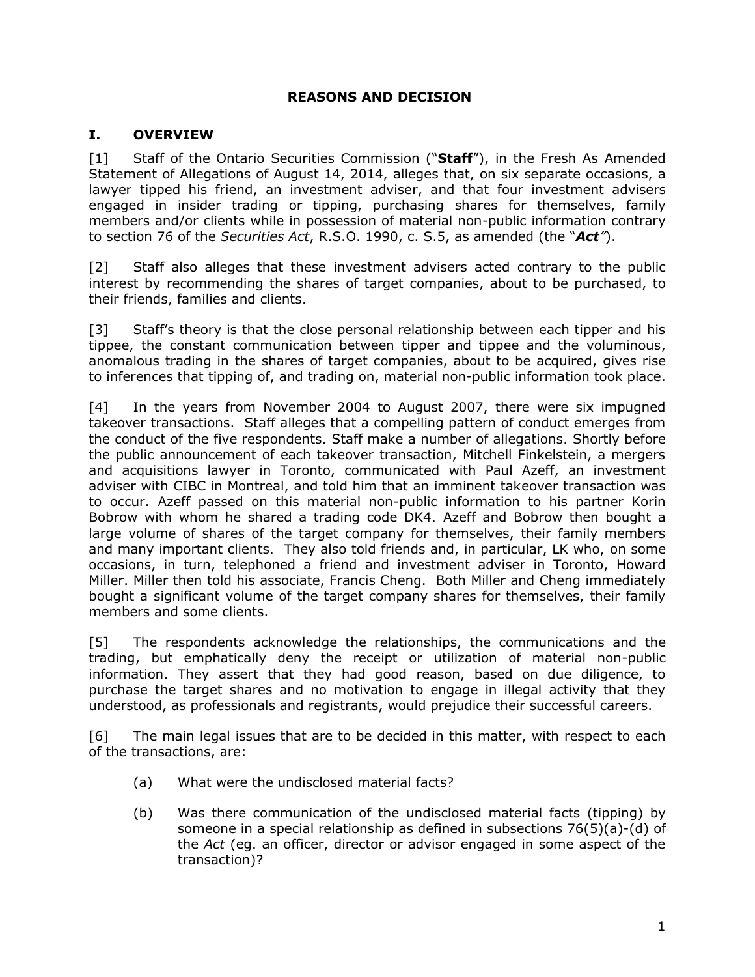### **REASONS AND DECISION**

#### <span id="page-3-0"></span>**I. OVERVIEW**

[1] Staff of the Ontario Securities Commission ("**Staff**"), in the Fresh As Amended Statement of Allegations of August 14, 2014, alleges that, on six separate occasions, a lawyer tipped his friend, an investment adviser, and that four investment advisers engaged in insider trading or tipping, purchasing shares for themselves, family members and/or clients while in possession of material non-public information contrary to section 76 of the *Securities Act*, R.S.O. 1990, c. S.5, as amended (the "*Act"*).

[2] Staff also alleges that these investment advisers acted contrary to the public interest by recommending the shares of target companies, about to be purchased, to their friends, families and clients.

[3] Staff's theory is that the close personal relationship between each tipper and his tippee, the constant communication between tipper and tippee and the voluminous, anomalous trading in the shares of target companies, about to be acquired, gives rise to inferences that tipping of, and trading on, material non-public information took place.

[4] In the years from November 2004 to August 2007, there were six impugned takeover transactions. Staff alleges that a compelling pattern of conduct emerges from the conduct of the five respondents. Staff make a number of allegations. Shortly before the public announcement of each takeover transaction, Mitchell Finkelstein, a mergers and acquisitions lawyer in Toronto, communicated with Paul Azeff, an investment adviser with CIBC in Montreal, and told him that an imminent takeover transaction was to occur. Azeff passed on this material non-public information to his partner Korin Bobrow with whom he shared a trading code DK4. Azeff and Bobrow then bought a large volume of shares of the target company for themselves, their family members and many important clients. They also told friends and, in particular, LK who, on some occasions, in turn, telephoned a friend and investment adviser in Toronto, Howard Miller. Miller then told his associate, Francis Cheng. Both Miller and Cheng immediately bought a significant volume of the target company shares for themselves, their family members and some clients.

[5] The respondents acknowledge the relationships, the communications and the trading, but emphatically deny the receipt or utilization of material non-public information. They assert that they had good reason, based on due diligence, to purchase the target shares and no motivation to engage in illegal activity that they understood, as professionals and registrants, would prejudice their successful careers.

[6] The main legal issues that are to be decided in this matter, with respect to each of the transactions, are:

- (a) What were the undisclosed material facts?
- (b) Was there communication of the undisclosed material facts (tipping) by someone in a special relationship as defined in subsections 76(5)(a)-(d) of the *Act* (eg. an officer, director or advisor engaged in some aspect of the transaction)?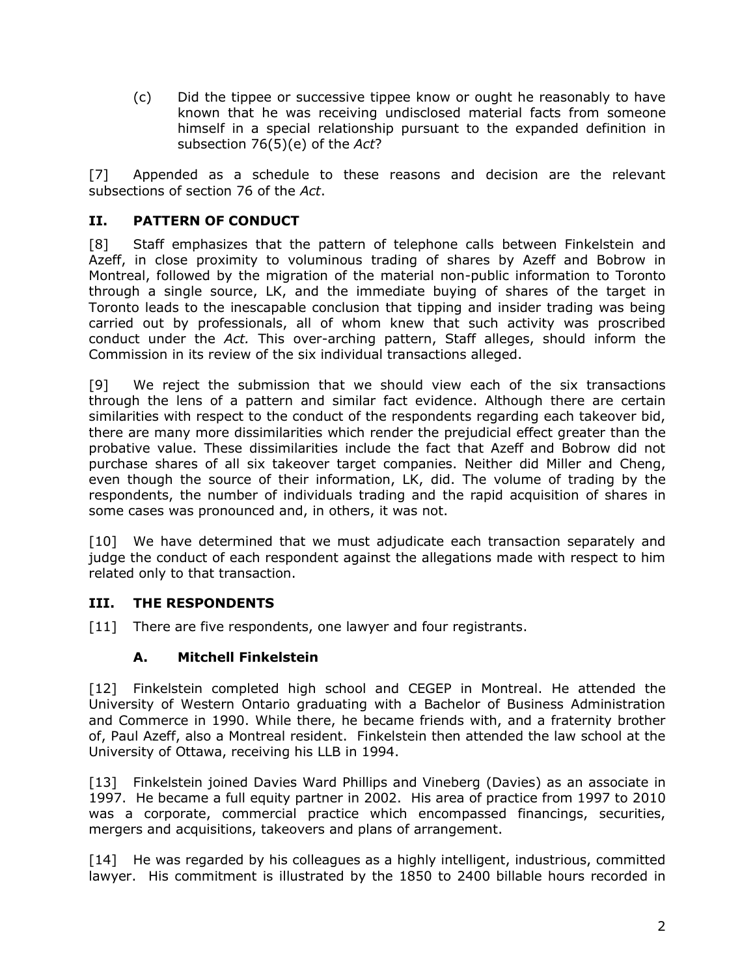(c) Did the tippee or successive tippee know or ought he reasonably to have known that he was receiving undisclosed material facts from someone himself in a special relationship pursuant to the expanded definition in subsection 76(5)(e) of the *Act*?

[7] Appended as a schedule to these reasons and decision are the relevant subsections of section 76 of the *Act*.

### <span id="page-4-0"></span>**II. PATTERN OF CONDUCT**

[8] Staff emphasizes that the pattern of telephone calls between Finkelstein and Azeff, in close proximity to voluminous trading of shares by Azeff and Bobrow in Montreal, followed by the migration of the material non-public information to Toronto through a single source, LK, and the immediate buying of shares of the target in Toronto leads to the inescapable conclusion that tipping and insider trading was being carried out by professionals, all of whom knew that such activity was proscribed conduct under the *Act.* This over-arching pattern, Staff alleges, should inform the Commission in its review of the six individual transactions alleged.

[9] We reject the submission that we should view each of the six transactions through the lens of a pattern and similar fact evidence. Although there are certain similarities with respect to the conduct of the respondents regarding each takeover bid, there are many more dissimilarities which render the prejudicial effect greater than the probative value. These dissimilarities include the fact that Azeff and Bobrow did not purchase shares of all six takeover target companies. Neither did Miller and Cheng, even though the source of their information, LK, did. The volume of trading by the respondents, the number of individuals trading and the rapid acquisition of shares in some cases was pronounced and, in others, it was not.

[10] We have determined that we must adjudicate each transaction separately and judge the conduct of each respondent against the allegations made with respect to him related only to that transaction.

### <span id="page-4-1"></span>**III. THE RESPONDENTS**

<span id="page-4-2"></span>[11] There are five respondents, one lawyer and four registrants.

### **A. Mitchell Finkelstein**

[12] Finkelstein completed high school and CEGEP in Montreal. He attended the University of Western Ontario graduating with a Bachelor of Business Administration and Commerce in 1990. While there, he became friends with, and a fraternity brother of, Paul Azeff, also a Montreal resident. Finkelstein then attended the law school at the University of Ottawa, receiving his LLB in 1994.

[13] Finkelstein joined Davies Ward Phillips and Vineberg (Davies) as an associate in 1997. He became a full equity partner in 2002. His area of practice from 1997 to 2010 was a corporate, commercial practice which encompassed financings, securities, mergers and acquisitions, takeovers and plans of arrangement.

[14] He was regarded by his colleagues as a highly intelligent, industrious, committed lawyer. His commitment is illustrated by the 1850 to 2400 billable hours recorded in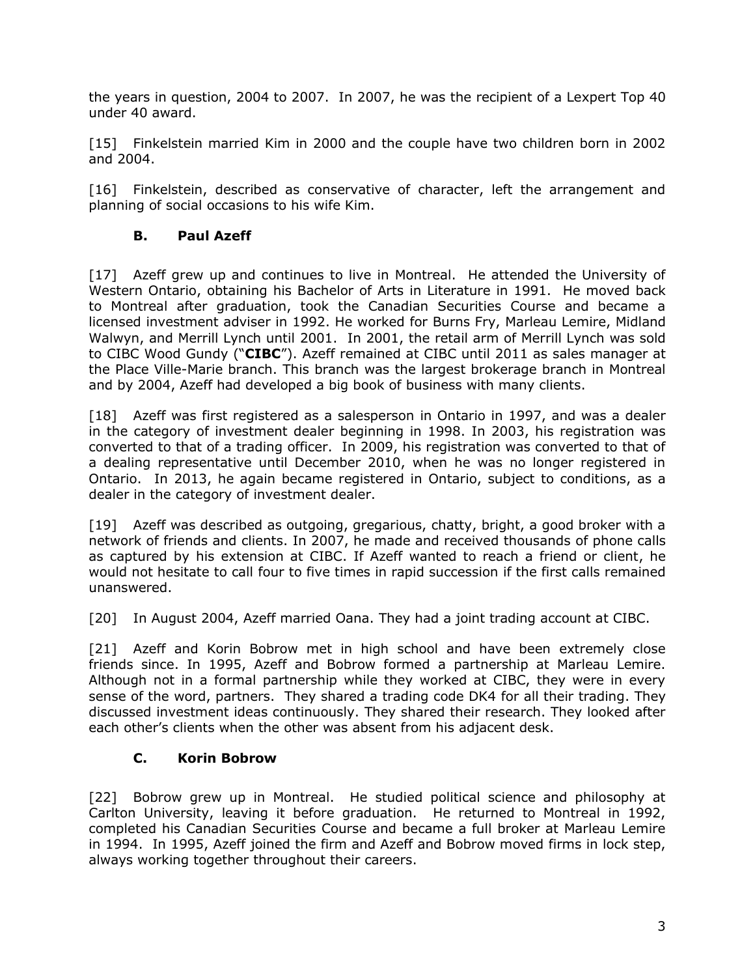the years in question, 2004 to 2007. In 2007, he was the recipient of a Lexpert Top 40 under 40 award.

[15] Finkelstein married Kim in 2000 and the couple have two children born in 2002 and 2004.

[16] Finkelstein, described as conservative of character, left the arrangement and planning of social occasions to his wife Kim.

### **B. Paul Azeff**

<span id="page-5-0"></span>[17] Azeff grew up and continues to live in Montreal. He attended the University of Western Ontario, obtaining his Bachelor of Arts in Literature in 1991. He moved back to Montreal after graduation, took the Canadian Securities Course and became a licensed investment adviser in 1992. He worked for Burns Fry, Marleau Lemire, Midland Walwyn, and Merrill Lynch until 2001. In 2001, the retail arm of Merrill Lynch was sold to CIBC Wood Gundy ("**CIBC**"). Azeff remained at CIBC until 2011 as sales manager at the Place Ville-Marie branch. This branch was the largest brokerage branch in Montreal and by 2004, Azeff had developed a big book of business with many clients.

[18] Azeff was first registered as a salesperson in Ontario in 1997, and was a dealer in the category of investment dealer beginning in 1998. In 2003, his registration was converted to that of a trading officer. In 2009, his registration was converted to that of a dealing representative until December 2010, when he was no longer registered in Ontario. In 2013, he again became registered in Ontario, subject to conditions, as a dealer in the category of investment dealer.

[19] Azeff was described as outgoing, gregarious, chatty, bright, a good broker with a network of friends and clients. In 2007, he made and received thousands of phone calls as captured by his extension at CIBC. If Azeff wanted to reach a friend or client, he would not hesitate to call four to five times in rapid succession if the first calls remained unanswered.

[20] In August 2004, Azeff married Oana. They had a joint trading account at CIBC.

[21] Azeff and Korin Bobrow met in high school and have been extremely close friends since. In 1995, Azeff and Bobrow formed a partnership at Marleau Lemire. Although not in a formal partnership while they worked at CIBC, they were in every sense of the word, partners. They shared a trading code DK4 for all their trading. They discussed investment ideas continuously. They shared their research. They looked after each other's clients when the other was absent from his adjacent desk.

### **C. Korin Bobrow**

<span id="page-5-1"></span>[22] Bobrow grew up in Montreal. He studied political science and philosophy at Carlton University, leaving it before graduation. He returned to Montreal in 1992, completed his Canadian Securities Course and became a full broker at Marleau Lemire in 1994. In 1995, Azeff joined the firm and Azeff and Bobrow moved firms in lock step, always working together throughout their careers.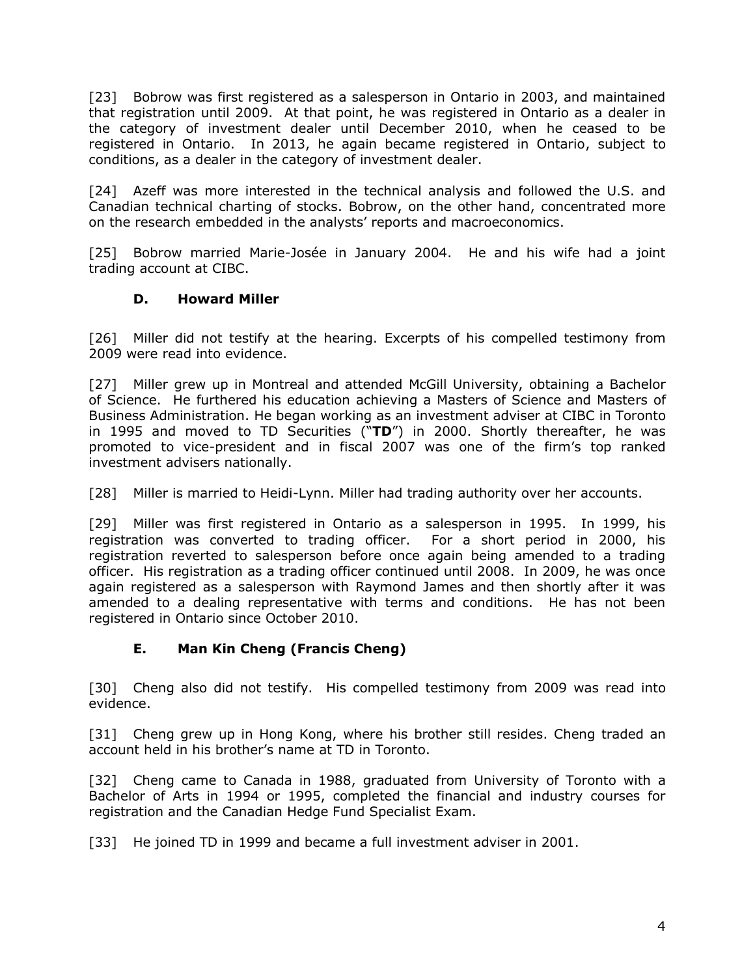[23] Bobrow was first registered as a salesperson in Ontario in 2003, and maintained that registration until 2009. At that point, he was registered in Ontario as a dealer in the category of investment dealer until December 2010, when he ceased to be registered in Ontario. In 2013, he again became registered in Ontario, subject to conditions, as a dealer in the category of investment dealer.

[24] Azeff was more interested in the technical analysis and followed the U.S. and Canadian technical charting of stocks. Bobrow, on the other hand, concentrated more on the research embedded in the analysts' reports and macroeconomics.

[25] Bobrow married Marie-Josée in January 2004. He and his wife had a joint trading account at CIBC.

### **D. Howard Miller**

<span id="page-6-0"></span>[26] Miller did not testify at the hearing. Excerpts of his compelled testimony from 2009 were read into evidence.

[27] Miller grew up in Montreal and attended McGill University, obtaining a Bachelor of Science. He furthered his education achieving a Masters of Science and Masters of Business Administration. He began working as an investment adviser at CIBC in Toronto in 1995 and moved to TD Securities ("**TD**") in 2000. Shortly thereafter, he was promoted to vice-president and in fiscal 2007 was one of the firm's top ranked investment advisers nationally.

[28] Miller is married to Heidi-Lynn. Miller had trading authority over her accounts.

[29] Miller was first registered in Ontario as a salesperson in 1995. In 1999, his registration was converted to trading officer. For a short period in 2000, his registration reverted to salesperson before once again being amended to a trading officer. His registration as a trading officer continued until 2008. In 2009, he was once again registered as a salesperson with Raymond James and then shortly after it was amended to a dealing representative with terms and conditions. He has not been registered in Ontario since October 2010.

### **E. Man Kin Cheng (Francis Cheng)**

<span id="page-6-1"></span>[30] Cheng also did not testify. His compelled testimony from 2009 was read into evidence.

[31] Cheng grew up in Hong Kong, where his brother still resides. Cheng traded an account held in his brother's name at TD in Toronto.

[32] Cheng came to Canada in 1988, graduated from University of Toronto with a Bachelor of Arts in 1994 or 1995, completed the financial and industry courses for registration and the Canadian Hedge Fund Specialist Exam.

[33] He joined TD in 1999 and became a full investment adviser in 2001.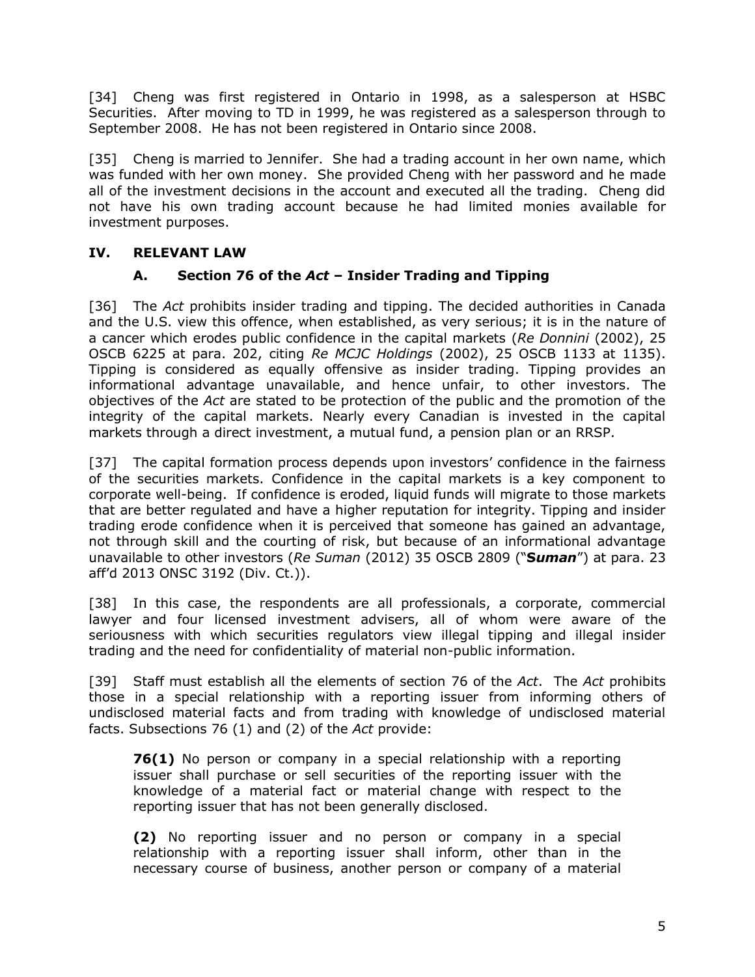[34] Cheng was first registered in Ontario in 1998, as a salesperson at HSBC Securities. After moving to TD in 1999, he was registered as a salesperson through to September 2008. He has not been registered in Ontario since 2008.

[35] Cheng is married to Jennifer. She had a trading account in her own name, which was funded with her own money. She provided Cheng with her password and he made all of the investment decisions in the account and executed all the trading. Cheng did not have his own trading account because he had limited monies available for investment purposes.

### <span id="page-7-1"></span><span id="page-7-0"></span>**IV. RELEVANT LAW**

## **A. Section 76 of the** *Act* **– Insider Trading and Tipping**

[36] The *Act* prohibits insider trading and tipping. The decided authorities in Canada and the U.S. view this offence, when established, as very serious; it is in the nature of a cancer which erodes public confidence in the capital markets (*Re Donnini* (2002), 25 OSCB 6225 at para. 202, citing *Re MCJC Holdings* (2002), 25 OSCB 1133 at 1135). Tipping is considered as equally offensive as insider trading. Tipping provides an informational advantage unavailable, and hence unfair, to other investors. The objectives of the *Act* are stated to be protection of the public and the promotion of the integrity of the capital markets. Nearly every Canadian is invested in the capital markets through a direct investment, a mutual fund, a pension plan or an RRSP.

[37] The capital formation process depends upon investors' confidence in the fairness of the securities markets. Confidence in the capital markets is a key component to corporate well-being. If confidence is eroded, liquid funds will migrate to those markets that are better regulated and have a higher reputation for integrity. Tipping and insider trading erode confidence when it is perceived that someone has gained an advantage, not through skill and the courting of risk, but because of an informational advantage unavailable to other investors (*Re Suman* (2012) 35 OSCB 2809 ("**S***uman*") at para. 23 aff'd 2013 ONSC 3192 (Div. Ct.)).

[38] In this case, the respondents are all professionals, a corporate, commercial lawyer and four licensed investment advisers, all of whom were aware of the seriousness with which securities regulators view illegal tipping and illegal insider trading and the need for confidentiality of material non-public information.

[39] Staff must establish all the elements of section 76 of the *Act*. The *Act* prohibits those in a special relationship with a reporting issuer from informing others of undisclosed material facts and from trading with knowledge of undisclosed material facts. Subsections 76 (1) and (2) of the *Act* provide:

**76(1)** No person or company in a special relationship with a reporting issuer shall purchase or sell securities of the reporting issuer with the knowledge of a material fact or material change with respect to the reporting issuer that has not been generally disclosed.

**(2)** No reporting issuer and no person or company in a special relationship with a reporting issuer shall inform, other than in the necessary course of business, another person or company of a material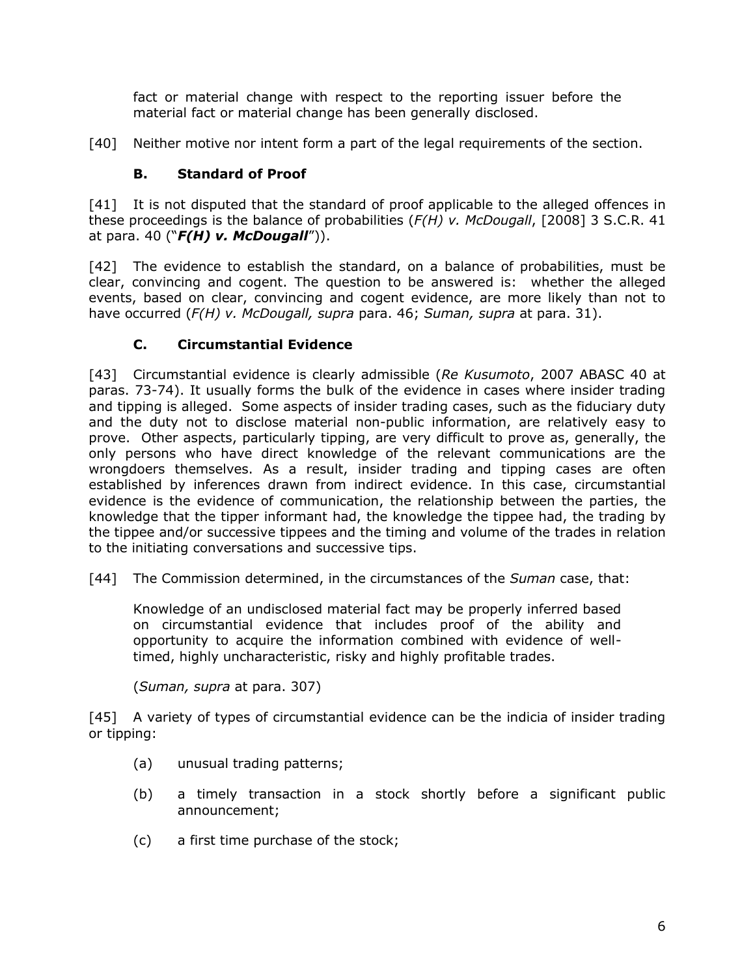fact or material change with respect to the reporting issuer before the material fact or material change has been generally disclosed.

[40] Neither motive nor intent form a part of the legal requirements of the section.

## **B. Standard of Proof**

<span id="page-8-0"></span>[41] It is not disputed that the standard of proof applicable to the alleged offences in these proceedings is the balance of probabilities (*F(H) v. McDougall*, [2008] 3 S.C.R. 41 at para. 40 ("*F(H) v. McDougall*")).

[42] The evidence to establish the standard, on a balance of probabilities, must be clear, convincing and cogent. The question to be answered is: whether the alleged events, based on clear, convincing and cogent evidence, are more likely than not to have occurred (*F(H) v. McDougall, supra* para. 46; *Suman, supra* at para. 31).

## **C. Circumstantial Evidence**

<span id="page-8-1"></span>[43] Circumstantial evidence is clearly admissible (*Re Kusumoto*, 2007 ABASC 40 at paras. 73-74). It usually forms the bulk of the evidence in cases where insider trading and tipping is alleged. Some aspects of insider trading cases, such as the fiduciary duty and the duty not to disclose material non-public information, are relatively easy to prove. Other aspects, particularly tipping, are very difficult to prove as, generally, the only persons who have direct knowledge of the relevant communications are the wrongdoers themselves. As a result, insider trading and tipping cases are often established by inferences drawn from indirect evidence. In this case, circumstantial evidence is the evidence of communication, the relationship between the parties, the knowledge that the tipper informant had, the knowledge the tippee had, the trading by the tippee and/or successive tippees and the timing and volume of the trades in relation to the initiating conversations and successive tips.

[44] The Commission determined, in the circumstances of the *Suman* case, that:

Knowledge of an undisclosed material fact may be properly inferred based on circumstantial evidence that includes proof of the ability and opportunity to acquire the information combined with evidence of welltimed, highly uncharacteristic, risky and highly profitable trades.

(*Suman, supra* at para. 307)

[45] A variety of types of circumstantial evidence can be the indicia of insider trading or tipping:

- (a) unusual trading patterns;
- (b) a timely transaction in a stock shortly before a significant public announcement;
- (c) a first time purchase of the stock;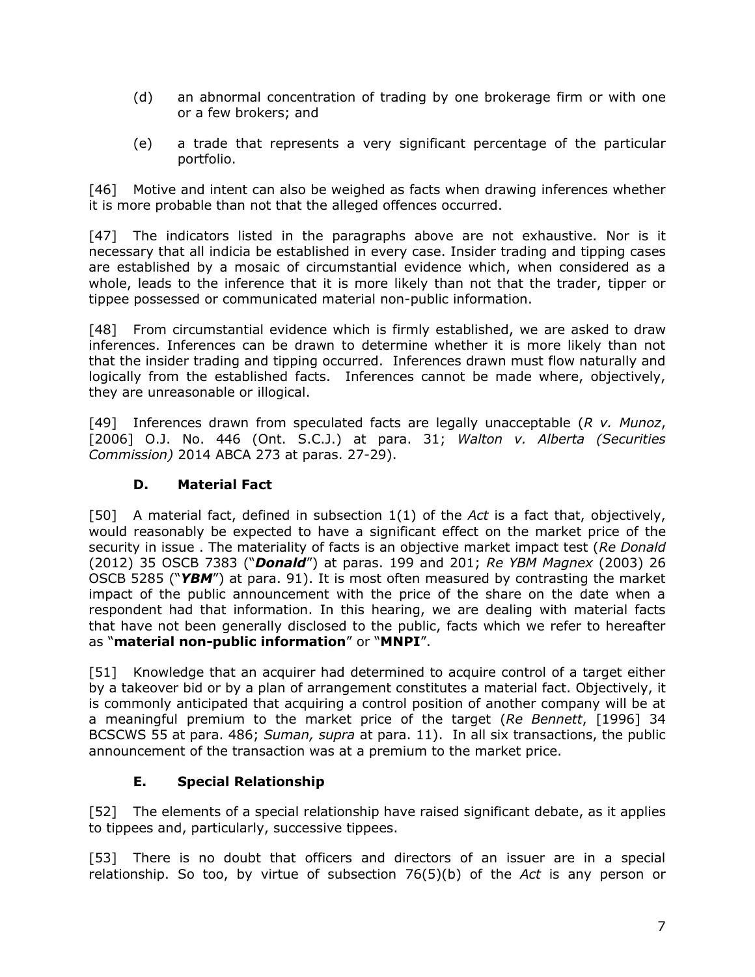- (d) an abnormal concentration of trading by one brokerage firm or with one or a few brokers; and
- (e) a trade that represents a very significant percentage of the particular portfolio.

[46] Motive and intent can also be weighed as facts when drawing inferences whether it is more probable than not that the alleged offences occurred.

[47] The indicators listed in the paragraphs above are not exhaustive. Nor is it necessary that all indicia be established in every case. Insider trading and tipping cases are established by a mosaic of circumstantial evidence which, when considered as a whole, leads to the inference that it is more likely than not that the trader, tipper or tippee possessed or communicated material non-public information.

[48] From circumstantial evidence which is firmly established, we are asked to draw inferences. Inferences can be drawn to determine whether it is more likely than not that the insider trading and tipping occurred. Inferences drawn must flow naturally and logically from the established facts. Inferences cannot be made where, objectively, they are unreasonable or illogical.

[49] Inferences drawn from speculated facts are legally unacceptable (*R v. Munoz*, [2006] O.J. No. 446 (Ont. S.C.J.) at para. 31; *Walton v. Alberta (Securities Commission)* 2014 ABCA 273 at paras. 27-29).

### **D. Material Fact**

<span id="page-9-0"></span>[50] A material fact, defined in subsection 1(1) of the *Act* is a fact that, objectively, would reasonably be expected to have a significant effect on the market price of the security in issue . The materiality of facts is an objective market impact test (*Re Donald* (2012) 35 OSCB 7383 ("*Donald*") at paras. 199 and 201; *Re YBM Magnex* (2003) 26 OSCB 5285 ("*YBM*") at para. 91). It is most often measured by contrasting the market impact of the public announcement with the price of the share on the date when a respondent had that information. In this hearing, we are dealing with material facts that have not been generally disclosed to the public, facts which we refer to hereafter as "**material non-public information**" or "**MNPI**".

[51] Knowledge that an acquirer had determined to acquire control of a target either by a takeover bid or by a plan of arrangement constitutes a material fact. Objectively, it is commonly anticipated that acquiring a control position of another company will be at a meaningful premium to the market price of the target (*Re Bennett*, [1996] 34 BCSCWS 55 at para. 486; *Suman, supra* at para. 11). In all six transactions, the public announcement of the transaction was at a premium to the market price.

### **E. Special Relationship**

<span id="page-9-1"></span>[52] The elements of a special relationship have raised significant debate, as it applies to tippees and, particularly, successive tippees.

[53] There is no doubt that officers and directors of an issuer are in a special relationship. So too, by virtue of subsection 76(5)(b) of the *Act* is any person or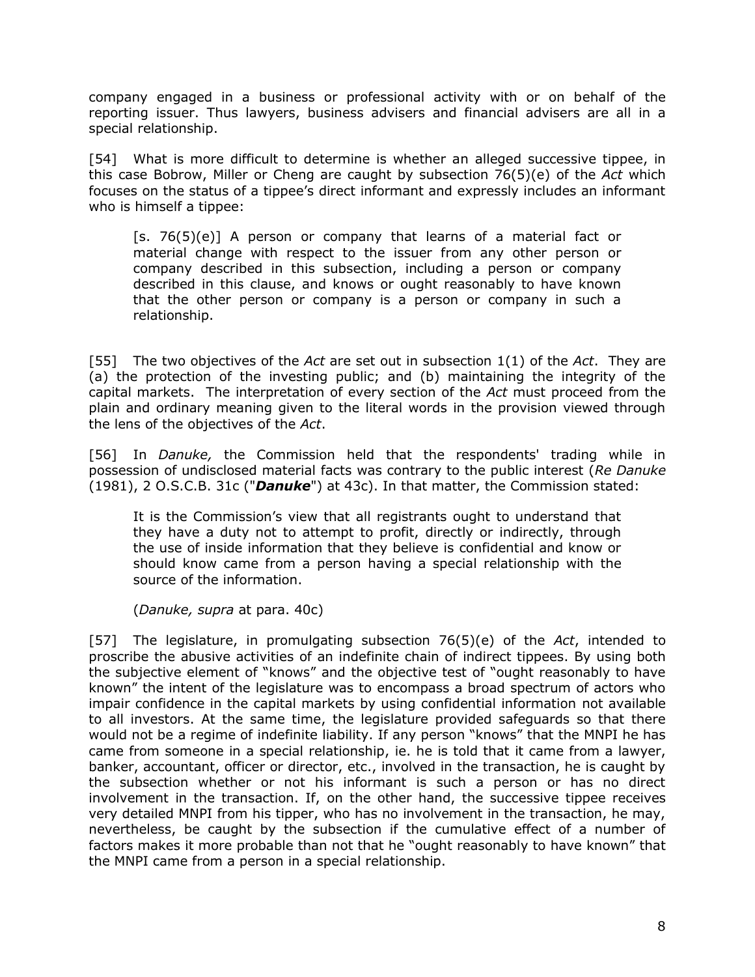company engaged in a business or professional activity with or on behalf of the reporting issuer. Thus lawyers, business advisers and financial advisers are all in a special relationship.

[54] What is more difficult to determine is whether an alleged successive tippee, in this case Bobrow, Miller or Cheng are caught by subsection 76(5)(e) of the *Act* which focuses on the status of a tippee's direct informant and expressly includes an informant who is himself a tippee:

 $[s. 76(5)(e)]$  A person or company that learns of a material fact or material change with respect to the issuer from any other person or company described in this subsection, including a person or company described in this clause, and knows or ought reasonably to have known that the other person or company is a person or company in such a relationship.

[55] The two objectives of the *Act* are set out in subsection 1(1) of the *Act*. They are (a) the protection of the investing public; and (b) maintaining the integrity of the capital markets. The interpretation of every section of the *Act* must proceed from the plain and ordinary meaning given to the literal words in the provision viewed through the lens of the objectives of the *Act*.

[56] In *Danuke,* the Commission held that the respondents' trading while in possession of undisclosed material facts was contrary to the public interest (*Re Danuke* (1981), 2 O.S.C.B. 31c ("*Danuke*") at 43c). In that matter, the Commission stated:

It is the Commission's view that all registrants ought to understand that they have a duty not to attempt to profit, directly or indirectly, through the use of inside information that they believe is confidential and know or should know came from a person having a special relationship with the source of the information.

(*Danuke, supra* at para. 40c)

[57] The legislature, in promulgating subsection 76(5)(e) of the *Act*, intended to proscribe the abusive activities of an indefinite chain of indirect tippees. By using both the subjective element of "knows" and the objective test of "ought reasonably to have known" the intent of the legislature was to encompass a broad spectrum of actors who impair confidence in the capital markets by using confidential information not available to all investors. At the same time, the legislature provided safeguards so that there would not be a regime of indefinite liability. If any person "knows" that the MNPI he has came from someone in a special relationship, ie. he is told that it came from a lawyer, banker, accountant, officer or director, etc., involved in the transaction, he is caught by the subsection whether or not his informant is such a person or has no direct involvement in the transaction. If, on the other hand, the successive tippee receives very detailed MNPI from his tipper, who has no involvement in the transaction, he may, nevertheless, be caught by the subsection if the cumulative effect of a number of factors makes it more probable than not that he "ought reasonably to have known" that the MNPI came from a person in a special relationship.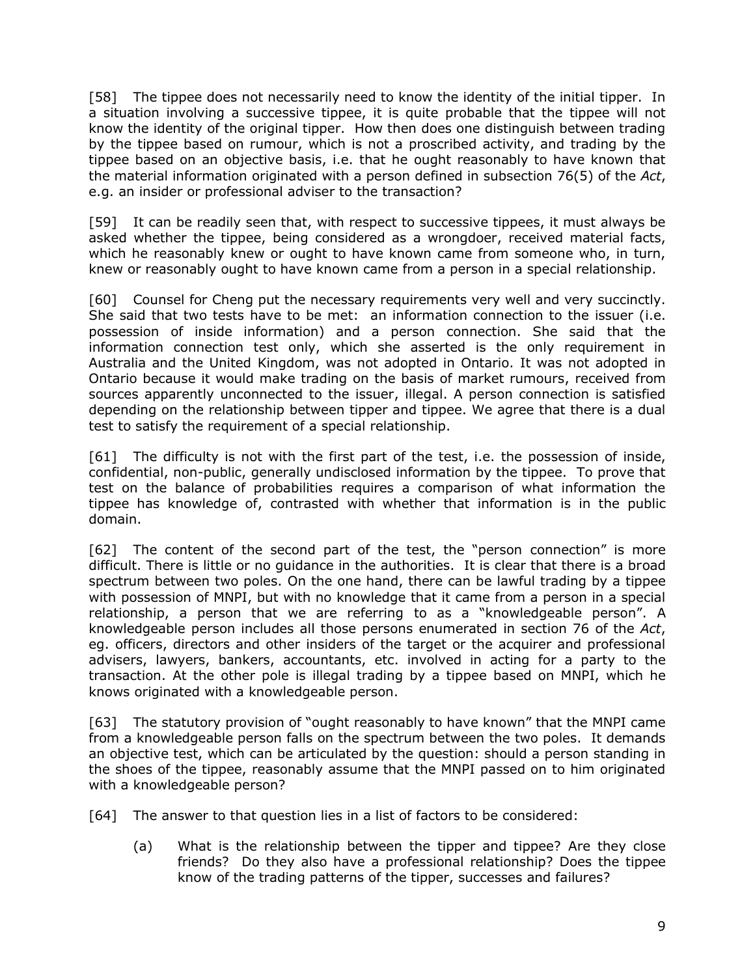[58] The tippee does not necessarily need to know the identity of the initial tipper. In a situation involving a successive tippee, it is quite probable that the tippee will not know the identity of the original tipper. How then does one distinguish between trading by the tippee based on rumour, which is not a proscribed activity, and trading by the tippee based on an objective basis, i.e. that he ought reasonably to have known that the material information originated with a person defined in subsection 76(5) of the *Act*, e.g. an insider or professional adviser to the transaction?

[59] It can be readily seen that, with respect to successive tippees, it must always be asked whether the tippee, being considered as a wrongdoer, received material facts, which he reasonably knew or ought to have known came from someone who, in turn, knew or reasonably ought to have known came from a person in a special relationship.

[60] Counsel for Cheng put the necessary requirements very well and very succinctly. She said that two tests have to be met: an information connection to the issuer (i.e. possession of inside information) and a person connection. She said that the information connection test only, which she asserted is the only requirement in Australia and the United Kingdom, was not adopted in Ontario. It was not adopted in Ontario because it would make trading on the basis of market rumours, received from sources apparently unconnected to the issuer, illegal. A person connection is satisfied depending on the relationship between tipper and tippee. We agree that there is a dual test to satisfy the requirement of a special relationship.

[61] The difficulty is not with the first part of the test, i.e. the possession of inside, confidential, non-public, generally undisclosed information by the tippee. To prove that test on the balance of probabilities requires a comparison of what information the tippee has knowledge of, contrasted with whether that information is in the public domain.

[62] The content of the second part of the test, the "person connection" is more difficult. There is little or no guidance in the authorities. It is clear that there is a broad spectrum between two poles. On the one hand, there can be lawful trading by a tippee with possession of MNPI, but with no knowledge that it came from a person in a special relationship, a person that we are referring to as a "knowledgeable person". A knowledgeable person includes all those persons enumerated in section 76 of the *Act*, eg. officers, directors and other insiders of the target or the acquirer and professional advisers, lawyers, bankers, accountants, etc. involved in acting for a party to the transaction. At the other pole is illegal trading by a tippee based on MNPI, which he knows originated with a knowledgeable person.

[63] The statutory provision of "ought reasonably to have known" that the MNPI came from a knowledgeable person falls on the spectrum between the two poles. It demands an objective test, which can be articulated by the question: should a person standing in the shoes of the tippee, reasonably assume that the MNPI passed on to him originated with a knowledgeable person?

[64] The answer to that question lies in a list of factors to be considered:

(a) What is the relationship between the tipper and tippee? Are they close friends? Do they also have a professional relationship? Does the tippee know of the trading patterns of the tipper, successes and failures?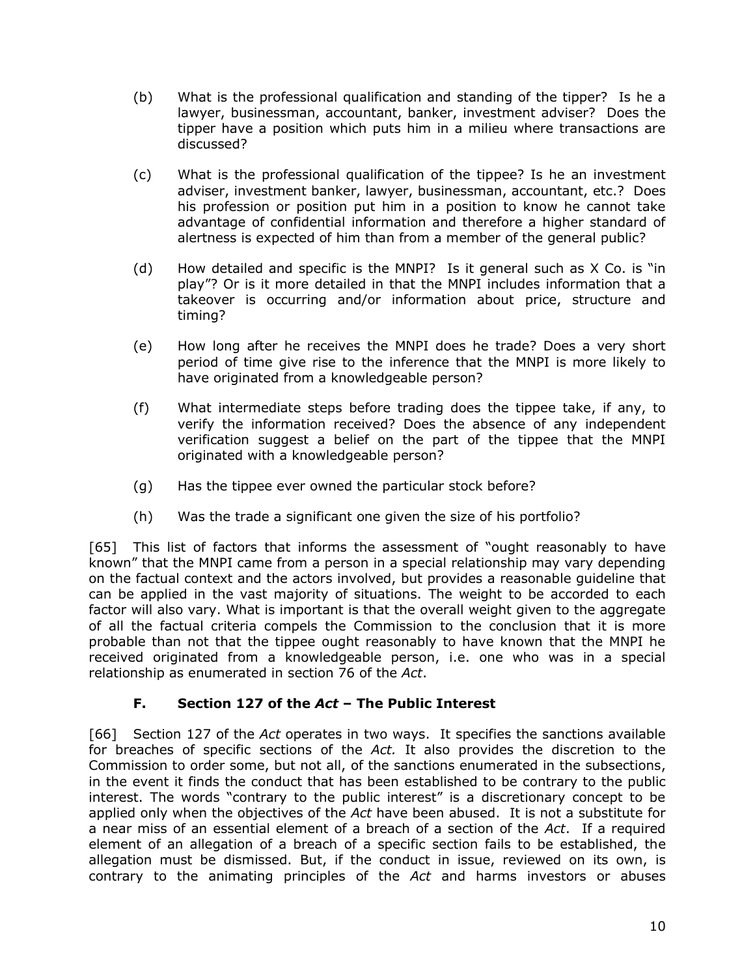- (b) What is the professional qualification and standing of the tipper? Is he a lawyer, businessman, accountant, banker, investment adviser? Does the tipper have a position which puts him in a milieu where transactions are discussed?
- (c) What is the professional qualification of the tippee? Is he an investment adviser, investment banker, lawyer, businessman, accountant, etc.? Does his profession or position put him in a position to know he cannot take advantage of confidential information and therefore a higher standard of alertness is expected of him than from a member of the general public?
- (d) How detailed and specific is the MNPI? Is it general such as X Co. is "in play"? Or is it more detailed in that the MNPI includes information that a takeover is occurring and/or information about price, structure and timing?
- (e) How long after he receives the MNPI does he trade? Does a very short period of time give rise to the inference that the MNPI is more likely to have originated from a knowledgeable person?
- (f) What intermediate steps before trading does the tippee take, if any, to verify the information received? Does the absence of any independent verification suggest a belief on the part of the tippee that the MNPI originated with a knowledgeable person?
- (g) Has the tippee ever owned the particular stock before?
- (h) Was the trade a significant one given the size of his portfolio?

[65] This list of factors that informs the assessment of "ought reasonably to have known" that the MNPI came from a person in a special relationship may vary depending on the factual context and the actors involved, but provides a reasonable guideline that can be applied in the vast majority of situations. The weight to be accorded to each factor will also vary. What is important is that the overall weight given to the aggregate of all the factual criteria compels the Commission to the conclusion that it is more probable than not that the tippee ought reasonably to have known that the MNPI he received originated from a knowledgeable person, i.e. one who was in a special relationship as enumerated in section 76 of the *Act*.

## **F. Section 127 of the** *Act* **– The Public Interest**

<span id="page-12-0"></span>[66] Section 127 of the *Act* operates in two ways. It specifies the sanctions available for breaches of specific sections of the *Act.* It also provides the discretion to the Commission to order some, but not all, of the sanctions enumerated in the subsections, in the event it finds the conduct that has been established to be contrary to the public interest. The words "contrary to the public interest" is a discretionary concept to be applied only when the objectives of the *Act* have been abused. It is not a substitute for a near miss of an essential element of a breach of a section of the *Act*. If a required element of an allegation of a breach of a specific section fails to be established, the allegation must be dismissed. But, if the conduct in issue, reviewed on its own, is contrary to the animating principles of the *Act* and harms investors or abuses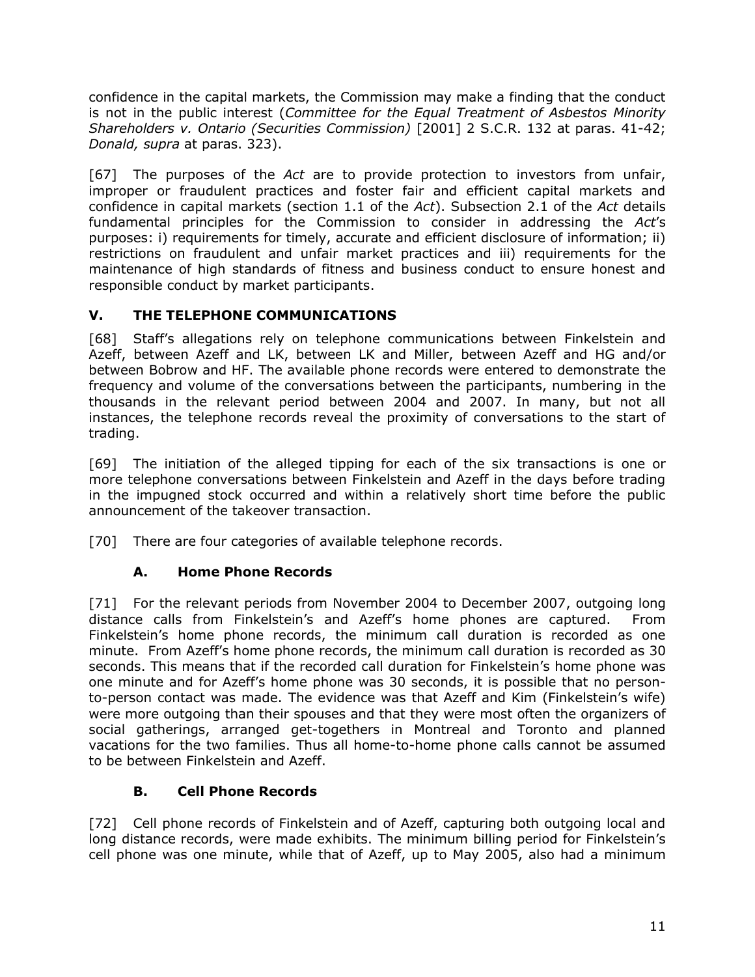confidence in the capital markets, the Commission may make a finding that the conduct is not in the public interest (*Committee for the Equal Treatment of Asbestos Minority Shareholders v. Ontario (Securities Commission)* [2001] 2 S.C.R. 132 at paras. 41-42; *Donald, supra* at paras. 323).

[67] The purposes of the *Act* are to provide protection to investors from unfair, improper or fraudulent practices and foster fair and efficient capital markets and confidence in capital markets (section 1.1 of the *Act*). Subsection 2.1 of the *Act* details fundamental principles for the Commission to consider in addressing the *Act*'s purposes: i) requirements for timely, accurate and efficient disclosure of information; ii) restrictions on fraudulent and unfair market practices and iii) requirements for the maintenance of high standards of fitness and business conduct to ensure honest and responsible conduct by market participants.

## <span id="page-13-0"></span>**V. THE TELEPHONE COMMUNICATIONS**

[68] Staff's allegations rely on telephone communications between Finkelstein and Azeff, between Azeff and LK, between LK and Miller, between Azeff and HG and/or between Bobrow and HF. The available phone records were entered to demonstrate the frequency and volume of the conversations between the participants, numbering in the thousands in the relevant period between 2004 and 2007. In many, but not all instances, the telephone records reveal the proximity of conversations to the start of trading.

[69] The initiation of the alleged tipping for each of the six transactions is one or more telephone conversations between Finkelstein and Azeff in the days before trading in the impugned stock occurred and within a relatively short time before the public announcement of the takeover transaction.

[70] There are four categories of available telephone records.

## **A. Home Phone Records**

<span id="page-13-1"></span>[71] For the relevant periods from November 2004 to December 2007, outgoing long distance calls from Finkelstein's and Azeff's home phones are captured. From Finkelstein's home phone records, the minimum call duration is recorded as one minute. From Azeff's home phone records, the minimum call duration is recorded as 30 seconds. This means that if the recorded call duration for Finkelstein's home phone was one minute and for Azeff's home phone was 30 seconds, it is possible that no personto-person contact was made. The evidence was that Azeff and Kim (Finkelstein's wife) were more outgoing than their spouses and that they were most often the organizers of social gatherings, arranged get-togethers in Montreal and Toronto and planned vacations for the two families. Thus all home-to-home phone calls cannot be assumed to be between Finkelstein and Azeff.

### **B. Cell Phone Records**

<span id="page-13-2"></span>[72] Cell phone records of Finkelstein and of Azeff, capturing both outgoing local and long distance records, were made exhibits. The minimum billing period for Finkelstein's cell phone was one minute, while that of Azeff, up to May 2005, also had a minimum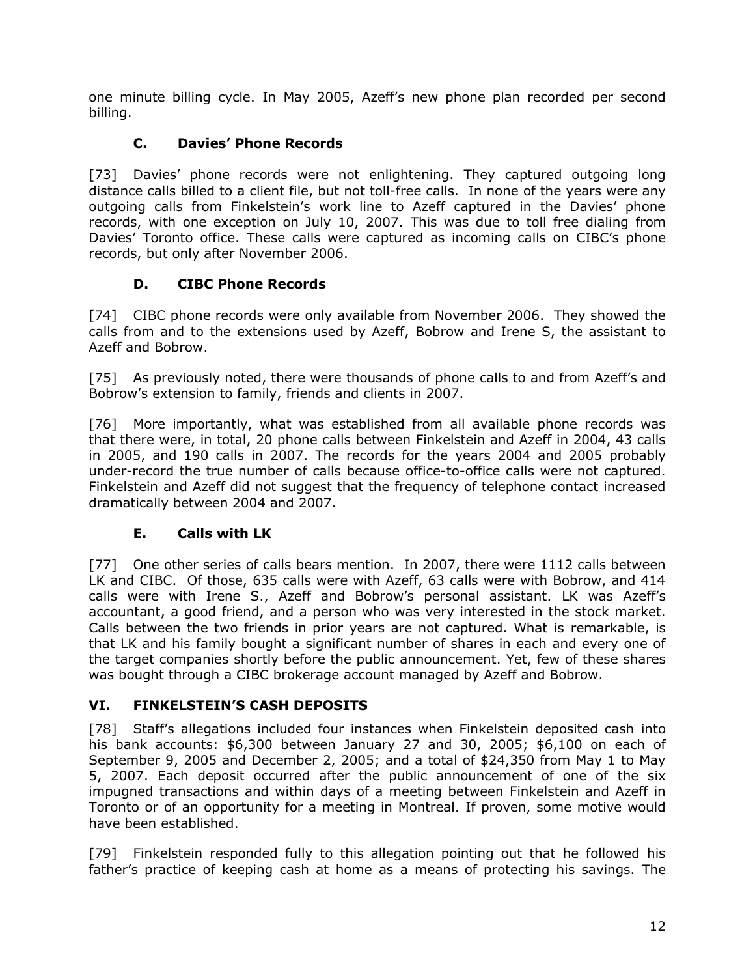one minute billing cycle. In May 2005, Azeff's new phone plan recorded per second billing.

## **C. Davies' Phone Records**

<span id="page-14-0"></span>[73] Davies' phone records were not enlightening. They captured outgoing long distance calls billed to a client file, but not toll-free calls. In none of the years were any outgoing calls from Finkelstein's work line to Azeff captured in the Davies' phone records, with one exception on July 10, 2007. This was due to toll free dialing from Davies' Toronto office. These calls were captured as incoming calls on CIBC's phone records, but only after November 2006.

### **D. CIBC Phone Records**

<span id="page-14-1"></span>[74] CIBC phone records were only available from November 2006. They showed the calls from and to the extensions used by Azeff, Bobrow and Irene S, the assistant to Azeff and Bobrow.

[75] As previously noted, there were thousands of phone calls to and from Azeff's and Bobrow's extension to family, friends and clients in 2007.

[76] More importantly, what was established from all available phone records was that there were, in total, 20 phone calls between Finkelstein and Azeff in 2004, 43 calls in 2005, and 190 calls in 2007. The records for the years 2004 and 2005 probably under-record the true number of calls because office-to-office calls were not captured. Finkelstein and Azeff did not suggest that the frequency of telephone contact increased dramatically between 2004 and 2007.

### **E. Calls with LK**

<span id="page-14-2"></span>[77] One other series of calls bears mention. In 2007, there were 1112 calls between LK and CIBC. Of those, 635 calls were with Azeff, 63 calls were with Bobrow, and 414 calls were with Irene S., Azeff and Bobrow's personal assistant. LK was Azeff's accountant, a good friend, and a person who was very interested in the stock market. Calls between the two friends in prior years are not captured. What is remarkable, is that LK and his family bought a significant number of shares in each and every one of the target companies shortly before the public announcement. Yet, few of these shares was bought through a CIBC brokerage account managed by Azeff and Bobrow.

### <span id="page-14-3"></span>**VI. FINKELSTEIN'S CASH DEPOSITS**

[78] Staff's allegations included four instances when Finkelstein deposited cash into his bank accounts: \$6,300 between January 27 and 30, 2005; \$6,100 on each of September 9, 2005 and December 2, 2005; and a total of \$24,350 from May 1 to May 5, 2007. Each deposit occurred after the public announcement of one of the six impugned transactions and within days of a meeting between Finkelstein and Azeff in Toronto or of an opportunity for a meeting in Montreal. If proven, some motive would have been established.

[79] Finkelstein responded fully to this allegation pointing out that he followed his father's practice of keeping cash at home as a means of protecting his savings. The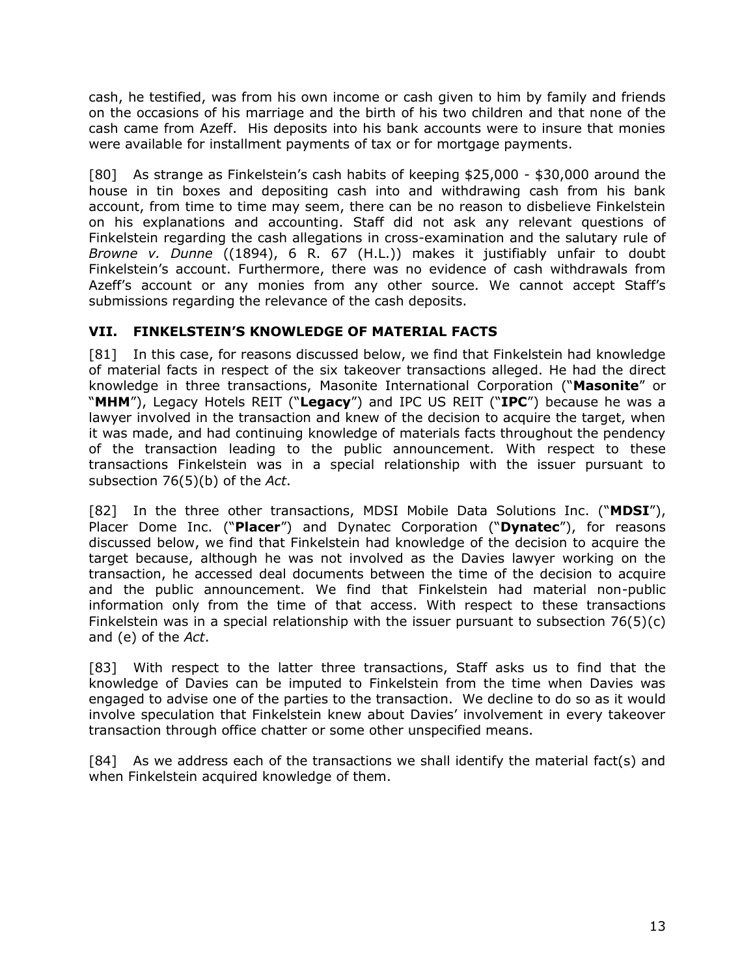cash, he testified, was from his own income or cash given to him by family and friends on the occasions of his marriage and the birth of his two children and that none of the cash came from Azeff. His deposits into his bank accounts were to insure that monies were available for installment payments of tax or for mortgage payments.

[80] As strange as Finkelstein's cash habits of keeping \$25,000 - \$30,000 around the house in tin boxes and depositing cash into and withdrawing cash from his bank account, from time to time may seem, there can be no reason to disbelieve Finkelstein on his explanations and accounting. Staff did not ask any relevant questions of Finkelstein regarding the cash allegations in cross-examination and the salutary rule of *Browne v. Dunne* ((1894), 6 R. 67 (H.L.)) makes it justifiably unfair to doubt Finkelstein's account. Furthermore, there was no evidence of cash withdrawals from Azeff's account or any monies from any other source. We cannot accept Staff's submissions regarding the relevance of the cash deposits.

### <span id="page-15-0"></span>**VII. FINKELSTEIN'S KNOWLEDGE OF MATERIAL FACTS**

[81] In this case, for reasons discussed below, we find that Finkelstein had knowledge of material facts in respect of the six takeover transactions alleged. He had the direct knowledge in three transactions, Masonite International Corporation ("**Masonite**" or "**MHM**"), Legacy Hotels REIT ("**Legacy**") and IPC US REIT ("**IPC**") because he was a lawyer involved in the transaction and knew of the decision to acquire the target, when it was made, and had continuing knowledge of materials facts throughout the pendency of the transaction leading to the public announcement. With respect to these transactions Finkelstein was in a special relationship with the issuer pursuant to subsection 76(5)(b) of the *Act*.

[82] In the three other transactions, MDSI Mobile Data Solutions Inc. ("**MDSI**"), Placer Dome Inc. ("**Placer**") and Dynatec Corporation ("**Dynatec**"), for reasons discussed below, we find that Finkelstein had knowledge of the decision to acquire the target because, although he was not involved as the Davies lawyer working on the transaction, he accessed deal documents between the time of the decision to acquire and the public announcement. We find that Finkelstein had material non-public information only from the time of that access. With respect to these transactions Finkelstein was in a special relationship with the issuer pursuant to subsection 76(5)(c) and (e) of the *Act*.

[83] With respect to the latter three transactions, Staff asks us to find that the knowledge of Davies can be imputed to Finkelstein from the time when Davies was engaged to advise one of the parties to the transaction. We decline to do so as it would involve speculation that Finkelstein knew about Davies' involvement in every takeover transaction through office chatter or some other unspecified means.

[84] As we address each of the transactions we shall identify the material fact(s) and when Finkelstein acquired knowledge of them.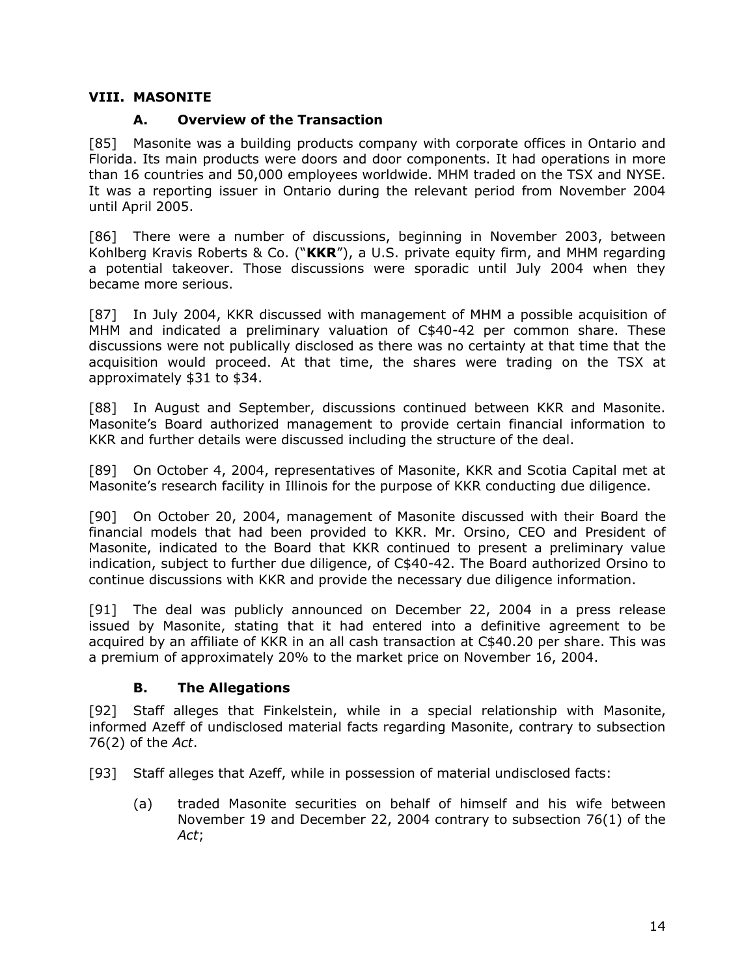### <span id="page-16-0"></span>**VIII. MASONITE**

### **A. Overview of the Transaction**

<span id="page-16-1"></span>[85] Masonite was a building products company with corporate offices in Ontario and Florida. Its main products were doors and door components. It had operations in more than 16 countries and 50,000 employees worldwide. MHM traded on the TSX and NYSE. It was a reporting issuer in Ontario during the relevant period from November 2004 until April 2005.

[86] There were a number of discussions, beginning in November 2003, between Kohlberg Kravis Roberts & Co. ("**KKR**"), a U.S. private equity firm, and MHM regarding a potential takeover. Those discussions were sporadic until July 2004 when they became more serious.

[87] In July 2004, KKR discussed with management of MHM a possible acquisition of MHM and indicated a preliminary valuation of C\$40-42 per common share. These discussions were not publically disclosed as there was no certainty at that time that the acquisition would proceed. At that time, the shares were trading on the TSX at approximately \$31 to \$34.

[88] In August and September, discussions continued between KKR and Masonite. Masonite's Board authorized management to provide certain financial information to KKR and further details were discussed including the structure of the deal.

[89] On October 4, 2004, representatives of Masonite, KKR and Scotia Capital met at Masonite's research facility in Illinois for the purpose of KKR conducting due diligence.

[90] On October 20, 2004, management of Masonite discussed with their Board the financial models that had been provided to KKR. Mr. Orsino, CEO and President of Masonite, indicated to the Board that KKR continued to present a preliminary value indication, subject to further due diligence, of C\$40-42. The Board authorized Orsino to continue discussions with KKR and provide the necessary due diligence information.

[91] The deal was publicly announced on December 22, 2004 in a press release issued by Masonite, stating that it had entered into a definitive agreement to be acquired by an affiliate of KKR in an all cash transaction at C\$40.20 per share. This was a premium of approximately 20% to the market price on November 16, 2004.

### **B. The Allegations**

<span id="page-16-2"></span>[92] Staff alleges that Finkelstein, while in a special relationship with Masonite, informed Azeff of undisclosed material facts regarding Masonite, contrary to subsection 76(2) of the *Act*.

- [93] Staff alleges that Azeff, while in possession of material undisclosed facts:
	- (a) traded Masonite securities on behalf of himself and his wife between November 19 and December 22, 2004 contrary to subsection 76(1) of the *Act*;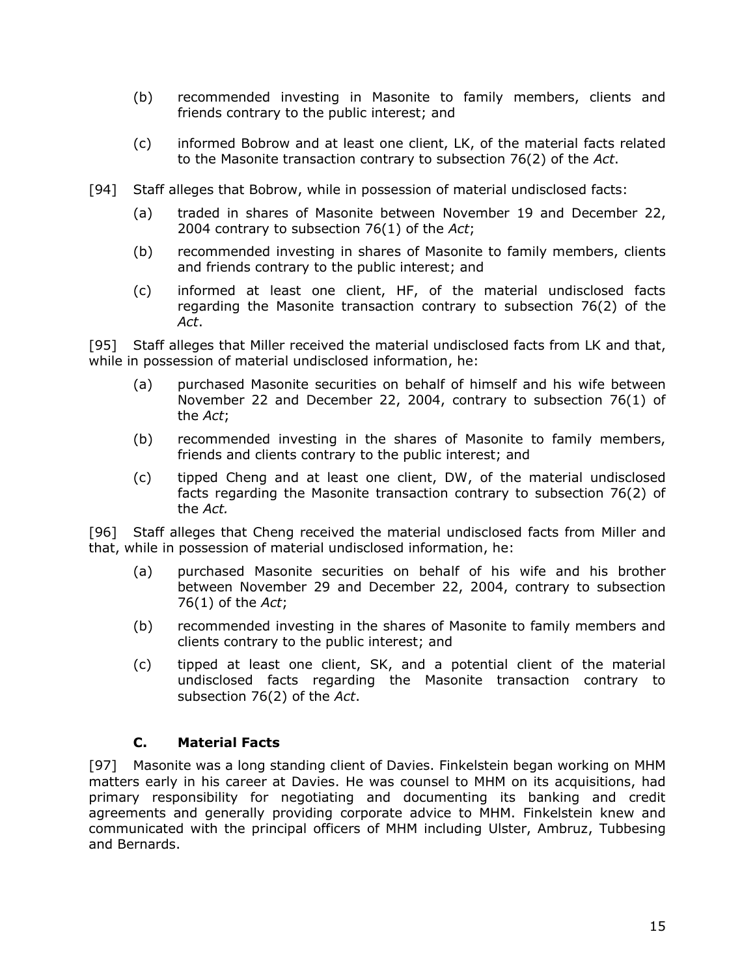- (b) recommended investing in Masonite to family members, clients and friends contrary to the public interest; and
- (c) informed Bobrow and at least one client, LK, of the material facts related to the Masonite transaction contrary to subsection 76(2) of the *Act*.
- [94] Staff alleges that Bobrow, while in possession of material undisclosed facts:
	- (a) traded in shares of Masonite between November 19 and December 22, 2004 contrary to subsection 76(1) of the *Act*;
	- (b) recommended investing in shares of Masonite to family members, clients and friends contrary to the public interest; and
	- (c) informed at least one client, HF, of the material undisclosed facts regarding the Masonite transaction contrary to subsection 76(2) of the *Act*.

[95] Staff alleges that Miller received the material undisclosed facts from LK and that, while in possession of material undisclosed information, he:

- (a) purchased Masonite securities on behalf of himself and his wife between November 22 and December 22, 2004, contrary to subsection 76(1) of the *Act*;
- (b) recommended investing in the shares of Masonite to family members, friends and clients contrary to the public interest; and
- (c) tipped Cheng and at least one client, DW, of the material undisclosed facts regarding the Masonite transaction contrary to subsection 76(2) of the *Act.*

[96] Staff alleges that Cheng received the material undisclosed facts from Miller and that, while in possession of material undisclosed information, he:

- (a) purchased Masonite securities on behalf of his wife and his brother between November 29 and December 22, 2004, contrary to subsection 76(1) of the *Act*;
- (b) recommended investing in the shares of Masonite to family members and clients contrary to the public interest; and
- (c) tipped at least one client, SK, and a potential client of the material undisclosed facts regarding the Masonite transaction contrary to subsection 76(2) of the *Act*.

#### **C. Material Facts**

<span id="page-17-0"></span>[97] Masonite was a long standing client of Davies. Finkelstein began working on MHM matters early in his career at Davies. He was counsel to MHM on its acquisitions, had primary responsibility for negotiating and documenting its banking and credit agreements and generally providing corporate advice to MHM. Finkelstein knew and communicated with the principal officers of MHM including Ulster, Ambruz, Tubbesing and Bernards.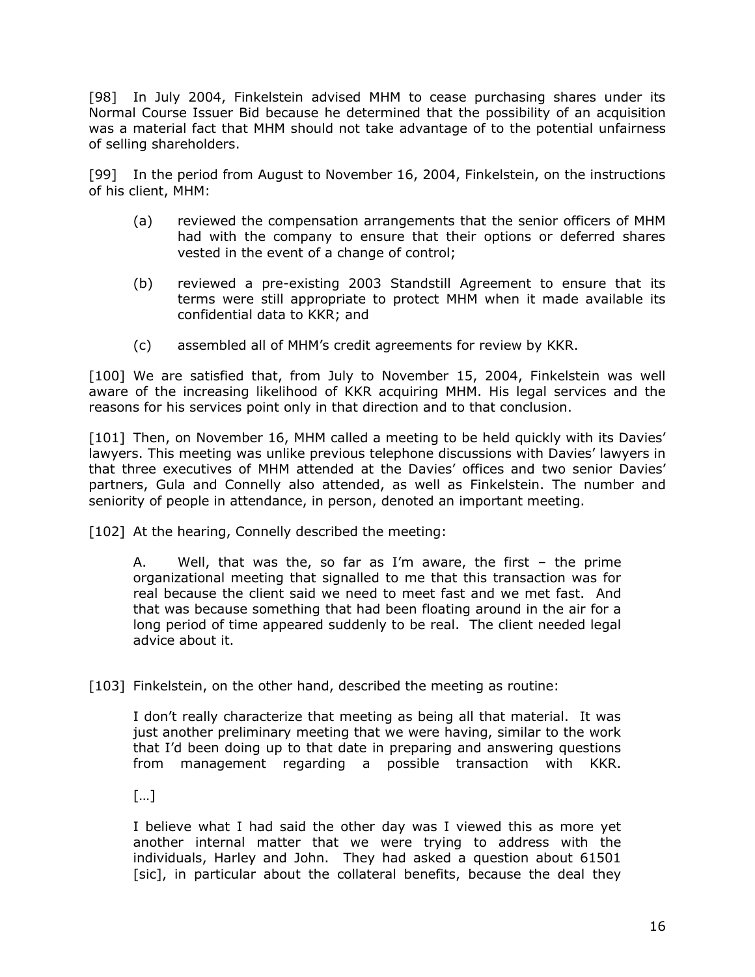[98] In July 2004, Finkelstein advised MHM to cease purchasing shares under its Normal Course Issuer Bid because he determined that the possibility of an acquisition was a material fact that MHM should not take advantage of to the potential unfairness of selling shareholders.

[99] In the period from August to November 16, 2004, Finkelstein, on the instructions of his client, MHM:

- (a) reviewed the compensation arrangements that the senior officers of MHM had with the company to ensure that their options or deferred shares vested in the event of a change of control;
- (b) reviewed a pre-existing 2003 Standstill Agreement to ensure that its terms were still appropriate to protect MHM when it made available its confidential data to KKR; and
- (c) assembled all of MHM's credit agreements for review by KKR.

[100] We are satisfied that, from July to November 15, 2004, Finkelstein was well aware of the increasing likelihood of KKR acquiring MHM. His legal services and the reasons for his services point only in that direction and to that conclusion.

[101] Then, on November 16, MHM called a meeting to be held quickly with its Davies' lawyers. This meeting was unlike previous telephone discussions with Davies' lawyers in that three executives of MHM attended at the Davies' offices and two senior Davies' partners, Gula and Connelly also attended, as well as Finkelstein. The number and seniority of people in attendance, in person, denoted an important meeting.

[102] At the hearing, Connelly described the meeting:

A. Well, that was the, so far as I'm aware, the first – the prime organizational meeting that signalled to me that this transaction was for real because the client said we need to meet fast and we met fast. And that was because something that had been floating around in the air for a long period of time appeared suddenly to be real. The client needed legal advice about it.

[103] Finkelstein, on the other hand, described the meeting as routine:

I don't really characterize that meeting as being all that material. It was just another preliminary meeting that we were having, similar to the work that I'd been doing up to that date in preparing and answering questions from management regarding a possible transaction with KKR.

 $[...]$ 

I believe what I had said the other day was I viewed this as more yet another internal matter that we were trying to address with the individuals, Harley and John. They had asked a question about 61501 [sic], in particular about the collateral benefits, because the deal they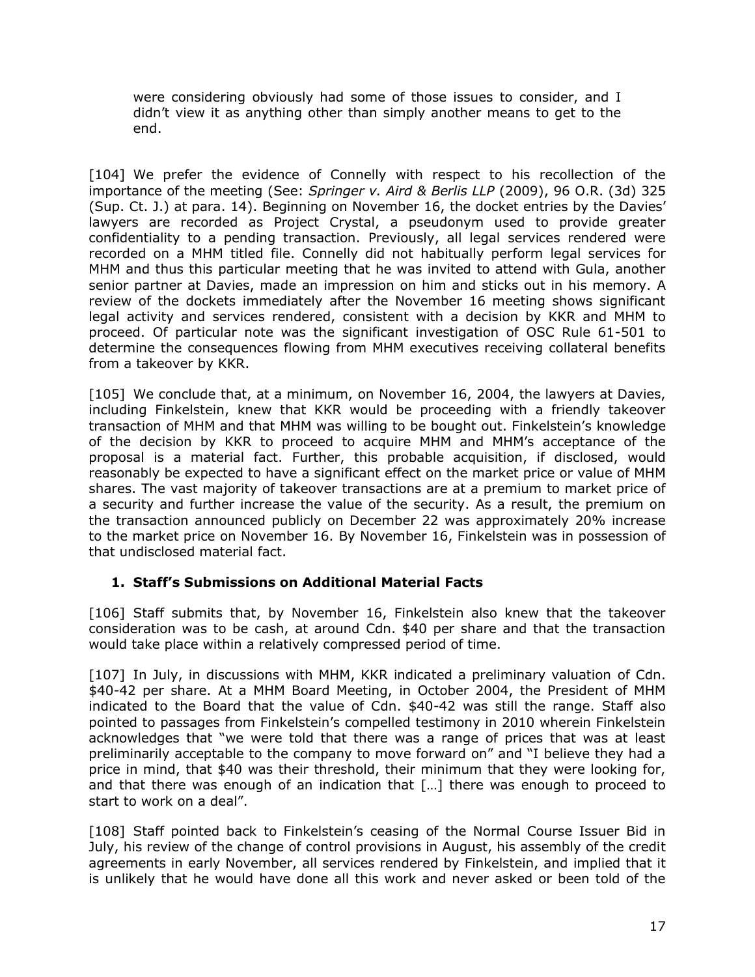were considering obviously had some of those issues to consider, and I didn't view it as anything other than simply another means to get to the end.

[104] We prefer the evidence of Connelly with respect to his recollection of the importance of the meeting (See: *Springer v. Aird & Berlis LLP* (2009), 96 O.R. (3d) 325 (Sup. Ct. J.) at para. 14). Beginning on November 16, the docket entries by the Davies' lawyers are recorded as Project Crystal, a pseudonym used to provide greater confidentiality to a pending transaction. Previously, all legal services rendered were recorded on a MHM titled file. Connelly did not habitually perform legal services for MHM and thus this particular meeting that he was invited to attend with Gula, another senior partner at Davies, made an impression on him and sticks out in his memory. A review of the dockets immediately after the November 16 meeting shows significant legal activity and services rendered, consistent with a decision by KKR and MHM to proceed. Of particular note was the significant investigation of OSC Rule 61-501 to determine the consequences flowing from MHM executives receiving collateral benefits from a takeover by KKR.

[105] We conclude that, at a minimum, on November 16, 2004, the lawyers at Davies, including Finkelstein, knew that KKR would be proceeding with a friendly takeover transaction of MHM and that MHM was willing to be bought out. Finkelstein's knowledge of the decision by KKR to proceed to acquire MHM and MHM's acceptance of the proposal is a material fact. Further, this probable acquisition, if disclosed, would reasonably be expected to have a significant effect on the market price or value of MHM shares. The vast majority of takeover transactions are at a premium to market price of a security and further increase the value of the security. As a result, the premium on the transaction announced publicly on December 22 was approximately 20% increase to the market price on November 16. By November 16, Finkelstein was in possession of that undisclosed material fact.

### <span id="page-19-0"></span>**1. Staff's Submissions on Additional Material Facts**

[106] Staff submits that, by November 16, Finkelstein also knew that the takeover consideration was to be cash, at around Cdn. \$40 per share and that the transaction would take place within a relatively compressed period of time.

[107] In July, in discussions with MHM, KKR indicated a preliminary valuation of Cdn. \$40-42 per share. At a MHM Board Meeting, in October 2004, the President of MHM indicated to the Board that the value of Cdn. \$40-42 was still the range. Staff also pointed to passages from Finkelstein's compelled testimony in 2010 wherein Finkelstein acknowledges that "we were told that there was a range of prices that was at least preliminarily acceptable to the company to move forward on" and "I believe they had a price in mind, that \$40 was their threshold, their minimum that they were looking for, and that there was enough of an indication that […] there was enough to proceed to start to work on a deal".

[108] Staff pointed back to Finkelstein's ceasing of the Normal Course Issuer Bid in July, his review of the change of control provisions in August, his assembly of the credit agreements in early November, all services rendered by Finkelstein, and implied that it is unlikely that he would have done all this work and never asked or been told of the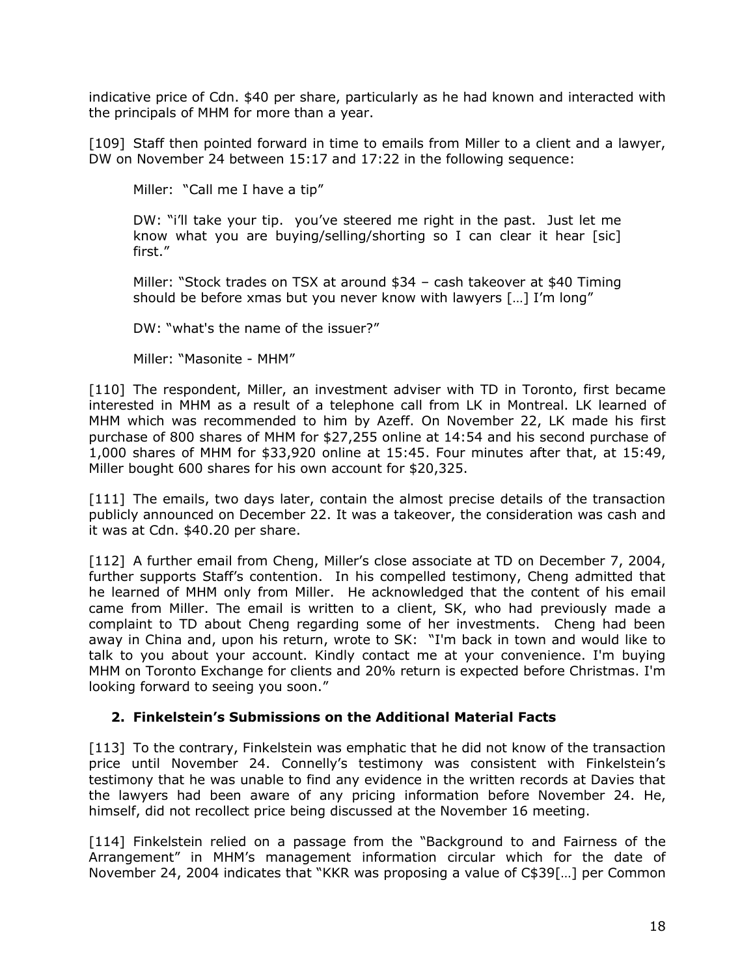indicative price of Cdn. \$40 per share, particularly as he had known and interacted with the principals of MHM for more than a year.

[109] Staff then pointed forward in time to emails from Miller to a client and a lawyer, DW on November 24 between 15:17 and 17:22 in the following sequence:

Miller: "Call me I have a tip"

DW: "i'll take your tip. you've steered me right in the past. Just let me know what you are buying/selling/shorting so I can clear it hear [sic] first."

Miller: "Stock trades on TSX at around \$34 – cash takeover at \$40 Timing should be before xmas but you never know with lawyers […] I'm long"

DW: "what's the name of the issuer?"

Miller: "Masonite - MHM"

[110] The respondent, Miller, an investment adviser with TD in Toronto, first became interested in MHM as a result of a telephone call from LK in Montreal. LK learned of MHM which was recommended to him by Azeff. On November 22, LK made his first purchase of 800 shares of MHM for \$27,255 online at 14:54 and his second purchase of 1,000 shares of MHM for \$33,920 online at 15:45. Four minutes after that, at 15:49, Miller bought 600 shares for his own account for \$20,325.

[111] The emails, two days later, contain the almost precise details of the transaction publicly announced on December 22. It was a takeover, the consideration was cash and it was at Cdn. \$40.20 per share.

[112] A further email from Cheng, Miller's close associate at TD on December 7, 2004, further supports Staff's contention. In his compelled testimony, Cheng admitted that he learned of MHM only from Miller. He acknowledged that the content of his email came from Miller. The email is written to a client, SK, who had previously made a complaint to TD about Cheng regarding some of her investments. Cheng had been away in China and, upon his return, wrote to SK: "I'm back in town and would like to talk to you about your account. Kindly contact me at your convenience. I'm buying MHM on Toronto Exchange for clients and 20% return is expected before Christmas. I'm looking forward to seeing you soon."

#### <span id="page-20-0"></span>**2. Finkelstein's Submissions on the Additional Material Facts**

[113] To the contrary, Finkelstein was emphatic that he did not know of the transaction price until November 24. Connelly's testimony was consistent with Finkelstein's testimony that he was unable to find any evidence in the written records at Davies that the lawyers had been aware of any pricing information before November 24. He, himself, did not recollect price being discussed at the November 16 meeting.

[114] Finkelstein relied on a passage from the "Background to and Fairness of the Arrangement" in MHM's management information circular which for the date of November 24, 2004 indicates that "KKR was proposing a value of C\$39[…] per Common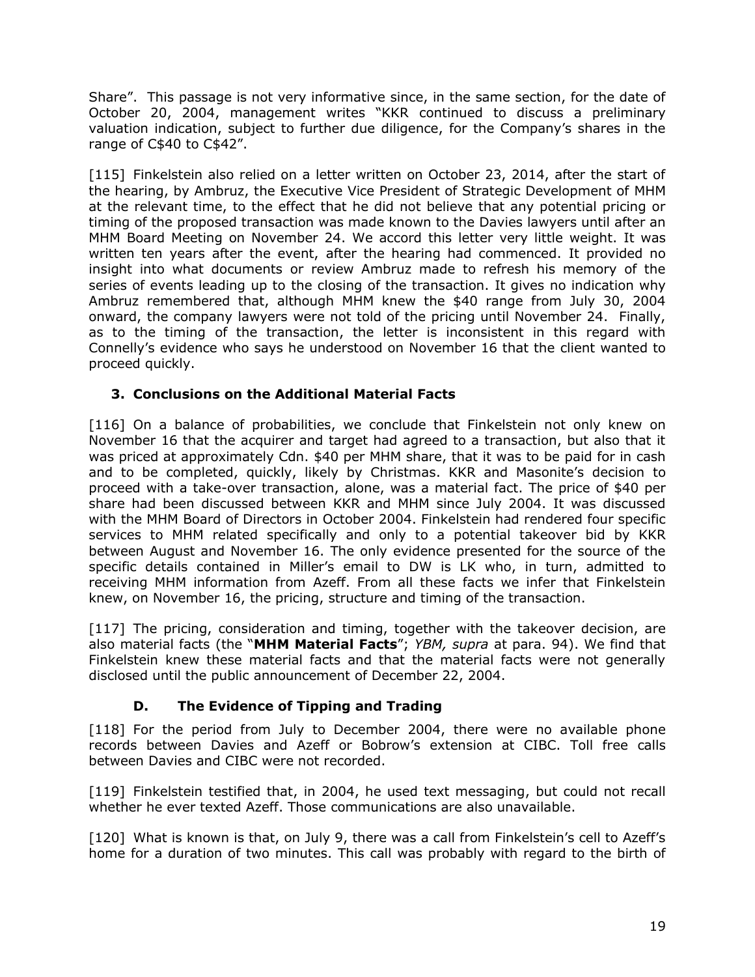Share". This passage is not very informative since, in the same section, for the date of October 20, 2004, management writes "KKR continued to discuss a preliminary valuation indication, subject to further due diligence, for the Company's shares in the range of C\$40 to C\$42".

[115] Finkelstein also relied on a letter written on October 23, 2014, after the start of the hearing, by Ambruz, the Executive Vice President of Strategic Development of MHM at the relevant time, to the effect that he did not believe that any potential pricing or timing of the proposed transaction was made known to the Davies lawyers until after an MHM Board Meeting on November 24. We accord this letter very little weight. It was written ten years after the event, after the hearing had commenced. It provided no insight into what documents or review Ambruz made to refresh his memory of the series of events leading up to the closing of the transaction. It gives no indication why Ambruz remembered that, although MHM knew the \$40 range from July 30, 2004 onward, the company lawyers were not told of the pricing until November 24. Finally, as to the timing of the transaction, the letter is inconsistent in this regard with Connelly's evidence who says he understood on November 16 that the client wanted to proceed quickly.

### <span id="page-21-0"></span>**3. Conclusions on the Additional Material Facts**

[116] On a balance of probabilities, we conclude that Finkelstein not only knew on November 16 that the acquirer and target had agreed to a transaction, but also that it was priced at approximately Cdn. \$40 per MHM share, that it was to be paid for in cash and to be completed, quickly, likely by Christmas. KKR and Masonite's decision to proceed with a take-over transaction, alone, was a material fact. The price of \$40 per share had been discussed between KKR and MHM since July 2004. It was discussed with the MHM Board of Directors in October 2004. Finkelstein had rendered four specific services to MHM related specifically and only to a potential takeover bid by KKR between August and November 16. The only evidence presented for the source of the specific details contained in Miller's email to DW is LK who, in turn, admitted to receiving MHM information from Azeff. From all these facts we infer that Finkelstein knew, on November 16, the pricing, structure and timing of the transaction.

[117] The pricing, consideration and timing, together with the takeover decision, are also material facts (the "**MHM Material Facts**"; *YBM, supra* at para. 94). We find that Finkelstein knew these material facts and that the material facts were not generally disclosed until the public announcement of December 22, 2004.

## **D. The Evidence of Tipping and Trading**

<span id="page-21-1"></span>[118] For the period from July to December 2004, there were no available phone records between Davies and Azeff or Bobrow's extension at CIBC. Toll free calls between Davies and CIBC were not recorded.

[119] Finkelstein testified that, in 2004, he used text messaging, but could not recall whether he ever texted Azeff. Those communications are also unavailable.

[120] What is known is that, on July 9, there was a call from Finkelstein's cell to Azeff's home for a duration of two minutes. This call was probably with regard to the birth of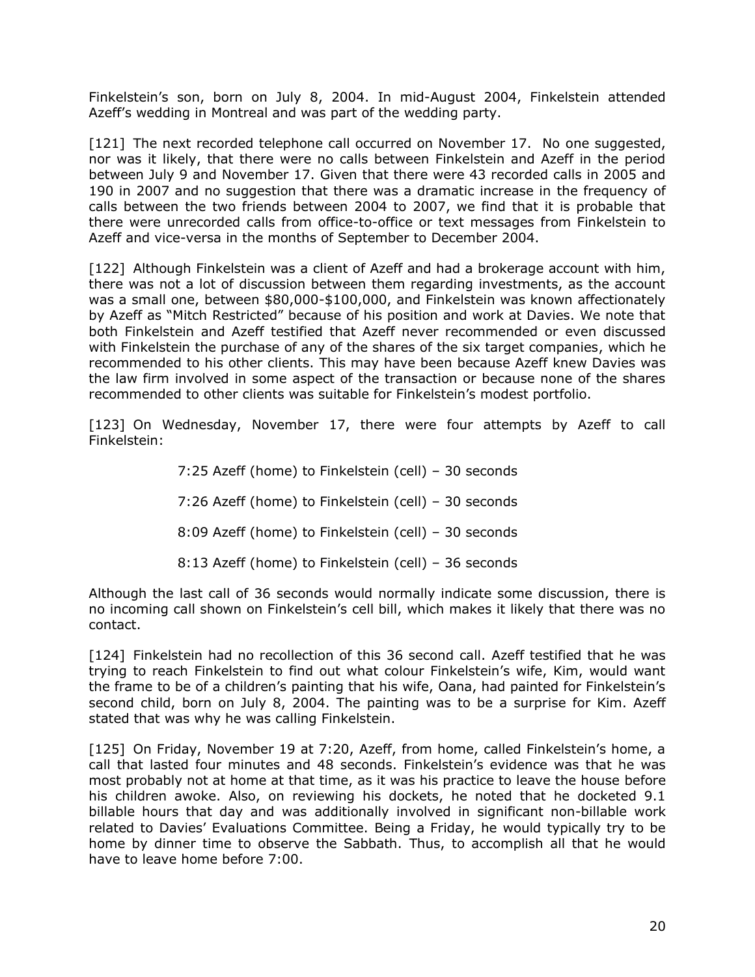Finkelstein's son, born on July 8, 2004. In mid-August 2004, Finkelstein attended Azeff's wedding in Montreal and was part of the wedding party.

[121] The next recorded telephone call occurred on November 17. No one suggested, nor was it likely, that there were no calls between Finkelstein and Azeff in the period between July 9 and November 17. Given that there were 43 recorded calls in 2005 and 190 in 2007 and no suggestion that there was a dramatic increase in the frequency of calls between the two friends between 2004 to 2007, we find that it is probable that there were unrecorded calls from office-to-office or text messages from Finkelstein to Azeff and vice-versa in the months of September to December 2004.

[122] Although Finkelstein was a client of Azeff and had a brokerage account with him, there was not a lot of discussion between them regarding investments, as the account was a small one, between \$80,000-\$100,000, and Finkelstein was known affectionately by Azeff as "Mitch Restricted" because of his position and work at Davies. We note that both Finkelstein and Azeff testified that Azeff never recommended or even discussed with Finkelstein the purchase of any of the shares of the six target companies, which he recommended to his other clients. This may have been because Azeff knew Davies was the law firm involved in some aspect of the transaction or because none of the shares recommended to other clients was suitable for Finkelstein's modest portfolio.

[123] On Wednesday, November 17, there were four attempts by Azeff to call Finkelstein:

> 7:25 Azeff (home) to Finkelstein (cell) – 30 seconds 7:26 Azeff (home) to Finkelstein (cell) – 30 seconds 8:09 Azeff (home) to Finkelstein (cell) – 30 seconds 8:13 Azeff (home) to Finkelstein (cell) – 36 seconds

Although the last call of 36 seconds would normally indicate some discussion, there is no incoming call shown on Finkelstein's cell bill, which makes it likely that there was no contact.

[124] Finkelstein had no recollection of this 36 second call. Azeff testified that he was trying to reach Finkelstein to find out what colour Finkelstein's wife, Kim, would want the frame to be of a children's painting that his wife, Oana, had painted for Finkelstein's second child, born on July 8, 2004. The painting was to be a surprise for Kim. Azeff stated that was why he was calling Finkelstein.

[125] On Friday, November 19 at 7:20, Azeff, from home, called Finkelstein's home, a call that lasted four minutes and 48 seconds. Finkelstein's evidence was that he was most probably not at home at that time, as it was his practice to leave the house before his children awoke. Also, on reviewing his dockets, he noted that he docketed 9.1 billable hours that day and was additionally involved in significant non-billable work related to Davies' Evaluations Committee. Being a Friday, he would typically try to be home by dinner time to observe the Sabbath. Thus, to accomplish all that he would have to leave home before 7:00.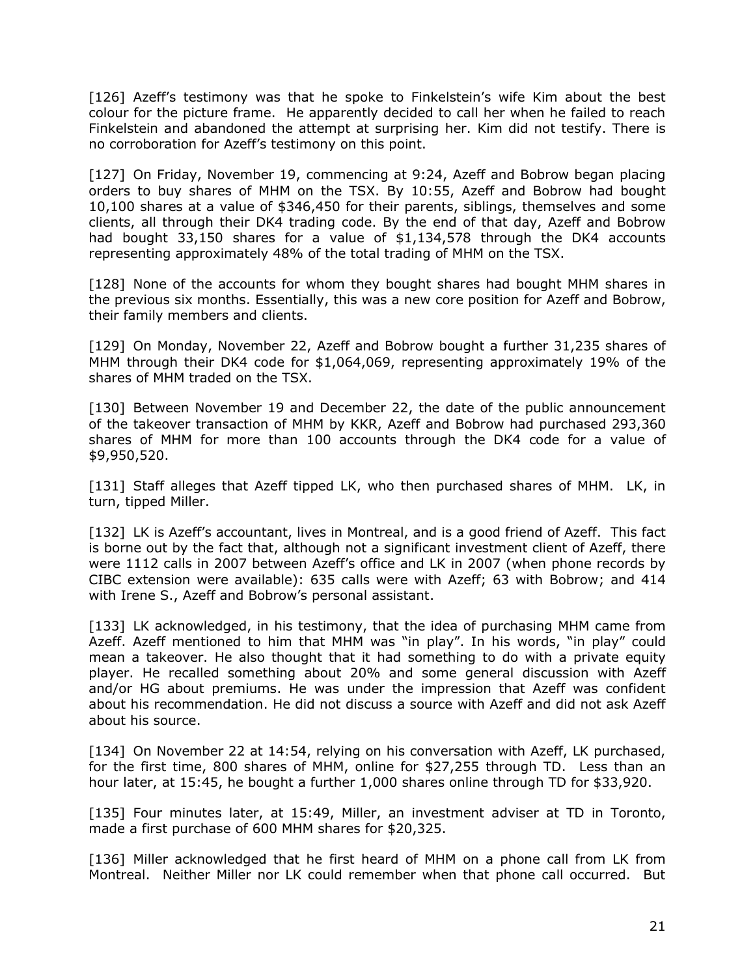[126] Azeff's testimony was that he spoke to Finkelstein's wife Kim about the best colour for the picture frame. He apparently decided to call her when he failed to reach Finkelstein and abandoned the attempt at surprising her. Kim did not testify. There is no corroboration for Azeff's testimony on this point.

[127] On Friday, November 19, commencing at 9:24, Azeff and Bobrow began placing orders to buy shares of MHM on the TSX. By 10:55, Azeff and Bobrow had bought 10,100 shares at a value of \$346,450 for their parents, siblings, themselves and some clients, all through their DK4 trading code. By the end of that day, Azeff and Bobrow had bought 33,150 shares for a value of \$1,134,578 through the DK4 accounts representing approximately 48% of the total trading of MHM on the TSX.

[128] None of the accounts for whom they bought shares had bought MHM shares in the previous six months. Essentially, this was a new core position for Azeff and Bobrow, their family members and clients.

[129] On Monday, November 22, Azeff and Bobrow bought a further 31,235 shares of MHM through their DK4 code for \$1,064,069, representing approximately 19% of the shares of MHM traded on the TSX.

[130] Between November 19 and December 22, the date of the public announcement of the takeover transaction of MHM by KKR, Azeff and Bobrow had purchased 293,360 shares of MHM for more than 100 accounts through the DK4 code for a value of \$9,950,520.

[131] Staff alleges that Azeff tipped LK, who then purchased shares of MHM. LK, in turn, tipped Miller.

[132] LK is Azeff's accountant, lives in Montreal, and is a good friend of Azeff. This fact is borne out by the fact that, although not a significant investment client of Azeff, there were 1112 calls in 2007 between Azeff's office and LK in 2007 (when phone records by CIBC extension were available): 635 calls were with Azeff; 63 with Bobrow; and 414 with Irene S., Azeff and Bobrow's personal assistant.

[133] LK acknowledged, in his testimony, that the idea of purchasing MHM came from Azeff. Azeff mentioned to him that MHM was "in play". In his words, "in play" could mean a takeover. He also thought that it had something to do with a private equity player. He recalled something about 20% and some general discussion with Azeff and/or HG about premiums. He was under the impression that Azeff was confident about his recommendation. He did not discuss a source with Azeff and did not ask Azeff about his source.

[134] On November 22 at 14:54, relying on his conversation with Azeff, LK purchased, for the first time, 800 shares of MHM, online for \$27,255 through TD. Less than an hour later, at 15:45, he bought a further 1,000 shares online through TD for \$33,920.

[135] Four minutes later, at 15:49, Miller, an investment adviser at TD in Toronto, made a first purchase of 600 MHM shares for \$20,325.

[136] Miller acknowledged that he first heard of MHM on a phone call from LK from Montreal. Neither Miller nor LK could remember when that phone call occurred. But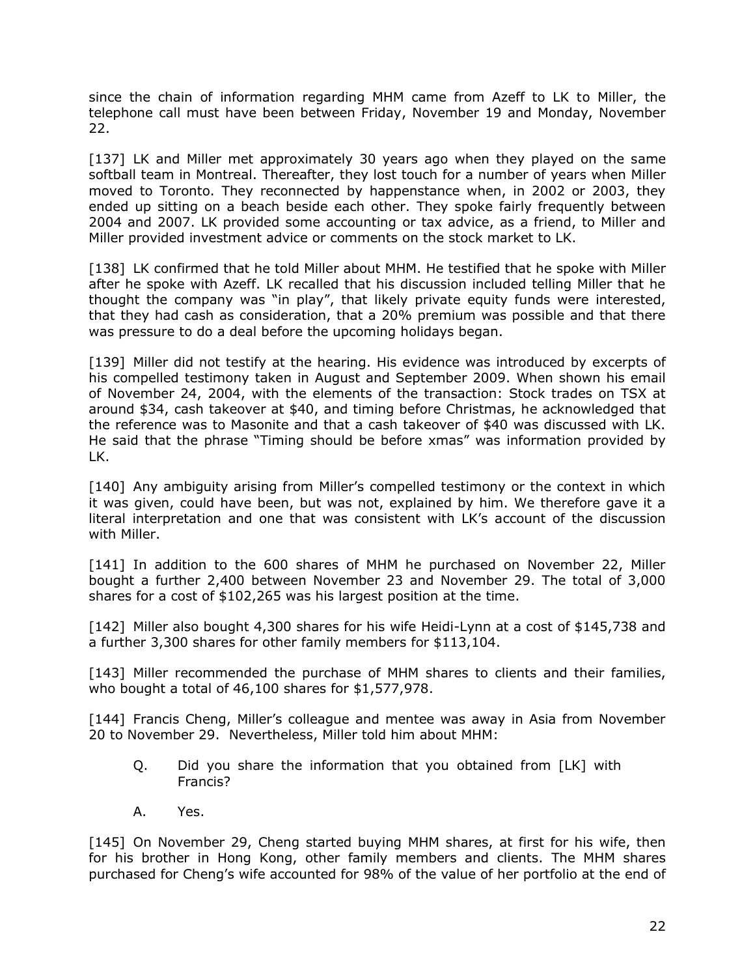since the chain of information regarding MHM came from Azeff to LK to Miller, the telephone call must have been between Friday, November 19 and Monday, November 22.

[137] LK and Miller met approximately 30 years ago when they played on the same softball team in Montreal. Thereafter, they lost touch for a number of years when Miller moved to Toronto. They reconnected by happenstance when, in 2002 or 2003, they ended up sitting on a beach beside each other. They spoke fairly frequently between 2004 and 2007. LK provided some accounting or tax advice, as a friend, to Miller and Miller provided investment advice or comments on the stock market to LK.

[138] LK confirmed that he told Miller about MHM. He testified that he spoke with Miller after he spoke with Azeff. LK recalled that his discussion included telling Miller that he thought the company was "in play", that likely private equity funds were interested, that they had cash as consideration, that a 20% premium was possible and that there was pressure to do a deal before the upcoming holidays began.

[139] Miller did not testify at the hearing. His evidence was introduced by excerpts of his compelled testimony taken in August and September 2009. When shown his email of November 24, 2004, with the elements of the transaction: Stock trades on TSX at around \$34, cash takeover at \$40, and timing before Christmas, he acknowledged that the reference was to Masonite and that a cash takeover of \$40 was discussed with LK. He said that the phrase "Timing should be before xmas" was information provided by LK.

[140] Any ambiguity arising from Miller's compelled testimony or the context in which it was given, could have been, but was not, explained by him. We therefore gave it a literal interpretation and one that was consistent with LK's account of the discussion with Miller.

[141] In addition to the 600 shares of MHM he purchased on November 22, Miller bought a further 2,400 between November 23 and November 29. The total of 3,000 shares for a cost of \$102,265 was his largest position at the time.

[142] Miller also bought 4,300 shares for his wife Heidi-Lynn at a cost of \$145,738 and a further 3,300 shares for other family members for \$113,104.

[143] Miller recommended the purchase of MHM shares to clients and their families, who bought a total of 46,100 shares for \$1,577,978.

[144] Francis Cheng, Miller's colleague and mentee was away in Asia from November 20 to November 29. Nevertheless, Miller told him about MHM:

- Q. Did you share the information that you obtained from [LK] with Francis?
- A. Yes.

[145] On November 29, Cheng started buying MHM shares, at first for his wife, then for his brother in Hong Kong, other family members and clients. The MHM shares purchased for Cheng's wife accounted for 98% of the value of her portfolio at the end of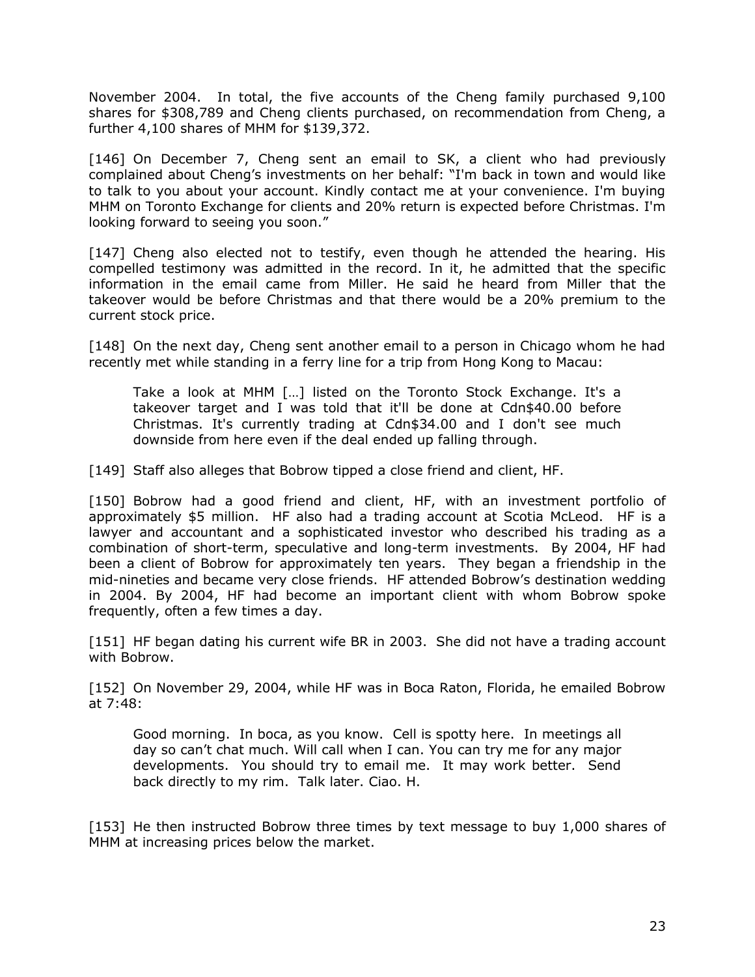November 2004. In total, the five accounts of the Cheng family purchased 9,100 shares for \$308,789 and Cheng clients purchased, on recommendation from Cheng, a further 4,100 shares of MHM for \$139,372.

[146] On December 7, Cheng sent an email to SK, a client who had previously complained about Cheng's investments on her behalf: "I'm back in town and would like to talk to you about your account. Kindly contact me at your convenience. I'm buying MHM on Toronto Exchange for clients and 20% return is expected before Christmas. I'm looking forward to seeing you soon."

[147] Cheng also elected not to testify, even though he attended the hearing. His compelled testimony was admitted in the record. In it, he admitted that the specific information in the email came from Miller. He said he heard from Miller that the takeover would be before Christmas and that there would be a 20% premium to the current stock price.

[148] On the next day, Cheng sent another email to a person in Chicago whom he had recently met while standing in a ferry line for a trip from Hong Kong to Macau:

Take a look at MHM […] listed on the Toronto Stock Exchange. It's a takeover target and I was told that it'll be done at Cdn\$40.00 before Christmas. It's currently trading at Cdn\$34.00 and I don't see much downside from here even if the deal ended up falling through.

[149] Staff also alleges that Bobrow tipped a close friend and client, HF.

[150] Bobrow had a good friend and client, HF, with an investment portfolio of approximately \$5 million. HF also had a trading account at Scotia McLeod. HF is a lawyer and accountant and a sophisticated investor who described his trading as a combination of short-term, speculative and long-term investments. By 2004, HF had been a client of Bobrow for approximately ten years. They began a friendship in the mid-nineties and became very close friends. HF attended Bobrow's destination wedding in 2004. By 2004, HF had become an important client with whom Bobrow spoke frequently, often a few times a day.

[151] HF began dating his current wife BR in 2003. She did not have a trading account with Bobrow.

[152] On November 29, 2004, while HF was in Boca Raton, Florida, he emailed Bobrow at 7:48:

Good morning. In boca, as you know. Cell is spotty here. In meetings all day so can't chat much. Will call when I can. You can try me for any major developments. You should try to email me. It may work better. Send back directly to my rim. Talk later. Ciao. H.

[153] He then instructed Bobrow three times by text message to buy 1,000 shares of MHM at increasing prices below the market.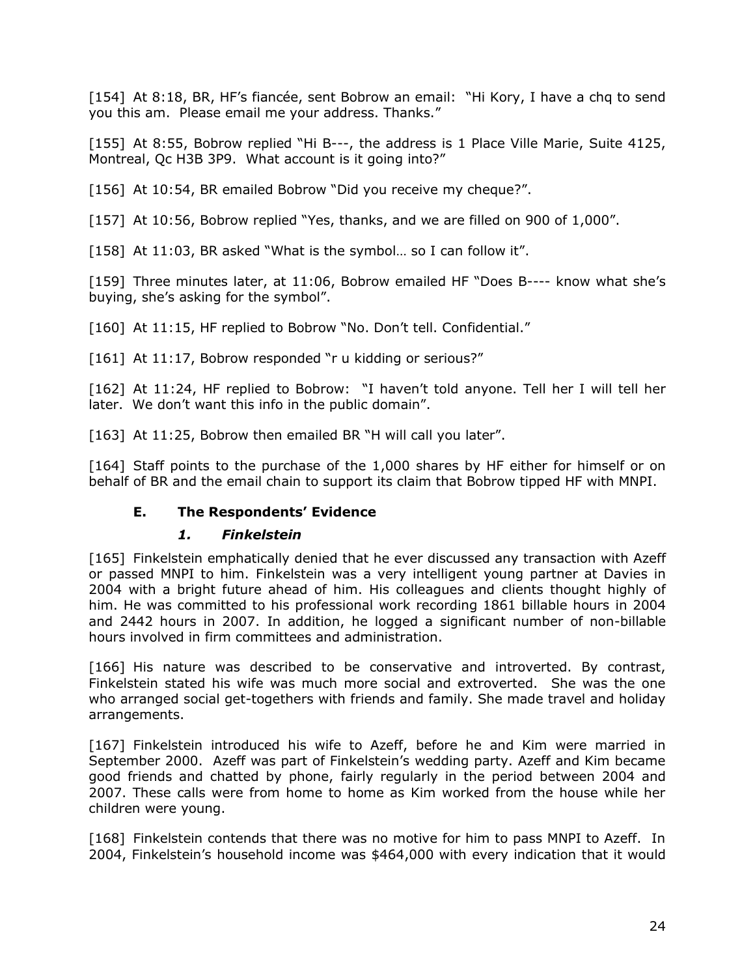[154] At 8:18, BR, HF's fiancée, sent Bobrow an email: "Hi Kory, I have a chq to send you this am. Please email me your address. Thanks."

[155] At 8:55, Bobrow replied "Hi B---, the address is 1 Place Ville Marie, Suite 4125, Montreal, Qc H3B 3P9. What account is it going into?"

[156] At 10:54, BR emailed Bobrow "Did you receive my cheque?".

[157] At 10:56, Bobrow replied "Yes, thanks, and we are filled on 900 of 1,000".

[158] At 11:03, BR asked "What is the symbol... so I can follow it".

[159] Three minutes later, at 11:06, Bobrow emailed HF "Does B---- know what she's buying, she's asking for the symbol".

[160] At 11:15, HF replied to Bobrow "No. Don't tell. Confidential."

[161] At 11:17, Bobrow responded "r u kidding or serious?"

[162] At 11:24, HF replied to Bobrow: "I haven't told anyone. Tell her I will tell her later. We don't want this info in the public domain".

[163] At 11:25, Bobrow then emailed BR "H will call you later".

[164] Staff points to the purchase of the 1,000 shares by HF either for himself or on behalf of BR and the email chain to support its claim that Bobrow tipped HF with MNPI.

### **E. The Respondents' Evidence**

#### *1. Finkelstein*

<span id="page-26-1"></span><span id="page-26-0"></span>[165] Finkelstein emphatically denied that he ever discussed any transaction with Azeff or passed MNPI to him. Finkelstein was a very intelligent young partner at Davies in 2004 with a bright future ahead of him. His colleagues and clients thought highly of him. He was committed to his professional work recording 1861 billable hours in 2004 and 2442 hours in 2007. In addition, he logged a significant number of non-billable hours involved in firm committees and administration.

[166] His nature was described to be conservative and introverted. By contrast, Finkelstein stated his wife was much more social and extroverted. She was the one who arranged social get-togethers with friends and family. She made travel and holiday arrangements.

[167] Finkelstein introduced his wife to Azeff, before he and Kim were married in September 2000. Azeff was part of Finkelstein's wedding party. Azeff and Kim became good friends and chatted by phone, fairly regularly in the period between 2004 and 2007. These calls were from home to home as Kim worked from the house while her children were young.

[168] Finkelstein contends that there was no motive for him to pass MNPI to Azeff. In 2004, Finkelstein's household income was \$464,000 with every indication that it would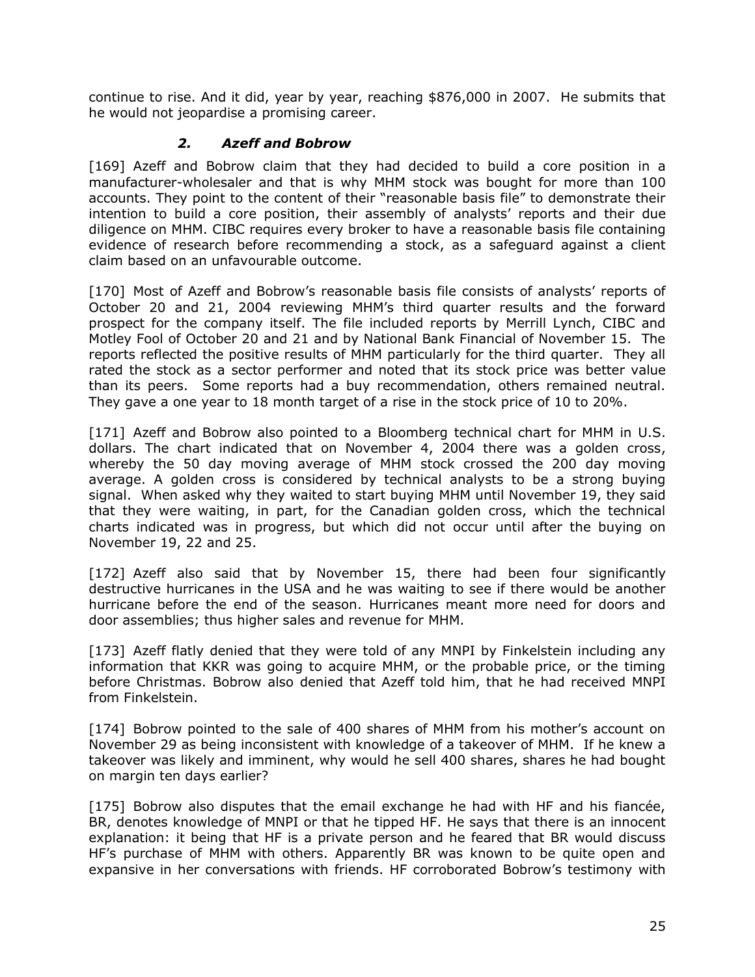continue to rise. And it did, year by year, reaching \$876,000 in 2007. He submits that he would not jeopardise a promising career.

#### *2. Azeff and Bobrow*

<span id="page-27-0"></span>[169] Azeff and Bobrow claim that they had decided to build a core position in a manufacturer-wholesaler and that is why MHM stock was bought for more than 100 accounts. They point to the content of their "reasonable basis file" to demonstrate their intention to build a core position, their assembly of analysts' reports and their due diligence on MHM. CIBC requires every broker to have a reasonable basis file containing evidence of research before recommending a stock, as a safeguard against a client claim based on an unfavourable outcome.

[170] Most of Azeff and Bobrow's reasonable basis file consists of analysts' reports of October 20 and 21, 2004 reviewing MHM's third quarter results and the forward prospect for the company itself. The file included reports by Merrill Lynch, CIBC and Motley Fool of October 20 and 21 and by National Bank Financial of November 15. The reports reflected the positive results of MHM particularly for the third quarter. They all rated the stock as a sector performer and noted that its stock price was better value than its peers. Some reports had a buy recommendation, others remained neutral. They gave a one year to 18 month target of a rise in the stock price of 10 to 20%.

[171] Azeff and Bobrow also pointed to a Bloomberg technical chart for MHM in U.S. dollars. The chart indicated that on November 4, 2004 there was a golden cross, whereby the 50 day moving average of MHM stock crossed the 200 day moving average. A golden cross is considered by technical analysts to be a strong buying signal. When asked why they waited to start buying MHM until November 19, they said that they were waiting, in part, for the Canadian golden cross, which the technical charts indicated was in progress, but which did not occur until after the buying on November 19, 22 and 25.

[172] Azeff also said that by November 15, there had been four significantly destructive hurricanes in the USA and he was waiting to see if there would be another hurricane before the end of the season. Hurricanes meant more need for doors and door assemblies; thus higher sales and revenue for MHM.

[173] Azeff flatly denied that they were told of any MNPI by Finkelstein including any information that KKR was going to acquire MHM, or the probable price, or the timing before Christmas. Bobrow also denied that Azeff told him, that he had received MNPI from Finkelstein.

[174] Bobrow pointed to the sale of 400 shares of MHM from his mother's account on November 29 as being inconsistent with knowledge of a takeover of MHM. If he knew a takeover was likely and imminent, why would he sell 400 shares, shares he had bought on margin ten days earlier?

[175] Bobrow also disputes that the email exchange he had with HF and his fiancée, BR, denotes knowledge of MNPI or that he tipped HF. He says that there is an innocent explanation: it being that HF is a private person and he feared that BR would discuss HF's purchase of MHM with others. Apparently BR was known to be quite open and expansive in her conversations with friends. HF corroborated Bobrow's testimony with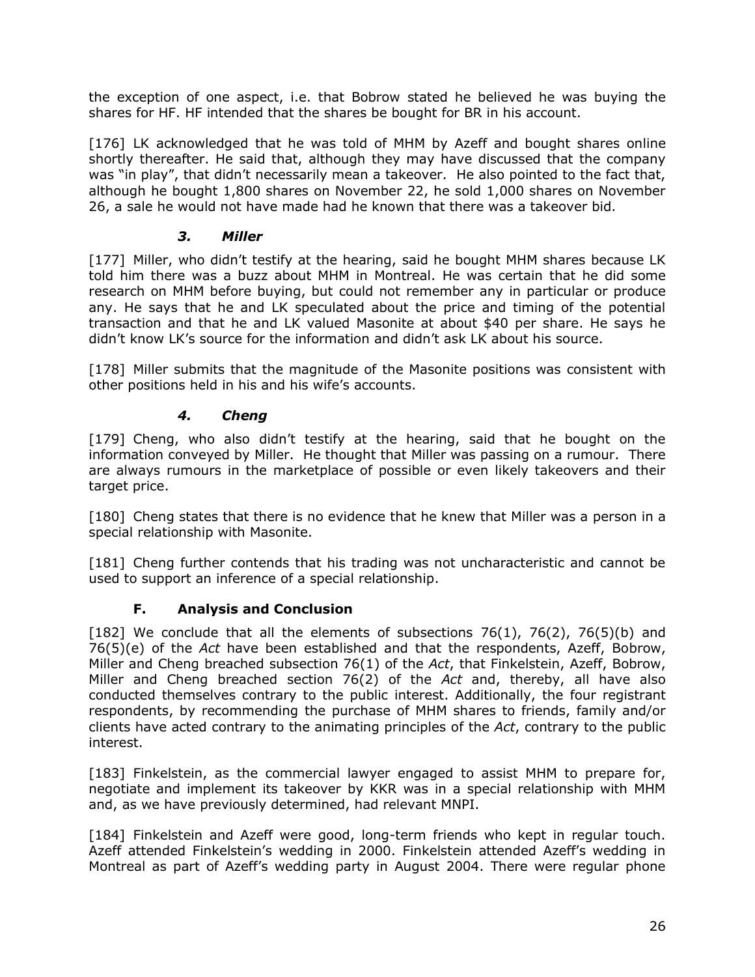the exception of one aspect, i.e. that Bobrow stated he believed he was buying the shares for HF. HF intended that the shares be bought for BR in his account.

[176] LK acknowledged that he was told of MHM by Azeff and bought shares online shortly thereafter. He said that, although they may have discussed that the company was "in play", that didn't necessarily mean a takeover. He also pointed to the fact that, although he bought 1,800 shares on November 22, he sold 1,000 shares on November 26, a sale he would not have made had he known that there was a takeover bid.

## *3. Miller*

<span id="page-28-0"></span>[177] Miller, who didn't testify at the hearing, said he bought MHM shares because LK told him there was a buzz about MHM in Montreal. He was certain that he did some research on MHM before buying, but could not remember any in particular or produce any. He says that he and LK speculated about the price and timing of the potential transaction and that he and LK valued Masonite at about \$40 per share. He says he didn't know LK's source for the information and didn't ask LK about his source.

[178] Miller submits that the magnitude of the Masonite positions was consistent with other positions held in his and his wife's accounts.

### *4. Cheng*

<span id="page-28-1"></span>[179] Cheng, who also didn't testify at the hearing, said that he bought on the information conveyed by Miller. He thought that Miller was passing on a rumour. There are always rumours in the marketplace of possible or even likely takeovers and their target price.

[180] Cheng states that there is no evidence that he knew that Miller was a person in a special relationship with Masonite.

[181] Cheng further contends that his trading was not uncharacteristic and cannot be used to support an inference of a special relationship.

### **F. Analysis and Conclusion**

<span id="page-28-2"></span>[182] We conclude that all the elements of subsections  $76(1)$ ,  $76(2)$ ,  $76(5)(b)$  and 76(5)(e) of the *Act* have been established and that the respondents, Azeff, Bobrow, Miller and Cheng breached subsection 76(1) of the *Act*, that Finkelstein, Azeff, Bobrow, Miller and Cheng breached section 76(2) of the *Act* and, thereby, all have also conducted themselves contrary to the public interest. Additionally, the four registrant respondents, by recommending the purchase of MHM shares to friends, family and/or clients have acted contrary to the animating principles of the *Act*, contrary to the public interest.

[183] Finkelstein, as the commercial lawyer engaged to assist MHM to prepare for, negotiate and implement its takeover by KKR was in a special relationship with MHM and, as we have previously determined, had relevant MNPI.

[184] Finkelstein and Azeff were good, long-term friends who kept in regular touch. Azeff attended Finkelstein's wedding in 2000. Finkelstein attended Azeff's wedding in Montreal as part of Azeff's wedding party in August 2004. There were regular phone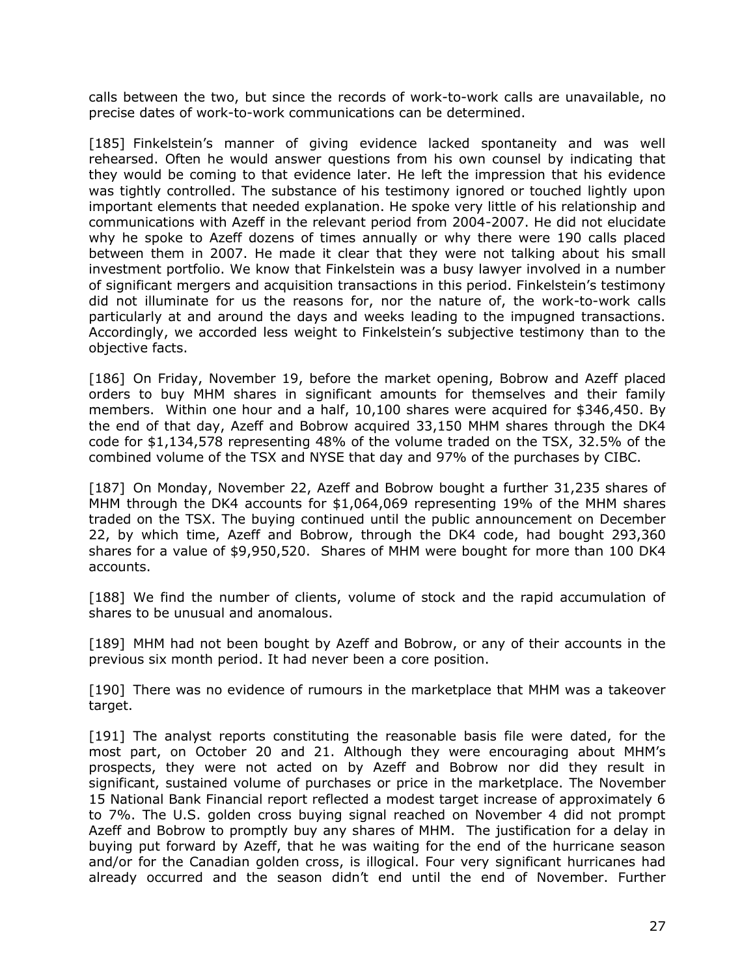calls between the two, but since the records of work-to-work calls are unavailable, no precise dates of work-to-work communications can be determined.

[185] Finkelstein's manner of giving evidence lacked spontaneity and was well rehearsed. Often he would answer questions from his own counsel by indicating that they would be coming to that evidence later. He left the impression that his evidence was tightly controlled. The substance of his testimony ignored or touched lightly upon important elements that needed explanation. He spoke very little of his relationship and communications with Azeff in the relevant period from 2004-2007. He did not elucidate why he spoke to Azeff dozens of times annually or why there were 190 calls placed between them in 2007. He made it clear that they were not talking about his small investment portfolio. We know that Finkelstein was a busy lawyer involved in a number of significant mergers and acquisition transactions in this period. Finkelstein's testimony did not illuminate for us the reasons for, nor the nature of, the work-to-work calls particularly at and around the days and weeks leading to the impugned transactions. Accordingly, we accorded less weight to Finkelstein's subjective testimony than to the objective facts.

[186] On Friday, November 19, before the market opening, Bobrow and Azeff placed orders to buy MHM shares in significant amounts for themselves and their family members. Within one hour and a half, 10,100 shares were acquired for \$346,450. By the end of that day, Azeff and Bobrow acquired 33,150 MHM shares through the DK4 code for \$1,134,578 representing 48% of the volume traded on the TSX, 32.5% of the combined volume of the TSX and NYSE that day and 97% of the purchases by CIBC.

[187] On Monday, November 22, Azeff and Bobrow bought a further 31,235 shares of MHM through the DK4 accounts for \$1,064,069 representing 19% of the MHM shares traded on the TSX. The buying continued until the public announcement on December 22, by which time, Azeff and Bobrow, through the DK4 code, had bought 293,360 shares for a value of \$9,950,520. Shares of MHM were bought for more than 100 DK4 accounts.

[188] We find the number of clients, volume of stock and the rapid accumulation of shares to be unusual and anomalous.

[189] MHM had not been bought by Azeff and Bobrow, or any of their accounts in the previous six month period. It had never been a core position.

[190] There was no evidence of rumours in the marketplace that MHM was a takeover target.

[191] The analyst reports constituting the reasonable basis file were dated, for the most part, on October 20 and 21. Although they were encouraging about MHM's prospects, they were not acted on by Azeff and Bobrow nor did they result in significant, sustained volume of purchases or price in the marketplace. The November 15 National Bank Financial report reflected a modest target increase of approximately 6 to 7%. The U.S. golden cross buying signal reached on November 4 did not prompt Azeff and Bobrow to promptly buy any shares of MHM. The justification for a delay in buying put forward by Azeff, that he was waiting for the end of the hurricane season and/or for the Canadian golden cross, is illogical. Four very significant hurricanes had already occurred and the season didn't end until the end of November. Further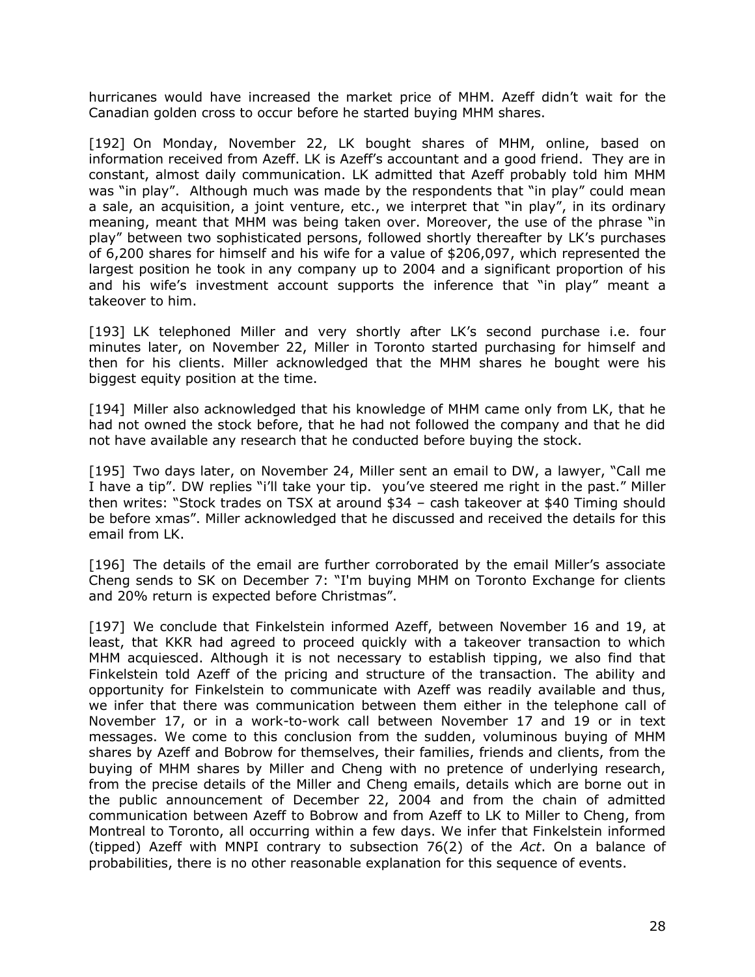hurricanes would have increased the market price of MHM. Azeff didn't wait for the Canadian golden cross to occur before he started buying MHM shares.

[192] On Monday, November 22, LK bought shares of MHM, online, based on information received from Azeff. LK is Azeff's accountant and a good friend. They are in constant, almost daily communication. LK admitted that Azeff probably told him MHM was "in play". Although much was made by the respondents that "in play" could mean a sale, an acquisition, a joint venture, etc., we interpret that "in play", in its ordinary meaning, meant that MHM was being taken over. Moreover, the use of the phrase "in play" between two sophisticated persons, followed shortly thereafter by LK's purchases of 6,200 shares for himself and his wife for a value of \$206,097, which represented the largest position he took in any company up to 2004 and a significant proportion of his and his wife's investment account supports the inference that "in play" meant a takeover to him.

[193] LK telephoned Miller and very shortly after LK's second purchase i.e. four minutes later, on November 22, Miller in Toronto started purchasing for himself and then for his clients. Miller acknowledged that the MHM shares he bought were his biggest equity position at the time.

[194] Miller also acknowledged that his knowledge of MHM came only from LK, that he had not owned the stock before, that he had not followed the company and that he did not have available any research that he conducted before buying the stock.

[195] Two days later, on November 24, Miller sent an email to DW, a lawyer, "Call me I have a tip". DW replies "i'll take your tip. you've steered me right in the past." Miller then writes: "Stock trades on TSX at around \$34 – cash takeover at \$40 Timing should be before xmas". Miller acknowledged that he discussed and received the details for this email from LK.

[196] The details of the email are further corroborated by the email Miller's associate Cheng sends to SK on December 7: "I'm buying MHM on Toronto Exchange for clients and 20% return is expected before Christmas".

[197] We conclude that Finkelstein informed Azeff, between November 16 and 19, at least, that KKR had agreed to proceed quickly with a takeover transaction to which MHM acquiesced. Although it is not necessary to establish tipping, we also find that Finkelstein told Azeff of the pricing and structure of the transaction. The ability and opportunity for Finkelstein to communicate with Azeff was readily available and thus, we infer that there was communication between them either in the telephone call of November 17, or in a work-to-work call between November 17 and 19 or in text messages. We come to this conclusion from the sudden, voluminous buying of MHM shares by Azeff and Bobrow for themselves, their families, friends and clients, from the buying of MHM shares by Miller and Cheng with no pretence of underlying research, from the precise details of the Miller and Cheng emails, details which are borne out in the public announcement of December 22, 2004 and from the chain of admitted communication between Azeff to Bobrow and from Azeff to LK to Miller to Cheng, from Montreal to Toronto, all occurring within a few days. We infer that Finkelstein informed (tipped) Azeff with MNPI contrary to subsection 76(2) of the *Act*. On a balance of probabilities, there is no other reasonable explanation for this sequence of events.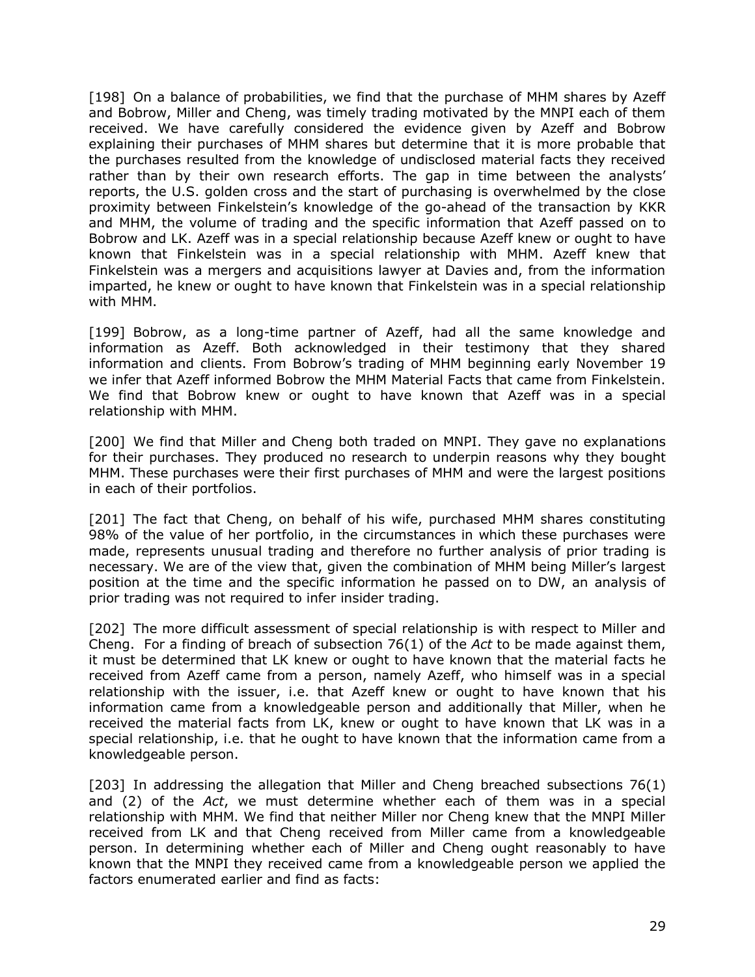[198] On a balance of probabilities, we find that the purchase of MHM shares by Azeff and Bobrow, Miller and Cheng, was timely trading motivated by the MNPI each of them received. We have carefully considered the evidence given by Azeff and Bobrow explaining their purchases of MHM shares but determine that it is more probable that the purchases resulted from the knowledge of undisclosed material facts they received rather than by their own research efforts. The gap in time between the analysts' reports, the U.S. golden cross and the start of purchasing is overwhelmed by the close proximity between Finkelstein's knowledge of the go-ahead of the transaction by KKR and MHM, the volume of trading and the specific information that Azeff passed on to Bobrow and LK. Azeff was in a special relationship because Azeff knew or ought to have known that Finkelstein was in a special relationship with MHM. Azeff knew that Finkelstein was a mergers and acquisitions lawyer at Davies and, from the information imparted, he knew or ought to have known that Finkelstein was in a special relationship with MHM.

[199] Bobrow, as a long-time partner of Azeff, had all the same knowledge and information as Azeff. Both acknowledged in their testimony that they shared information and clients. From Bobrow's trading of MHM beginning early November 19 we infer that Azeff informed Bobrow the MHM Material Facts that came from Finkelstein. We find that Bobrow knew or ought to have known that Azeff was in a special relationship with MHM.

[200] We find that Miller and Cheng both traded on MNPI. They gave no explanations for their purchases. They produced no research to underpin reasons why they bought MHM. These purchases were their first purchases of MHM and were the largest positions in each of their portfolios.

[201] The fact that Cheng, on behalf of his wife, purchased MHM shares constituting 98% of the value of her portfolio, in the circumstances in which these purchases were made, represents unusual trading and therefore no further analysis of prior trading is necessary. We are of the view that, given the combination of MHM being Miller's largest position at the time and the specific information he passed on to DW, an analysis of prior trading was not required to infer insider trading.

[202] The more difficult assessment of special relationship is with respect to Miller and Cheng. For a finding of breach of subsection 76(1) of the *Act* to be made against them, it must be determined that LK knew or ought to have known that the material facts he received from Azeff came from a person, namely Azeff, who himself was in a special relationship with the issuer, i.e. that Azeff knew or ought to have known that his information came from a knowledgeable person and additionally that Miller, when he received the material facts from LK, knew or ought to have known that LK was in a special relationship, i.e. that he ought to have known that the information came from a knowledgeable person.

[203] In addressing the allegation that Miller and Cheng breached subsections 76(1) and (2) of the *Act*, we must determine whether each of them was in a special relationship with MHM. We find that neither Miller nor Cheng knew that the MNPI Miller received from LK and that Cheng received from Miller came from a knowledgeable person. In determining whether each of Miller and Cheng ought reasonably to have known that the MNPI they received came from a knowledgeable person we applied the factors enumerated earlier and find as facts: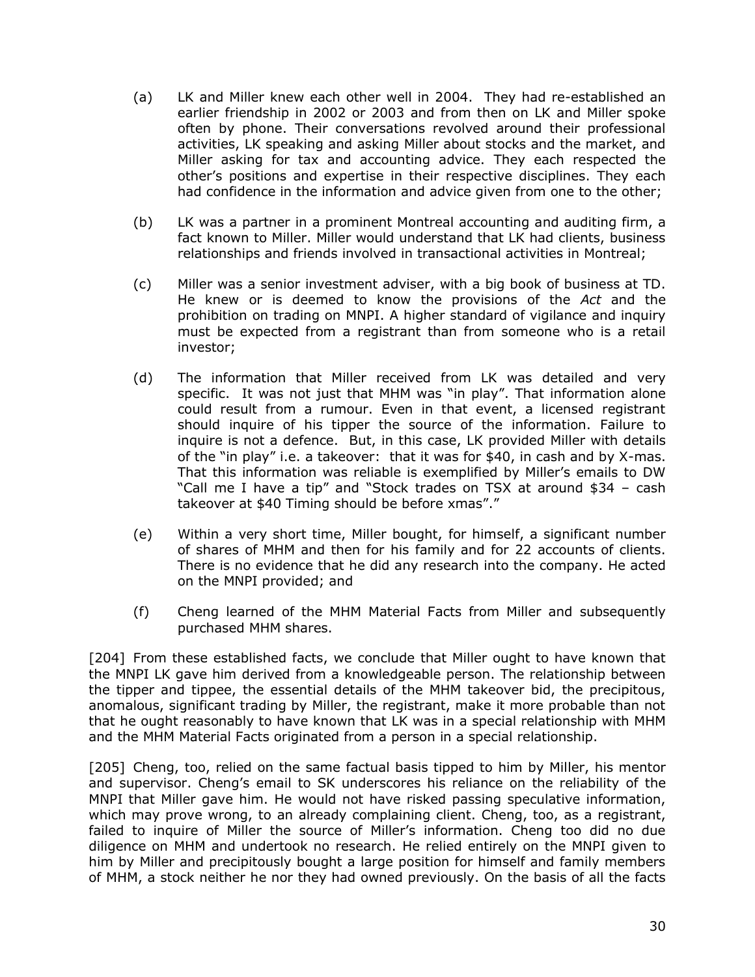- (a) LK and Miller knew each other well in 2004. They had re-established an earlier friendship in 2002 or 2003 and from then on LK and Miller spoke often by phone. Their conversations revolved around their professional activities, LK speaking and asking Miller about stocks and the market, and Miller asking for tax and accounting advice. They each respected the other's positions and expertise in their respective disciplines. They each had confidence in the information and advice given from one to the other;
- (b) LK was a partner in a prominent Montreal accounting and auditing firm, a fact known to Miller. Miller would understand that LK had clients, business relationships and friends involved in transactional activities in Montreal;
- (c) Miller was a senior investment adviser, with a big book of business at TD. He knew or is deemed to know the provisions of the *Act* and the prohibition on trading on MNPI. A higher standard of vigilance and inquiry must be expected from a registrant than from someone who is a retail investor;
- (d) The information that Miller received from LK was detailed and very specific. It was not just that MHM was "in play". That information alone could result from a rumour. Even in that event, a licensed registrant should inquire of his tipper the source of the information. Failure to inquire is not a defence. But, in this case, LK provided Miller with details of the "in play" i.e. a takeover: that it was for \$40, in cash and by X-mas. That this information was reliable is exemplified by Miller's emails to DW "Call me I have a tip" and "Stock trades on TSX at around \$34 – cash takeover at \$40 Timing should be before xmas"."
- (e) Within a very short time, Miller bought, for himself, a significant number of shares of MHM and then for his family and for 22 accounts of clients. There is no evidence that he did any research into the company. He acted on the MNPI provided; and
- (f) Cheng learned of the MHM Material Facts from Miller and subsequently purchased MHM shares.

[204] From these established facts, we conclude that Miller ought to have known that the MNPI LK gave him derived from a knowledgeable person. The relationship between the tipper and tippee, the essential details of the MHM takeover bid, the precipitous, anomalous, significant trading by Miller, the registrant, make it more probable than not that he ought reasonably to have known that LK was in a special relationship with MHM and the MHM Material Facts originated from a person in a special relationship.

[205] Cheng, too, relied on the same factual basis tipped to him by Miller, his mentor and supervisor. Cheng's email to SK underscores his reliance on the reliability of the MNPI that Miller gave him. He would not have risked passing speculative information, which may prove wrong, to an already complaining client. Cheng, too, as a registrant, failed to inquire of Miller the source of Miller's information. Cheng too did no due diligence on MHM and undertook no research. He relied entirely on the MNPI given to him by Miller and precipitously bought a large position for himself and family members of MHM, a stock neither he nor they had owned previously. On the basis of all the facts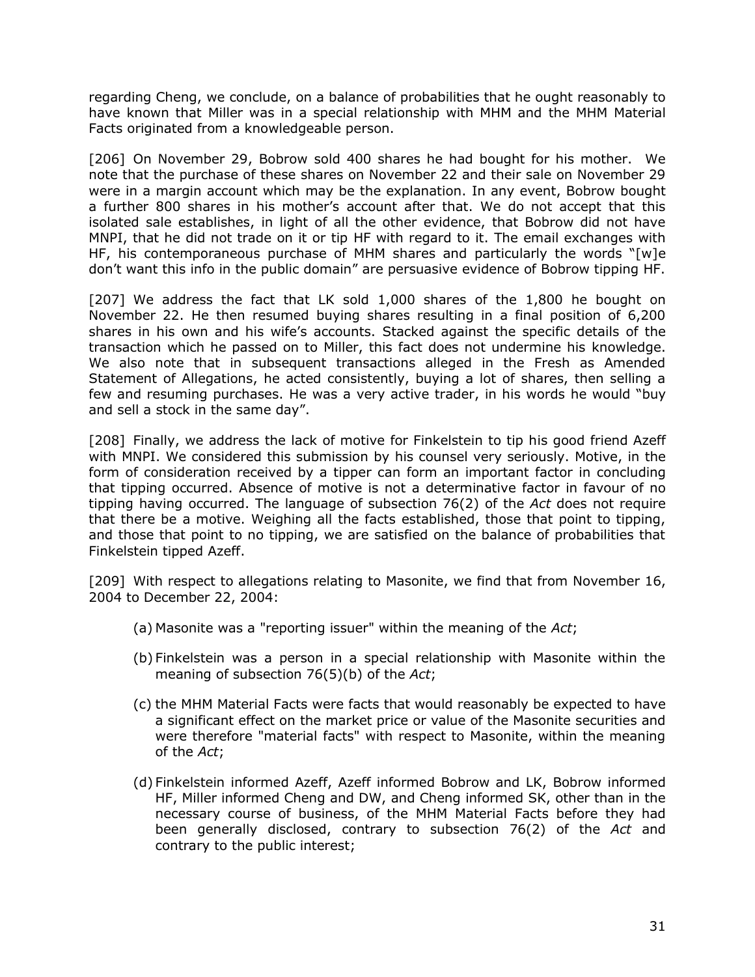regarding Cheng, we conclude, on a balance of probabilities that he ought reasonably to have known that Miller was in a special relationship with MHM and the MHM Material Facts originated from a knowledgeable person.

[206] On November 29, Bobrow sold 400 shares he had bought for his mother. We note that the purchase of these shares on November 22 and their sale on November 29 were in a margin account which may be the explanation. In any event, Bobrow bought a further 800 shares in his mother's account after that. We do not accept that this isolated sale establishes, in light of all the other evidence, that Bobrow did not have MNPI, that he did not trade on it or tip HF with regard to it. The email exchanges with HF, his contemporaneous purchase of MHM shares and particularly the words "[w]e don't want this info in the public domain" are persuasive evidence of Bobrow tipping HF.

[207] We address the fact that LK sold 1,000 shares of the 1,800 he bought on November 22. He then resumed buying shares resulting in a final position of 6,200 shares in his own and his wife's accounts. Stacked against the specific details of the transaction which he passed on to Miller, this fact does not undermine his knowledge. We also note that in subsequent transactions alleged in the Fresh as Amended Statement of Allegations, he acted consistently, buying a lot of shares, then selling a few and resuming purchases. He was a very active trader, in his words he would "buy and sell a stock in the same day".

[208] Finally, we address the lack of motive for Finkelstein to tip his good friend Azeff with MNPI. We considered this submission by his counsel very seriously. Motive, in the form of consideration received by a tipper can form an important factor in concluding that tipping occurred. Absence of motive is not a determinative factor in favour of no tipping having occurred. The language of subsection 76(2) of the *Act* does not require that there be a motive. Weighing all the facts established, those that point to tipping, and those that point to no tipping, we are satisfied on the balance of probabilities that Finkelstein tipped Azeff.

[209] With respect to allegations relating to Masonite, we find that from November 16, 2004 to December 22, 2004:

- (a) Masonite was a "reporting issuer" within the meaning of the *Act*;
- (b) Finkelstein was a person in a special relationship with Masonite within the meaning of subsection 76(5)(b) of the *Act*;
- (c) the MHM Material Facts were facts that would reasonably be expected to have a significant effect on the market price or value of the Masonite securities and were therefore "material facts" with respect to Masonite, within the meaning of the *Act*;
- (d) Finkelstein informed Azeff, Azeff informed Bobrow and LK, Bobrow informed HF, Miller informed Cheng and DW, and Cheng informed SK, other than in the necessary course of business, of the MHM Material Facts before they had been generally disclosed, contrary to subsection 76(2) of the *Act* and contrary to the public interest;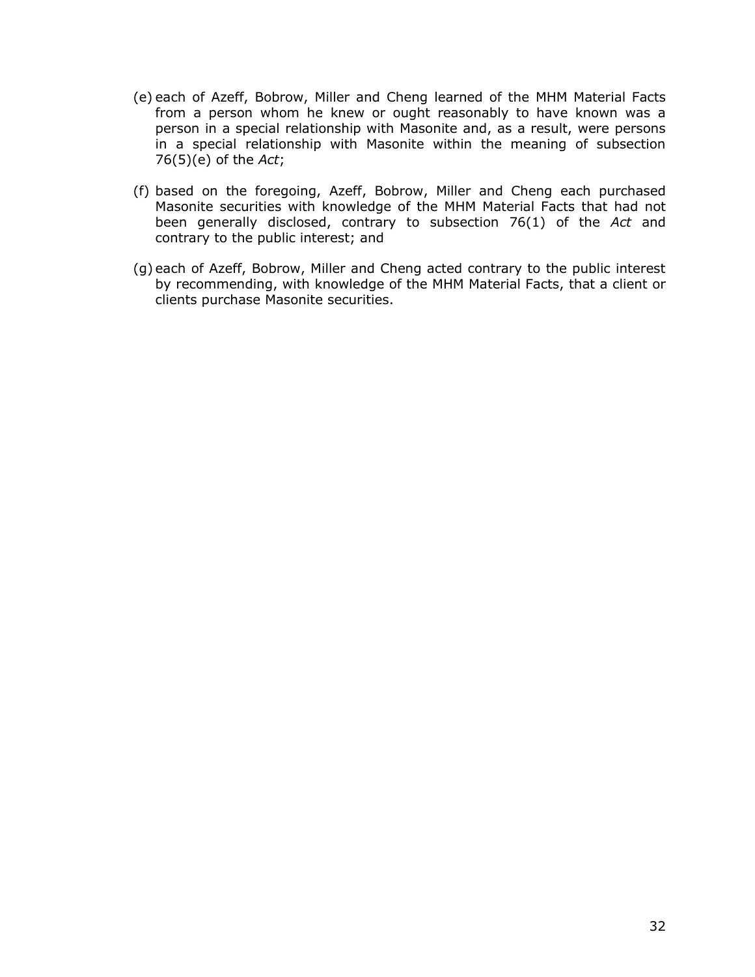- (e) each of Azeff, Bobrow, Miller and Cheng learned of the MHM Material Facts from a person whom he knew or ought reasonably to have known was a person in a special relationship with Masonite and, as a result, were persons in a special relationship with Masonite within the meaning of subsection 76(5)(e) of the *Act*;
- (f) based on the foregoing, Azeff, Bobrow, Miller and Cheng each purchased Masonite securities with knowledge of the MHM Material Facts that had not been generally disclosed, contrary to subsection 76(1) of the *Act* and contrary to the public interest; and
- (g) each of Azeff, Bobrow, Miller and Cheng acted contrary to the public interest by recommending, with knowledge of the MHM Material Facts, that a client or clients purchase Masonite securities.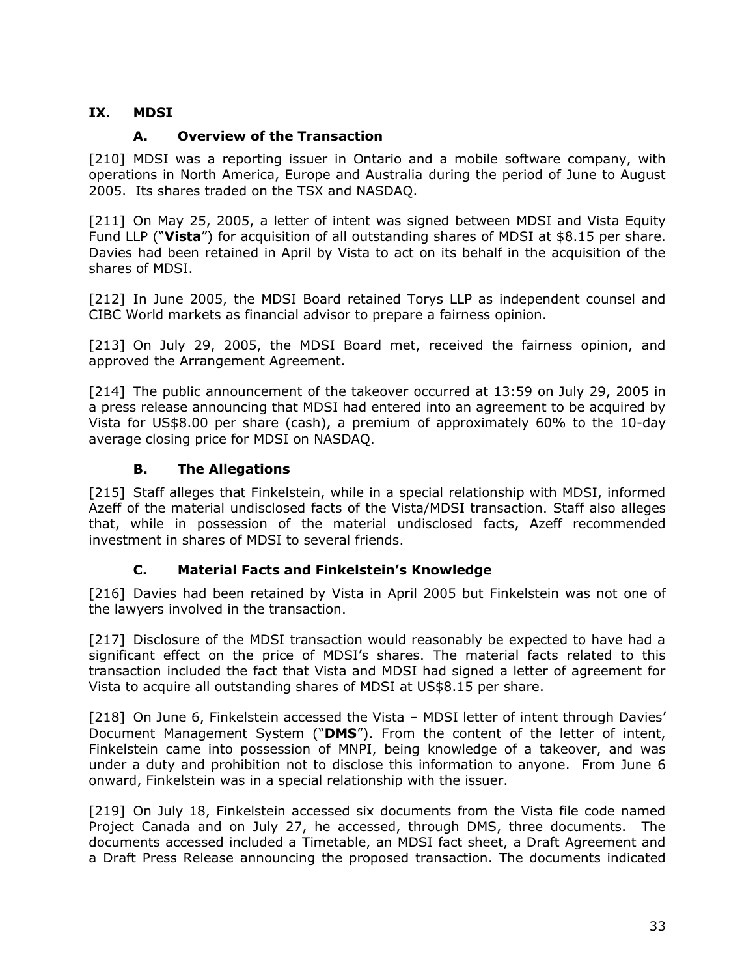## <span id="page-35-0"></span>**IX. MDSI**

### **A. Overview of the Transaction**

<span id="page-35-1"></span>[210] MDSI was a reporting issuer in Ontario and a mobile software company, with operations in North America, Europe and Australia during the period of June to August 2005. Its shares traded on the TSX and NASDAQ.

[211] On May 25, 2005, a letter of intent was signed between MDSI and Vista Equity Fund LLP ("**Vista**") for acquisition of all outstanding shares of MDSI at \$8.15 per share. Davies had been retained in April by Vista to act on its behalf in the acquisition of the shares of MDSI.

[212] In June 2005, the MDSI Board retained Torys LLP as independent counsel and CIBC World markets as financial advisor to prepare a fairness opinion.

[213] On July 29, 2005, the MDSI Board met, received the fairness opinion, and approved the Arrangement Agreement.

[214] The public announcement of the takeover occurred at 13:59 on July 29, 2005 in a press release announcing that MDSI had entered into an agreement to be acquired by Vista for US\$8.00 per share (cash), a premium of approximately 60% to the 10-day average closing price for MDSI on NASDAQ.

#### **B. The Allegations**

<span id="page-35-2"></span>[215] Staff alleges that Finkelstein, while in a special relationship with MDSI, informed Azeff of the material undisclosed facts of the Vista/MDSI transaction. Staff also alleges that, while in possession of the material undisclosed facts, Azeff recommended investment in shares of MDSI to several friends.

### **C. Material Facts and Finkelstein's Knowledge**

<span id="page-35-3"></span>[216] Davies had been retained by Vista in April 2005 but Finkelstein was not one of the lawyers involved in the transaction.

[217] Disclosure of the MDSI transaction would reasonably be expected to have had a significant effect on the price of MDSI's shares. The material facts related to this transaction included the fact that Vista and MDSI had signed a letter of agreement for Vista to acquire all outstanding shares of MDSI at US\$8.15 per share.

[218] On June 6, Finkelstein accessed the Vista – MDSI letter of intent through Davies' Document Management System ("**DMS**"). From the content of the letter of intent, Finkelstein came into possession of MNPI, being knowledge of a takeover, and was under a duty and prohibition not to disclose this information to anyone. From June 6 onward, Finkelstein was in a special relationship with the issuer.

[219] On July 18, Finkelstein accessed six documents from the Vista file code named Project Canada and on July 27, he accessed, through DMS, three documents. The documents accessed included a Timetable, an MDSI fact sheet, a Draft Agreement and a Draft Press Release announcing the proposed transaction. The documents indicated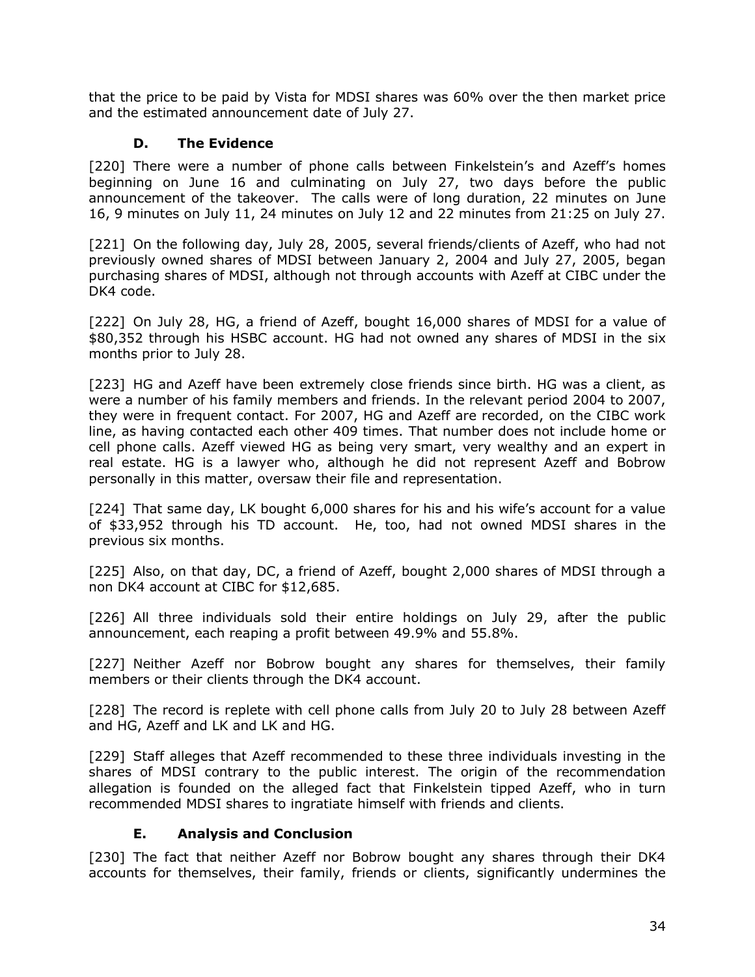that the price to be paid by Vista for MDSI shares was 60% over the then market price and the estimated announcement date of July 27.

## **D. The Evidence**

<span id="page-36-0"></span>[220] There were a number of phone calls between Finkelstein's and Azeff's homes beginning on June 16 and culminating on July 27, two days before the public announcement of the takeover. The calls were of long duration, 22 minutes on June 16, 9 minutes on July 11, 24 minutes on July 12 and 22 minutes from 21:25 on July 27.

[221] On the following day, July 28, 2005, several friends/clients of Azeff, who had not previously owned shares of MDSI between January 2, 2004 and July 27, 2005, began purchasing shares of MDSI, although not through accounts with Azeff at CIBC under the DK4 code.

[222] On July 28, HG, a friend of Azeff, bought 16,000 shares of MDSI for a value of \$80,352 through his HSBC account. HG had not owned any shares of MDSI in the six months prior to July 28.

[223] HG and Azeff have been extremely close friends since birth. HG was a client, as were a number of his family members and friends. In the relevant period 2004 to 2007, they were in frequent contact. For 2007, HG and Azeff are recorded, on the CIBC work line, as having contacted each other 409 times. That number does not include home or cell phone calls. Azeff viewed HG as being very smart, very wealthy and an expert in real estate. HG is a lawyer who, although he did not represent Azeff and Bobrow personally in this matter, oversaw their file and representation.

[224] That same day, LK bought 6,000 shares for his and his wife's account for a value of \$33,952 through his TD account. He, too, had not owned MDSI shares in the previous six months.

[225] Also, on that day, DC, a friend of Azeff, bought 2,000 shares of MDSI through a non DK4 account at CIBC for \$12,685.

[226] All three individuals sold their entire holdings on July 29, after the public announcement, each reaping a profit between 49.9% and 55.8%.

[227] Neither Azeff nor Bobrow bought any shares for themselves, their family members or their clients through the DK4 account.

[228] The record is replete with cell phone calls from July 20 to July 28 between Azeff and HG, Azeff and LK and LK and HG.

[229] Staff alleges that Azeff recommended to these three individuals investing in the shares of MDSI contrary to the public interest. The origin of the recommendation allegation is founded on the alleged fact that Finkelstein tipped Azeff, who in turn recommended MDSI shares to ingratiate himself with friends and clients.

### **E. Analysis and Conclusion**

<span id="page-36-1"></span>[230] The fact that neither Azeff nor Bobrow bought any shares through their DK4 accounts for themselves, their family, friends or clients, significantly undermines the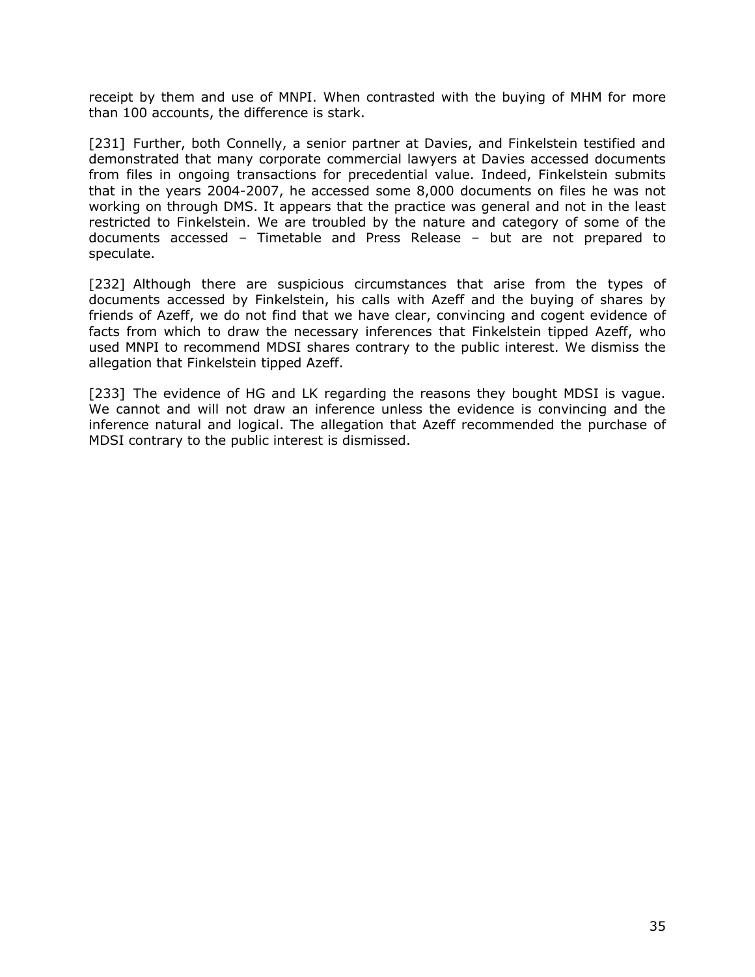receipt by them and use of MNPI. When contrasted with the buying of MHM for more than 100 accounts, the difference is stark.

[231] Further, both Connelly, a senior partner at Davies, and Finkelstein testified and demonstrated that many corporate commercial lawyers at Davies accessed documents from files in ongoing transactions for precedential value. Indeed, Finkelstein submits that in the years 2004-2007, he accessed some 8,000 documents on files he was not working on through DMS. It appears that the practice was general and not in the least restricted to Finkelstein. We are troubled by the nature and category of some of the documents accessed – Timetable and Press Release – but are not prepared to speculate.

[232] Although there are suspicious circumstances that arise from the types of documents accessed by Finkelstein, his calls with Azeff and the buying of shares by friends of Azeff, we do not find that we have clear, convincing and cogent evidence of facts from which to draw the necessary inferences that Finkelstein tipped Azeff, who used MNPI to recommend MDSI shares contrary to the public interest. We dismiss the allegation that Finkelstein tipped Azeff.

[233] The evidence of HG and LK regarding the reasons they bought MDSI is vague. We cannot and will not draw an inference unless the evidence is convincing and the inference natural and logical. The allegation that Azeff recommended the purchase of MDSI contrary to the public interest is dismissed.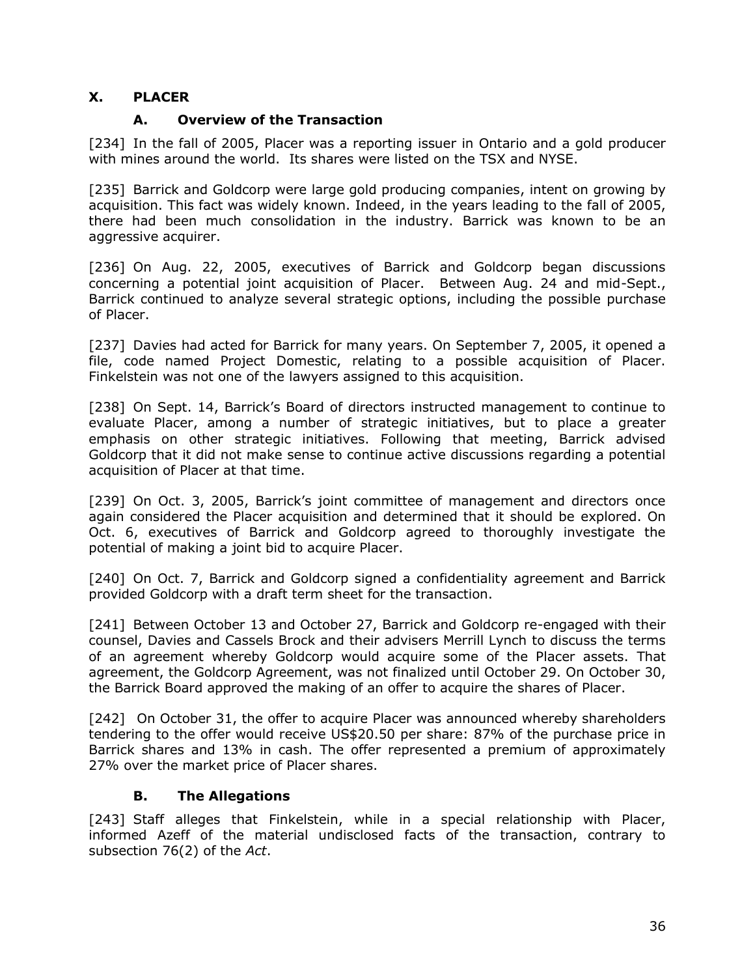### <span id="page-38-0"></span>**X. PLACER**

### **A. Overview of the Transaction**

<span id="page-38-1"></span>[234] In the fall of 2005, Placer was a reporting issuer in Ontario and a gold producer with mines around the world. Its shares were listed on the TSX and NYSE.

[235] Barrick and Goldcorp were large gold producing companies, intent on growing by acquisition. This fact was widely known. Indeed, in the years leading to the fall of 2005, there had been much consolidation in the industry. Barrick was known to be an aggressive acquirer.

[236] On Aug. 22, 2005, executives of Barrick and Goldcorp began discussions concerning a potential joint acquisition of Placer. Between Aug. 24 and mid-Sept., Barrick continued to analyze several strategic options, including the possible purchase of Placer.

[237] Davies had acted for Barrick for many years. On September 7, 2005, it opened a file, code named Project Domestic, relating to a possible acquisition of Placer. Finkelstein was not one of the lawyers assigned to this acquisition.

[238] On Sept. 14, Barrick's Board of directors instructed management to continue to evaluate Placer, among a number of strategic initiatives, but to place a greater emphasis on other strategic initiatives. Following that meeting, Barrick advised Goldcorp that it did not make sense to continue active discussions regarding a potential acquisition of Placer at that time.

[239] On Oct. 3, 2005, Barrick's joint committee of management and directors once again considered the Placer acquisition and determined that it should be explored. On Oct. 6, executives of Barrick and Goldcorp agreed to thoroughly investigate the potential of making a joint bid to acquire Placer.

[240] On Oct. 7, Barrick and Goldcorp signed a confidentiality agreement and Barrick provided Goldcorp with a draft term sheet for the transaction.

[241] Between October 13 and October 27, Barrick and Goldcorp re-engaged with their counsel, Davies and Cassels Brock and their advisers Merrill Lynch to discuss the terms of an agreement whereby Goldcorp would acquire some of the Placer assets. That agreement, the Goldcorp Agreement, was not finalized until October 29. On October 30, the Barrick Board approved the making of an offer to acquire the shares of Placer.

[242] On October 31, the offer to acquire Placer was announced whereby shareholders tendering to the offer would receive US\$20.50 per share: 87% of the purchase price in Barrick shares and 13% in cash. The offer represented a premium of approximately 27% over the market price of Placer shares.

### **B. The Allegations**

<span id="page-38-2"></span>[243] Staff alleges that Finkelstein, while in a special relationship with Placer, informed Azeff of the material undisclosed facts of the transaction, contrary to subsection 76(2) of the *Act*.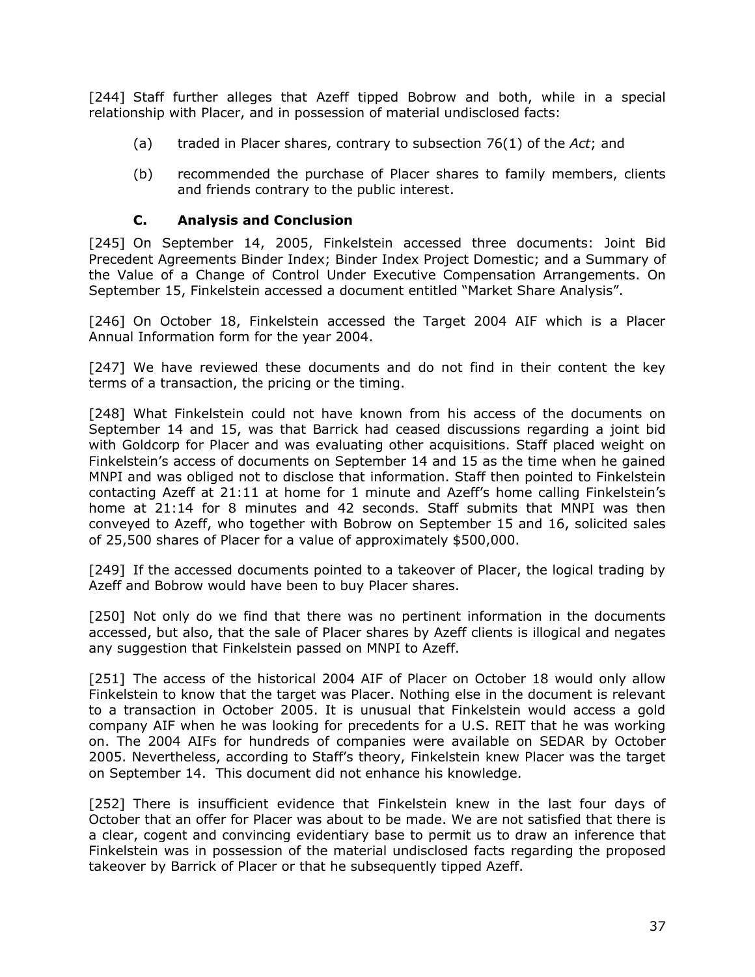[244] Staff further alleges that Azeff tipped Bobrow and both, while in a special relationship with Placer, and in possession of material undisclosed facts:

- (a) traded in Placer shares, contrary to subsection 76(1) of the *Act*; and
- (b) recommended the purchase of Placer shares to family members, clients and friends contrary to the public interest.

#### **C. Analysis and Conclusion**

<span id="page-39-0"></span>[245] On September 14, 2005, Finkelstein accessed three documents: Joint Bid Precedent Agreements Binder Index; Binder Index Project Domestic; and a Summary of the Value of a Change of Control Under Executive Compensation Arrangements. On September 15, Finkelstein accessed a document entitled "Market Share Analysis".

[246] On October 18, Finkelstein accessed the Target 2004 AIF which is a Placer Annual Information form for the year 2004.

[247] We have reviewed these documents and do not find in their content the key terms of a transaction, the pricing or the timing.

[248] What Finkelstein could not have known from his access of the documents on September 14 and 15, was that Barrick had ceased discussions regarding a joint bid with Goldcorp for Placer and was evaluating other acquisitions. Staff placed weight on Finkelstein's access of documents on September 14 and 15 as the time when he gained MNPI and was obliged not to disclose that information. Staff then pointed to Finkelstein contacting Azeff at 21:11 at home for 1 minute and Azeff's home calling Finkelstein's home at 21:14 for 8 minutes and 42 seconds. Staff submits that MNPI was then conveyed to Azeff, who together with Bobrow on September 15 and 16, solicited sales of 25,500 shares of Placer for a value of approximately \$500,000.

[249] If the accessed documents pointed to a takeover of Placer, the logical trading by Azeff and Bobrow would have been to buy Placer shares.

[250] Not only do we find that there was no pertinent information in the documents accessed, but also, that the sale of Placer shares by Azeff clients is illogical and negates any suggestion that Finkelstein passed on MNPI to Azeff.

[251] The access of the historical 2004 AIF of Placer on October 18 would only allow Finkelstein to know that the target was Placer. Nothing else in the document is relevant to a transaction in October 2005. It is unusual that Finkelstein would access a gold company AIF when he was looking for precedents for a U.S. REIT that he was working on. The 2004 AIFs for hundreds of companies were available on SEDAR by October 2005. Nevertheless, according to Staff's theory, Finkelstein knew Placer was the target on September 14. This document did not enhance his knowledge.

[252] There is insufficient evidence that Finkelstein knew in the last four days of October that an offer for Placer was about to be made. We are not satisfied that there is a clear, cogent and convincing evidentiary base to permit us to draw an inference that Finkelstein was in possession of the material undisclosed facts regarding the proposed takeover by Barrick of Placer or that he subsequently tipped Azeff.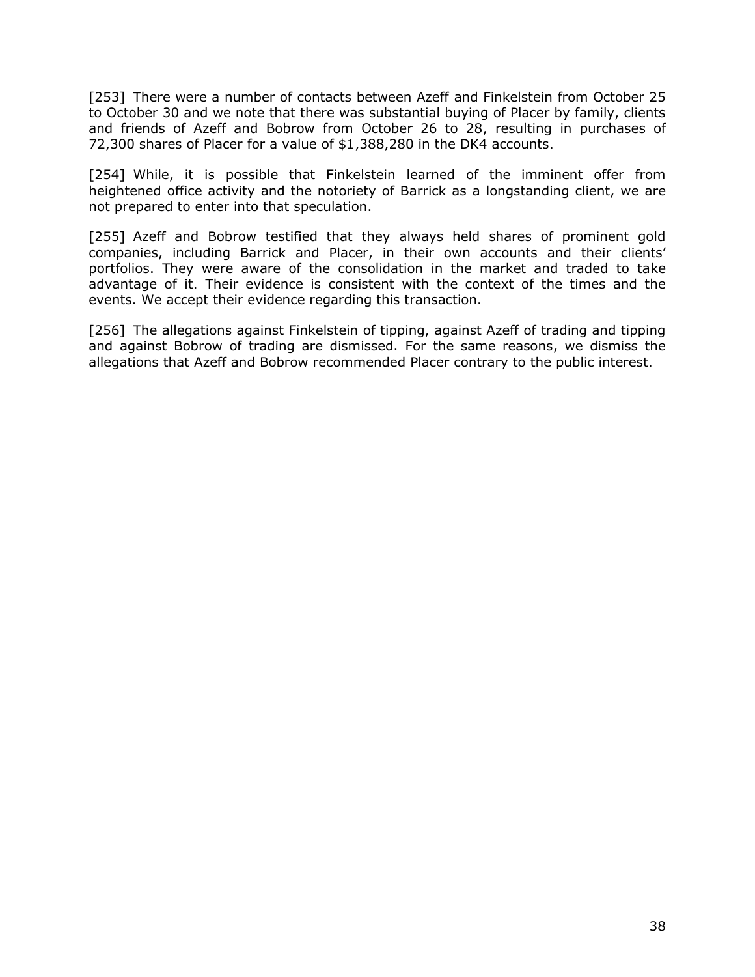[253] There were a number of contacts between Azeff and Finkelstein from October 25 to October 30 and we note that there was substantial buying of Placer by family, clients and friends of Azeff and Bobrow from October 26 to 28, resulting in purchases of 72,300 shares of Placer for a value of \$1,388,280 in the DK4 accounts.

[254] While, it is possible that Finkelstein learned of the imminent offer from heightened office activity and the notoriety of Barrick as a longstanding client, we are not prepared to enter into that speculation.

[255] Azeff and Bobrow testified that they always held shares of prominent gold companies, including Barrick and Placer, in their own accounts and their clients' portfolios. They were aware of the consolidation in the market and traded to take advantage of it. Their evidence is consistent with the context of the times and the events. We accept their evidence regarding this transaction.

<span id="page-40-0"></span>[256] The allegations against Finkelstein of tipping, against Azeff of trading and tipping and against Bobrow of trading are dismissed. For the same reasons, we dismiss the allegations that Azeff and Bobrow recommended Placer contrary to the public interest.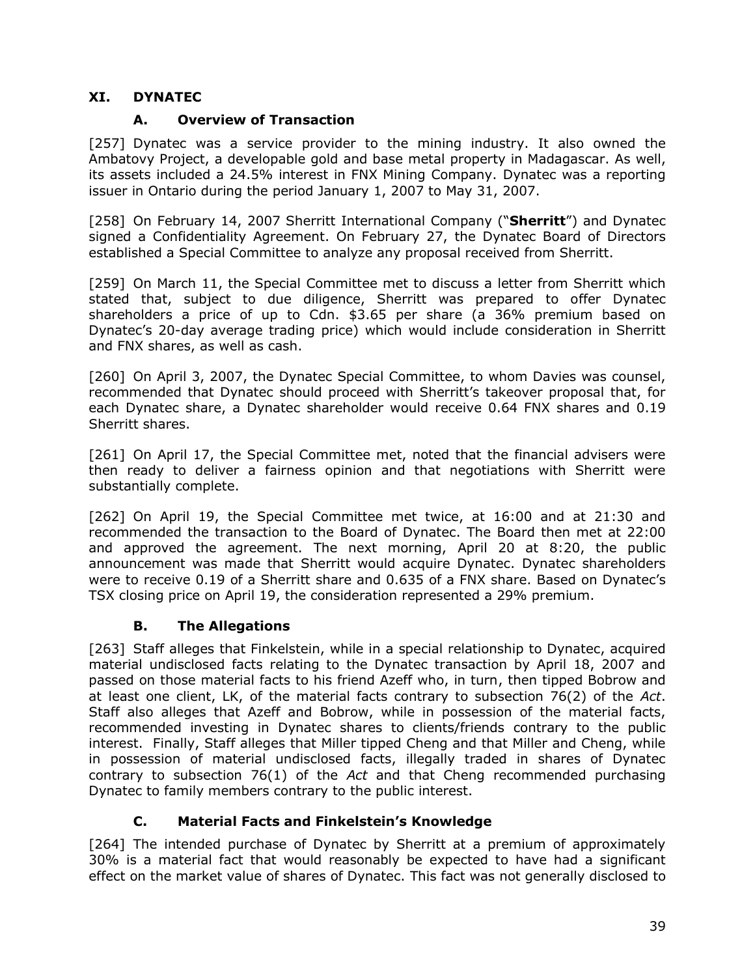### **XI. DYNATEC**

### **A. Overview of Transaction**

<span id="page-41-0"></span>[257] Dynatec was a service provider to the mining industry. It also owned the Ambatovy Project, a developable gold and base metal property in Madagascar. As well, its assets included a 24.5% interest in FNX Mining Company. Dynatec was a reporting issuer in Ontario during the period January 1, 2007 to May 31, 2007.

[258] On February 14, 2007 Sherritt International Company ("**Sherritt**") and Dynatec signed a Confidentiality Agreement. On February 27, the Dynatec Board of Directors established a Special Committee to analyze any proposal received from Sherritt.

[259] On March 11, the Special Committee met to discuss a letter from Sherritt which stated that, subject to due diligence, Sherritt was prepared to offer Dynatec shareholders a price of up to Cdn. \$3.65 per share (a 36% premium based on Dynatec's 20-day average trading price) which would include consideration in Sherritt and FNX shares, as well as cash.

[260] On April 3, 2007, the Dynatec Special Committee, to whom Davies was counsel, recommended that Dynatec should proceed with Sherritt's takeover proposal that, for each Dynatec share, a Dynatec shareholder would receive 0.64 FNX shares and 0.19 Sherritt shares.

[261] On April 17, the Special Committee met, noted that the financial advisers were then ready to deliver a fairness opinion and that negotiations with Sherritt were substantially complete.

[262] On April 19, the Special Committee met twice, at 16:00 and at 21:30 and recommended the transaction to the Board of Dynatec. The Board then met at 22:00 and approved the agreement. The next morning, April 20 at 8:20, the public announcement was made that Sherritt would acquire Dynatec. Dynatec shareholders were to receive 0.19 of a Sherritt share and 0.635 of a FNX share. Based on Dynatec's TSX closing price on April 19, the consideration represented a 29% premium.

### **B. The Allegations**

<span id="page-41-1"></span>[263] Staff alleges that Finkelstein, while in a special relationship to Dynatec, acquired material undisclosed facts relating to the Dynatec transaction by April 18, 2007 and passed on those material facts to his friend Azeff who, in turn, then tipped Bobrow and at least one client, LK, of the material facts contrary to subsection 76(2) of the *Act*. Staff also alleges that Azeff and Bobrow, while in possession of the material facts, recommended investing in Dynatec shares to clients/friends contrary to the public interest. Finally, Staff alleges that Miller tipped Cheng and that Miller and Cheng, while in possession of material undisclosed facts, illegally traded in shares of Dynatec contrary to subsection 76(1) of the *Act* and that Cheng recommended purchasing Dynatec to family members contrary to the public interest.

## **C. Material Facts and Finkelstein's Knowledge**

<span id="page-41-2"></span>[264] The intended purchase of Dynatec by Sherritt at a premium of approximately 30% is a material fact that would reasonably be expected to have had a significant effect on the market value of shares of Dynatec. This fact was not generally disclosed to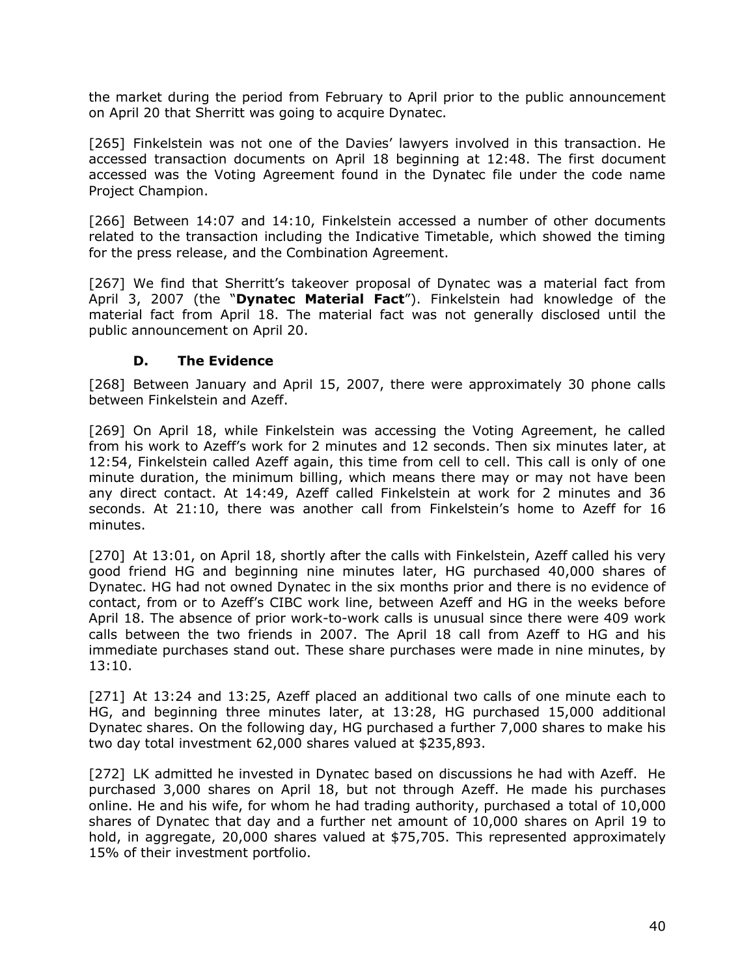the market during the period from February to April prior to the public announcement on April 20 that Sherritt was going to acquire Dynatec.

[265] Finkelstein was not one of the Davies' lawyers involved in this transaction. He accessed transaction documents on April 18 beginning at 12:48. The first document accessed was the Voting Agreement found in the Dynatec file under the code name Project Champion.

[266] Between 14:07 and 14:10, Finkelstein accessed a number of other documents related to the transaction including the Indicative Timetable, which showed the timing for the press release, and the Combination Agreement.

[267] We find that Sherritt's takeover proposal of Dynatec was a material fact from April 3, 2007 (the "**Dynatec Material Fact**"). Finkelstein had knowledge of the material fact from April 18. The material fact was not generally disclosed until the public announcement on April 20.

#### **D. The Evidence**

<span id="page-42-0"></span>[268] Between January and April 15, 2007, there were approximately 30 phone calls between Finkelstein and Azeff.

[269] On April 18, while Finkelstein was accessing the Voting Agreement, he called from his work to Azeff's work for 2 minutes and 12 seconds. Then six minutes later, at 12:54, Finkelstein called Azeff again, this time from cell to cell. This call is only of one minute duration, the minimum billing, which means there may or may not have been any direct contact. At 14:49, Azeff called Finkelstein at work for 2 minutes and 36 seconds. At 21:10, there was another call from Finkelstein's home to Azeff for 16 minutes.

[270] At 13:01, on April 18, shortly after the calls with Finkelstein, Azeff called his very good friend HG and beginning nine minutes later, HG purchased 40,000 shares of Dynatec. HG had not owned Dynatec in the six months prior and there is no evidence of contact, from or to Azeff's CIBC work line, between Azeff and HG in the weeks before April 18. The absence of prior work-to-work calls is unusual since there were 409 work calls between the two friends in 2007. The April 18 call from Azeff to HG and his immediate purchases stand out. These share purchases were made in nine minutes, by 13:10.

[271] At 13:24 and 13:25, Azeff placed an additional two calls of one minute each to HG, and beginning three minutes later, at 13:28, HG purchased 15,000 additional Dynatec shares. On the following day, HG purchased a further 7,000 shares to make his two day total investment 62,000 shares valued at \$235,893.

[272] LK admitted he invested in Dynatec based on discussions he had with Azeff. He purchased 3,000 shares on April 18, but not through Azeff. He made his purchases online. He and his wife, for whom he had trading authority, purchased a total of 10,000 shares of Dynatec that day and a further net amount of 10,000 shares on April 19 to hold, in aggregate, 20,000 shares valued at \$75,705. This represented approximately 15% of their investment portfolio.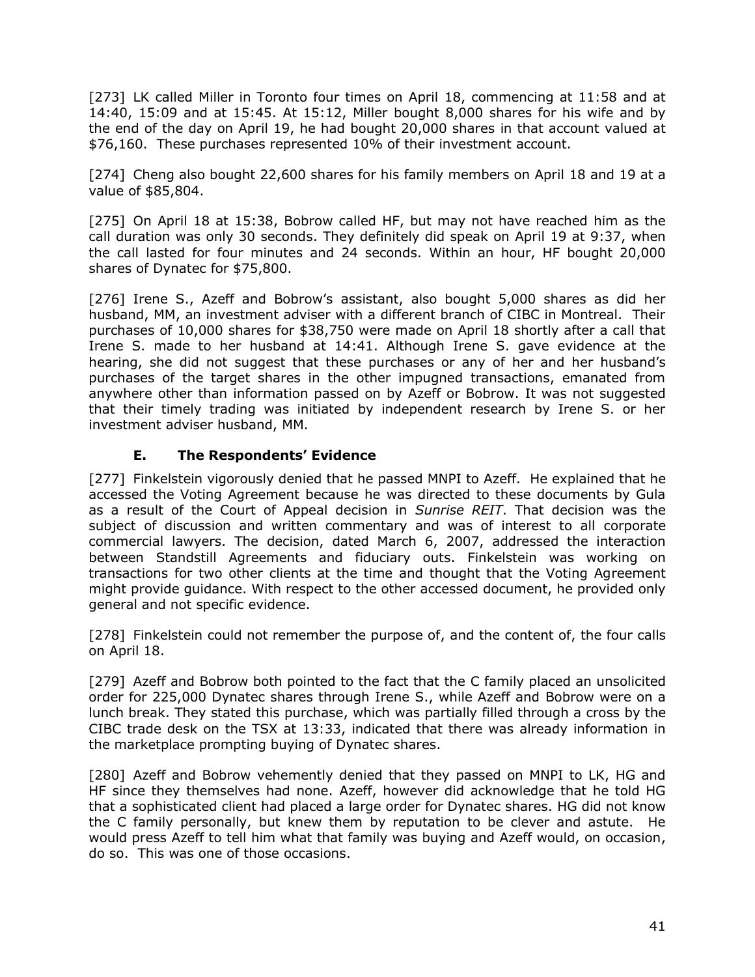[273] LK called Miller in Toronto four times on April 18, commencing at 11:58 and at 14:40, 15:09 and at 15:45. At 15:12, Miller bought 8,000 shares for his wife and by the end of the day on April 19, he had bought 20,000 shares in that account valued at \$76,160. These purchases represented 10% of their investment account.

[274] Cheng also bought 22,600 shares for his family members on April 18 and 19 at a value of \$85,804.

[275] On April 18 at 15:38, Bobrow called HF, but may not have reached him as the call duration was only 30 seconds. They definitely did speak on April 19 at 9:37, when the call lasted for four minutes and 24 seconds. Within an hour, HF bought 20,000 shares of Dynatec for \$75,800.

[276] Irene S., Azeff and Bobrow's assistant, also bought 5,000 shares as did her husband, MM, an investment adviser with a different branch of CIBC in Montreal. Their purchases of 10,000 shares for \$38,750 were made on April 18 shortly after a call that Irene S. made to her husband at 14:41. Although Irene S. gave evidence at the hearing, she did not suggest that these purchases or any of her and her husband's purchases of the target shares in the other impugned transactions, emanated from anywhere other than information passed on by Azeff or Bobrow. It was not suggested that their timely trading was initiated by independent research by Irene S. or her investment adviser husband, MM.

### **E. The Respondents' Evidence**

<span id="page-43-0"></span>[277] Finkelstein vigorously denied that he passed MNPI to Azeff. He explained that he accessed the Voting Agreement because he was directed to these documents by Gula as a result of the Court of Appeal decision in *Sunrise REIT*. That decision was the subject of discussion and written commentary and was of interest to all corporate commercial lawyers. The decision, dated March 6, 2007, addressed the interaction between Standstill Agreements and fiduciary outs. Finkelstein was working on transactions for two other clients at the time and thought that the Voting Agreement might provide guidance. With respect to the other accessed document, he provided only general and not specific evidence.

[278] Finkelstein could not remember the purpose of, and the content of, the four calls on April 18.

[279] Azeff and Bobrow both pointed to the fact that the C family placed an unsolicited order for 225,000 Dynatec shares through Irene S., while Azeff and Bobrow were on a lunch break. They stated this purchase, which was partially filled through a cross by the CIBC trade desk on the TSX at 13:33, indicated that there was already information in the marketplace prompting buying of Dynatec shares.

[280] Azeff and Bobrow vehemently denied that they passed on MNPI to LK, HG and HF since they themselves had none. Azeff, however did acknowledge that he told HG that a sophisticated client had placed a large order for Dynatec shares. HG did not know the C family personally, but knew them by reputation to be clever and astute. He would press Azeff to tell him what that family was buying and Azeff would, on occasion, do so. This was one of those occasions.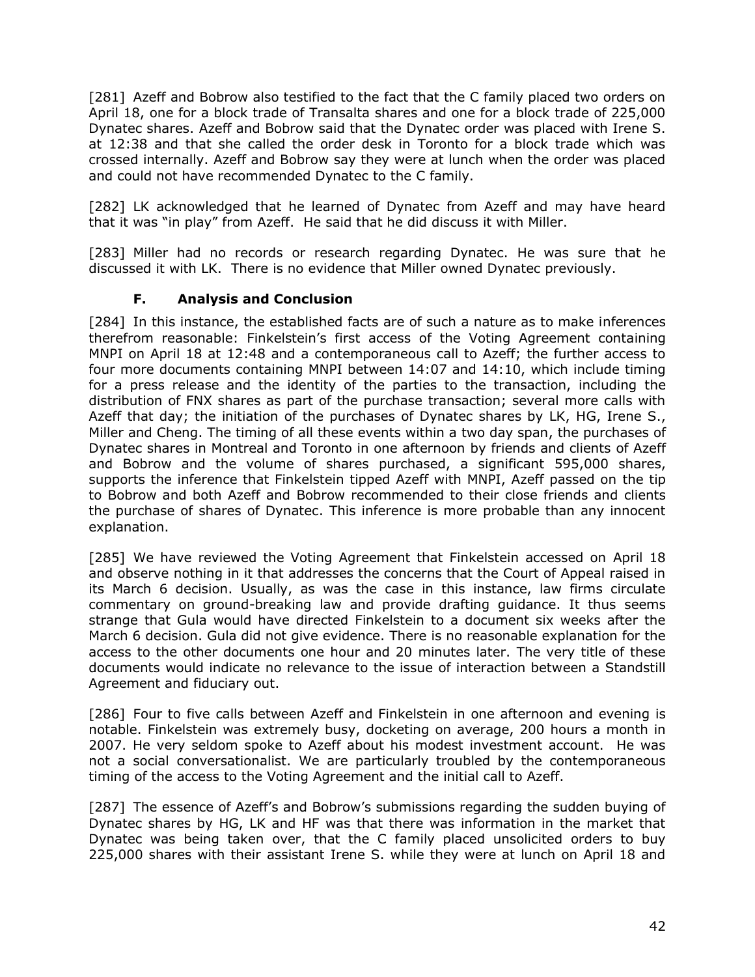[281] Azeff and Bobrow also testified to the fact that the C family placed two orders on April 18, one for a block trade of Transalta shares and one for a block trade of 225,000 Dynatec shares. Azeff and Bobrow said that the Dynatec order was placed with Irene S. at 12:38 and that she called the order desk in Toronto for a block trade which was crossed internally. Azeff and Bobrow say they were at lunch when the order was placed and could not have recommended Dynatec to the C family.

[282] LK acknowledged that he learned of Dynatec from Azeff and may have heard that it was "in play" from Azeff. He said that he did discuss it with Miller.

[283] Miller had no records or research regarding Dynatec. He was sure that he discussed it with LK. There is no evidence that Miller owned Dynatec previously.

### **F. Analysis and Conclusion**

<span id="page-44-0"></span>[284] In this instance, the established facts are of such a nature as to make inferences therefrom reasonable: Finkelstein's first access of the Voting Agreement containing MNPI on April 18 at 12:48 and a contemporaneous call to Azeff; the further access to four more documents containing MNPI between 14:07 and 14:10, which include timing for a press release and the identity of the parties to the transaction, including the distribution of FNX shares as part of the purchase transaction; several more calls with Azeff that day; the initiation of the purchases of Dynatec shares by LK, HG, Irene S., Miller and Cheng. The timing of all these events within a two day span, the purchases of Dynatec shares in Montreal and Toronto in one afternoon by friends and clients of Azeff and Bobrow and the volume of shares purchased, a significant 595,000 shares, supports the inference that Finkelstein tipped Azeff with MNPI, Azeff passed on the tip to Bobrow and both Azeff and Bobrow recommended to their close friends and clients the purchase of shares of Dynatec. This inference is more probable than any innocent explanation.

[285] We have reviewed the Voting Agreement that Finkelstein accessed on April 18 and observe nothing in it that addresses the concerns that the Court of Appeal raised in its March 6 decision. Usually, as was the case in this instance, law firms circulate commentary on ground-breaking law and provide drafting guidance. It thus seems strange that Gula would have directed Finkelstein to a document six weeks after the March 6 decision. Gula did not give evidence. There is no reasonable explanation for the access to the other documents one hour and 20 minutes later. The very title of these documents would indicate no relevance to the issue of interaction between a Standstill Agreement and fiduciary out.

[286] Four to five calls between Azeff and Finkelstein in one afternoon and evening is notable. Finkelstein was extremely busy, docketing on average, 200 hours a month in 2007. He very seldom spoke to Azeff about his modest investment account. He was not a social conversationalist. We are particularly troubled by the contemporaneous timing of the access to the Voting Agreement and the initial call to Azeff.

[287] The essence of Azeff's and Bobrow's submissions regarding the sudden buying of Dynatec shares by HG, LK and HF was that there was information in the market that Dynatec was being taken over, that the C family placed unsolicited orders to buy 225,000 shares with their assistant Irene S. while they were at lunch on April 18 and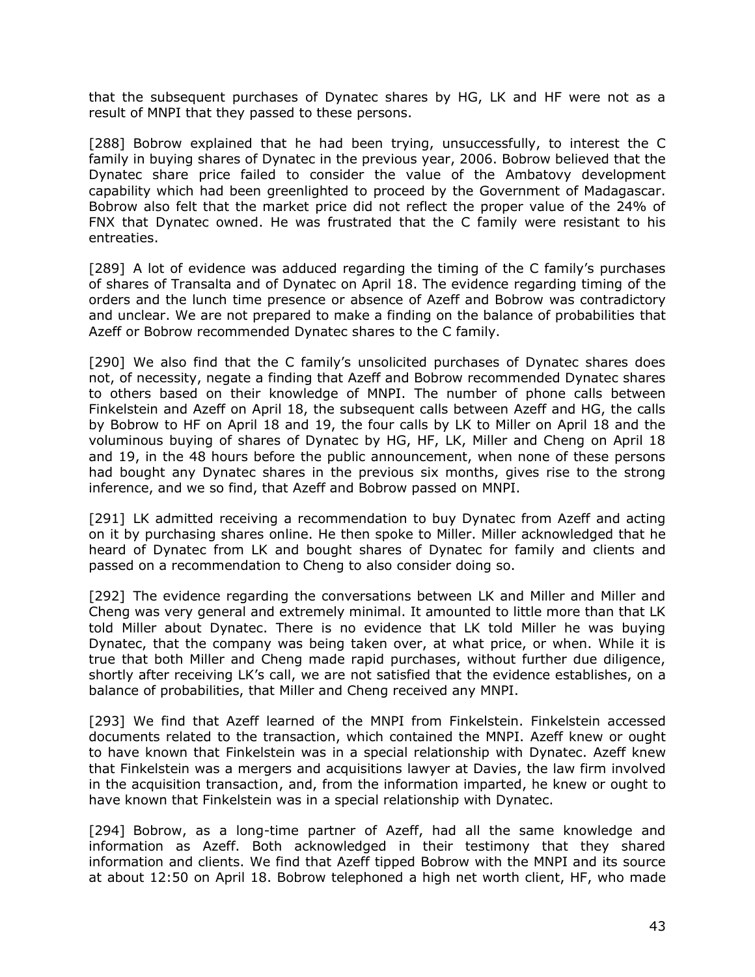that the subsequent purchases of Dynatec shares by HG, LK and HF were not as a result of MNPI that they passed to these persons.

[288] Bobrow explained that he had been trying, unsuccessfully, to interest the C family in buying shares of Dynatec in the previous year, 2006. Bobrow believed that the Dynatec share price failed to consider the value of the Ambatovy development capability which had been greenlighted to proceed by the Government of Madagascar. Bobrow also felt that the market price did not reflect the proper value of the 24% of FNX that Dynatec owned. He was frustrated that the C family were resistant to his entreaties.

[289] A lot of evidence was adduced regarding the timing of the C family's purchases of shares of Transalta and of Dynatec on April 18. The evidence regarding timing of the orders and the lunch time presence or absence of Azeff and Bobrow was contradictory and unclear. We are not prepared to make a finding on the balance of probabilities that Azeff or Bobrow recommended Dynatec shares to the C family.

[290] We also find that the C family's unsolicited purchases of Dynatec shares does not, of necessity, negate a finding that Azeff and Bobrow recommended Dynatec shares to others based on their knowledge of MNPI. The number of phone calls between Finkelstein and Azeff on April 18, the subsequent calls between Azeff and HG, the calls by Bobrow to HF on April 18 and 19, the four calls by LK to Miller on April 18 and the voluminous buying of shares of Dynatec by HG, HF, LK, Miller and Cheng on April 18 and 19, in the 48 hours before the public announcement, when none of these persons had bought any Dynatec shares in the previous six months, gives rise to the strong inference, and we so find, that Azeff and Bobrow passed on MNPI.

[291] LK admitted receiving a recommendation to buy Dynatec from Azeff and acting on it by purchasing shares online. He then spoke to Miller. Miller acknowledged that he heard of Dynatec from LK and bought shares of Dynatec for family and clients and passed on a recommendation to Cheng to also consider doing so.

[292] The evidence regarding the conversations between LK and Miller and Miller and Cheng was very general and extremely minimal. It amounted to little more than that LK told Miller about Dynatec. There is no evidence that LK told Miller he was buying Dynatec, that the company was being taken over, at what price, or when. While it is true that both Miller and Cheng made rapid purchases, without further due diligence, shortly after receiving LK's call, we are not satisfied that the evidence establishes, on a balance of probabilities, that Miller and Cheng received any MNPI.

[293] We find that Azeff learned of the MNPI from Finkelstein. Finkelstein accessed documents related to the transaction, which contained the MNPI. Azeff knew or ought to have known that Finkelstein was in a special relationship with Dynatec. Azeff knew that Finkelstein was a mergers and acquisitions lawyer at Davies, the law firm involved in the acquisition transaction, and, from the information imparted, he knew or ought to have known that Finkelstein was in a special relationship with Dynatec.

[294] Bobrow, as a long-time partner of Azeff, had all the same knowledge and information as Azeff. Both acknowledged in their testimony that they shared information and clients. We find that Azeff tipped Bobrow with the MNPI and its source at about 12:50 on April 18. Bobrow telephoned a high net worth client, HF, who made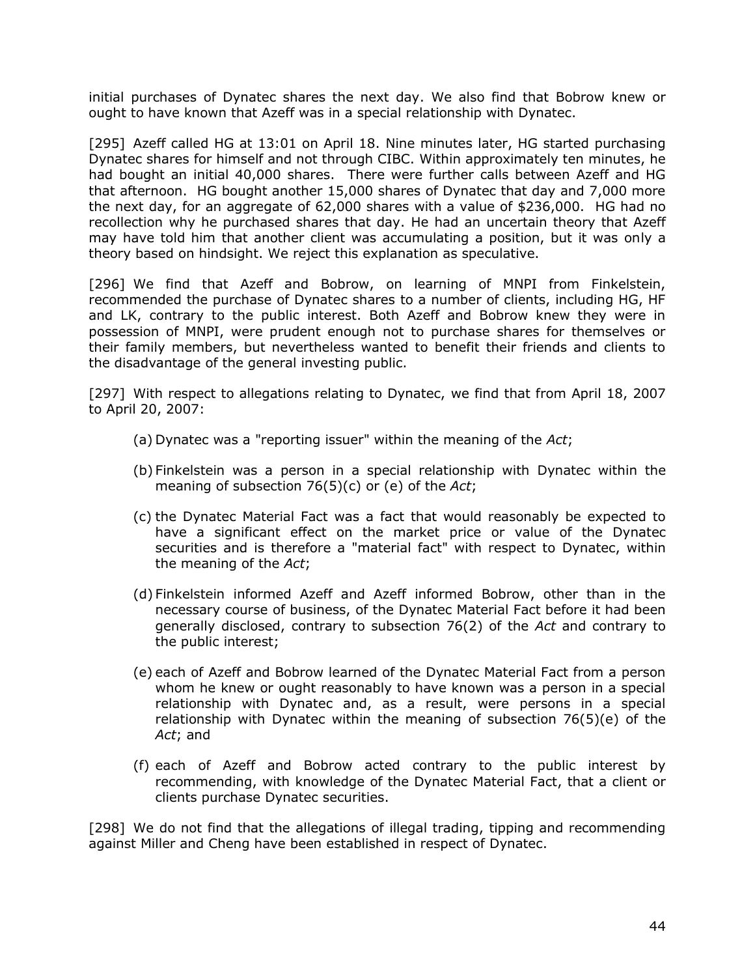initial purchases of Dynatec shares the next day. We also find that Bobrow knew or ought to have known that Azeff was in a special relationship with Dynatec.

[295] Azeff called HG at 13:01 on April 18. Nine minutes later, HG started purchasing Dynatec shares for himself and not through CIBC. Within approximately ten minutes, he had bought an initial 40,000 shares. There were further calls between Azeff and HG that afternoon. HG bought another 15,000 shares of Dynatec that day and 7,000 more the next day, for an aggregate of 62,000 shares with a value of \$236,000. HG had no recollection why he purchased shares that day. He had an uncertain theory that Azeff may have told him that another client was accumulating a position, but it was only a theory based on hindsight. We reject this explanation as speculative.

[296] We find that Azeff and Bobrow, on learning of MNPI from Finkelstein, recommended the purchase of Dynatec shares to a number of clients, including HG, HF and LK, contrary to the public interest. Both Azeff and Bobrow knew they were in possession of MNPI, were prudent enough not to purchase shares for themselves or their family members, but nevertheless wanted to benefit their friends and clients to the disadvantage of the general investing public.

[297] With respect to allegations relating to Dynatec, we find that from April 18, 2007 to April 20, 2007:

- (a) Dynatec was a "reporting issuer" within the meaning of the *Act*;
- (b) Finkelstein was a person in a special relationship with Dynatec within the meaning of subsection 76(5)(c) or (e) of the *Act*;
- (c) the Dynatec Material Fact was a fact that would reasonably be expected to have a significant effect on the market price or value of the Dynatec securities and is therefore a "material fact" with respect to Dynatec, within the meaning of the *Act*;
- (d) Finkelstein informed Azeff and Azeff informed Bobrow, other than in the necessary course of business, of the Dynatec Material Fact before it had been generally disclosed, contrary to subsection 76(2) of the *Act* and contrary to the public interest;
- (e) each of Azeff and Bobrow learned of the Dynatec Material Fact from a person whom he knew or ought reasonably to have known was a person in a special relationship with Dynatec and, as a result, were persons in a special relationship with Dynatec within the meaning of subsection 76(5)(e) of the *Act*; and
- (f) each of Azeff and Bobrow acted contrary to the public interest by recommending, with knowledge of the Dynatec Material Fact, that a client or clients purchase Dynatec securities.

<span id="page-46-0"></span>[298] We do not find that the allegations of illegal trading, tipping and recommending against Miller and Cheng have been established in respect of Dynatec.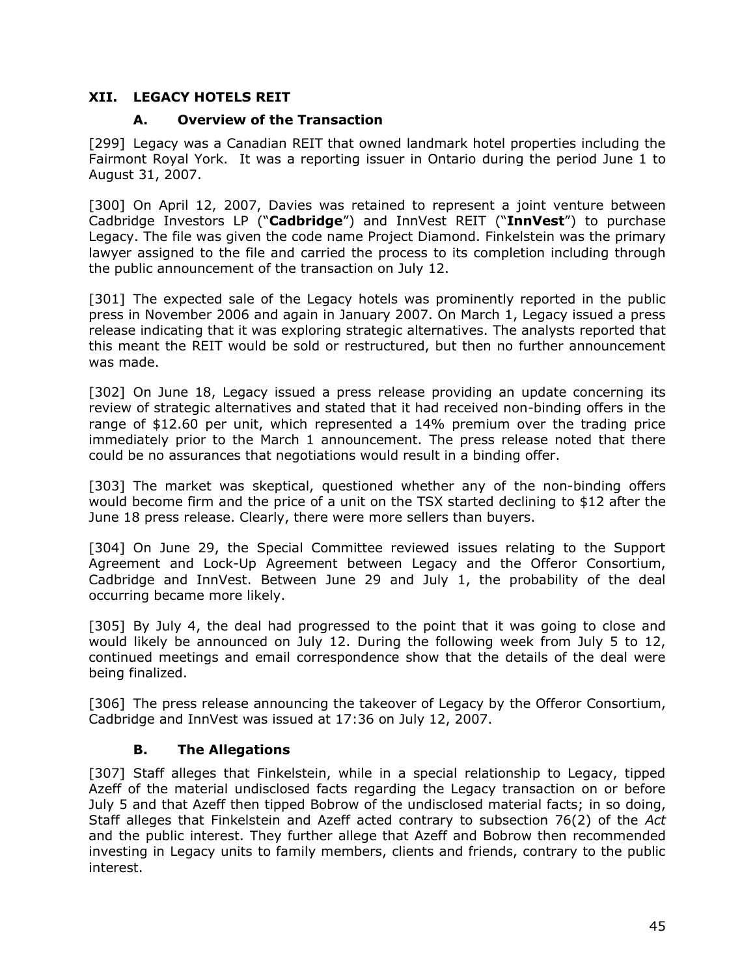### <span id="page-47-0"></span>**XII. LEGACY HOTELS REIT**

### **A. Overview of the Transaction**

[299] Legacy was a Canadian REIT that owned landmark hotel properties including the Fairmont Royal York. It was a reporting issuer in Ontario during the period June 1 to August 31, 2007.

[300] On April 12, 2007, Davies was retained to represent a joint venture between Cadbridge Investors LP ("**Cadbridge**") and InnVest REIT ("**InnVest**") to purchase Legacy. The file was given the code name Project Diamond. Finkelstein was the primary lawyer assigned to the file and carried the process to its completion including through the public announcement of the transaction on July 12.

[301] The expected sale of the Legacy hotels was prominently reported in the public press in November 2006 and again in January 2007. On March 1, Legacy issued a press release indicating that it was exploring strategic alternatives. The analysts reported that this meant the REIT would be sold or restructured, but then no further announcement was made.

[302] On June 18, Legacy issued a press release providing an update concerning its review of strategic alternatives and stated that it had received non-binding offers in the range of \$12.60 per unit, which represented a 14% premium over the trading price immediately prior to the March 1 announcement. The press release noted that there could be no assurances that negotiations would result in a binding offer.

[303] The market was skeptical, questioned whether any of the non-binding offers would become firm and the price of a unit on the TSX started declining to \$12 after the June 18 press release. Clearly, there were more sellers than buyers.

[304] On June 29, the Special Committee reviewed issues relating to the Support Agreement and Lock-Up Agreement between Legacy and the Offeror Consortium, Cadbridge and InnVest. Between June 29 and July 1, the probability of the deal occurring became more likely.

[305] By July 4, the deal had progressed to the point that it was going to close and would likely be announced on July 12. During the following week from July 5 to 12, continued meetings and email correspondence show that the details of the deal were being finalized.

[306] The press release announcing the takeover of Legacy by the Offeror Consortium, Cadbridge and InnVest was issued at 17:36 on July 12, 2007.

### **B. The Allegations**

<span id="page-47-1"></span>[307] Staff alleges that Finkelstein, while in a special relationship to Legacy, tipped Azeff of the material undisclosed facts regarding the Legacy transaction on or before July 5 and that Azeff then tipped Bobrow of the undisclosed material facts; in so doing, Staff alleges that Finkelstein and Azeff acted contrary to subsection 76(2) of the *Act*  and the public interest. They further allege that Azeff and Bobrow then recommended investing in Legacy units to family members, clients and friends, contrary to the public interest.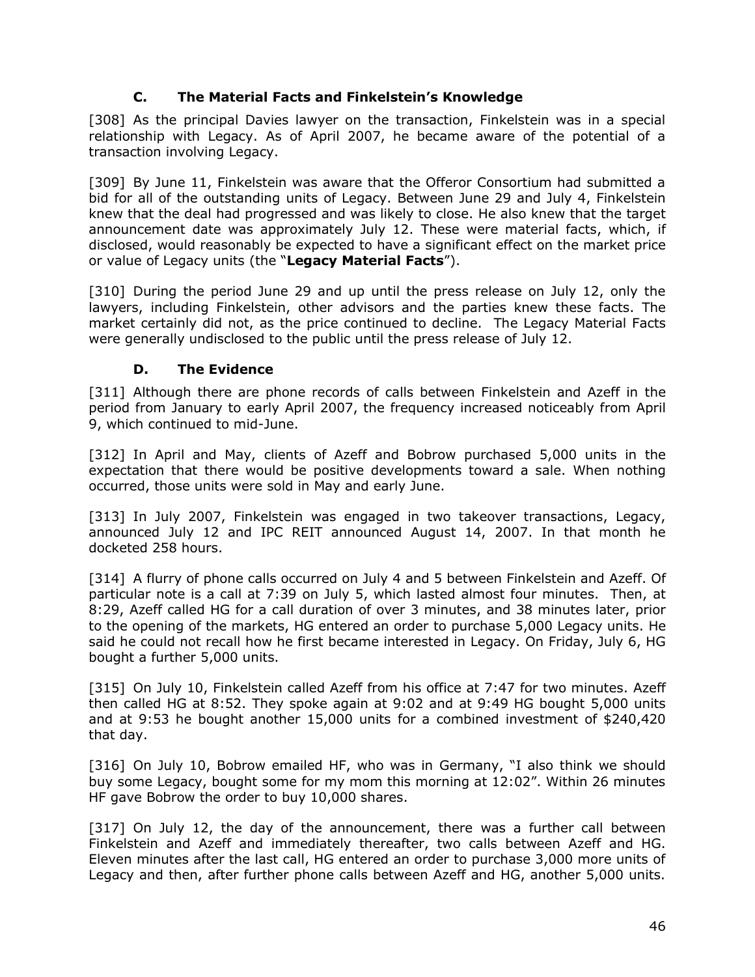### **C. The Material Facts and Finkelstein's Knowledge**

<span id="page-48-0"></span>[308] As the principal Davies lawyer on the transaction, Finkelstein was in a special relationship with Legacy. As of April 2007, he became aware of the potential of a transaction involving Legacy.

[309] By June 11, Finkelstein was aware that the Offeror Consortium had submitted a bid for all of the outstanding units of Legacy. Between June 29 and July 4, Finkelstein knew that the deal had progressed and was likely to close. He also knew that the target announcement date was approximately July 12. These were material facts, which, if disclosed, would reasonably be expected to have a significant effect on the market price or value of Legacy units (the "**Legacy Material Facts**").

[310] During the period June 29 and up until the press release on July 12, only the lawyers, including Finkelstein, other advisors and the parties knew these facts. The market certainly did not, as the price continued to decline. The Legacy Material Facts were generally undisclosed to the public until the press release of July 12.

### **D. The Evidence**

<span id="page-48-1"></span>[311] Although there are phone records of calls between Finkelstein and Azeff in the period from January to early April 2007, the frequency increased noticeably from April 9, which continued to mid-June.

[312] In April and May, clients of Azeff and Bobrow purchased 5,000 units in the expectation that there would be positive developments toward a sale. When nothing occurred, those units were sold in May and early June.

[313] In July 2007, Finkelstein was engaged in two takeover transactions, Legacy, announced July 12 and IPC REIT announced August 14, 2007. In that month he docketed 258 hours.

[314] A flurry of phone calls occurred on July 4 and 5 between Finkelstein and Azeff. Of particular note is a call at 7:39 on July 5, which lasted almost four minutes. Then, at 8:29, Azeff called HG for a call duration of over 3 minutes, and 38 minutes later, prior to the opening of the markets, HG entered an order to purchase 5,000 Legacy units. He said he could not recall how he first became interested in Legacy. On Friday, July 6, HG bought a further 5,000 units.

[315] On July 10, Finkelstein called Azeff from his office at 7:47 for two minutes. Azeff then called HG at 8:52. They spoke again at 9:02 and at 9:49 HG bought 5,000 units and at 9:53 he bought another 15,000 units for a combined investment of \$240,420 that day.

[316] On July 10, Bobrow emailed HF, who was in Germany, "I also think we should buy some Legacy, bought some for my mom this morning at 12:02". Within 26 minutes HF gave Bobrow the order to buy 10,000 shares.

[317] On July 12, the day of the announcement, there was a further call between Finkelstein and Azeff and immediately thereafter, two calls between Azeff and HG. Eleven minutes after the last call, HG entered an order to purchase 3,000 more units of Legacy and then, after further phone calls between Azeff and HG, another 5,000 units.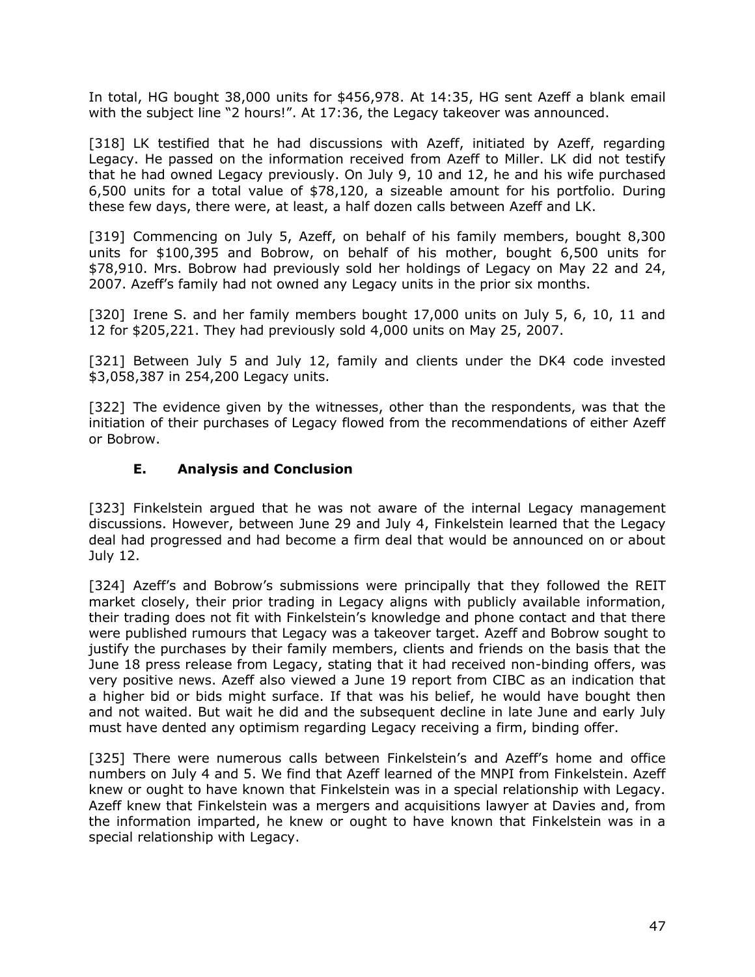In total, HG bought 38,000 units for \$456,978. At 14:35, HG sent Azeff a blank email with the subject line "2 hours!". At 17:36, the Legacy takeover was announced.

[318] LK testified that he had discussions with Azeff, initiated by Azeff, regarding Legacy. He passed on the information received from Azeff to Miller. LK did not testify that he had owned Legacy previously. On July 9, 10 and 12, he and his wife purchased 6,500 units for a total value of \$78,120, a sizeable amount for his portfolio. During these few days, there were, at least, a half dozen calls between Azeff and LK.

[319] Commencing on July 5, Azeff, on behalf of his family members, bought 8,300 units for \$100,395 and Bobrow, on behalf of his mother, bought 6,500 units for \$78,910. Mrs. Bobrow had previously sold her holdings of Legacy on May 22 and 24, 2007. Azeff's family had not owned any Legacy units in the prior six months.

[320] Irene S. and her family members bought 17,000 units on July 5, 6, 10, 11 and 12 for \$205,221. They had previously sold 4,000 units on May 25, 2007.

[321] Between July 5 and July 12, family and clients under the DK4 code invested \$3,058,387 in 254,200 Legacy units.

[322] The evidence given by the witnesses, other than the respondents, was that the initiation of their purchases of Legacy flowed from the recommendations of either Azeff or Bobrow.

#### **E. Analysis and Conclusion**

<span id="page-49-0"></span>[323] Finkelstein argued that he was not aware of the internal Legacy management discussions. However, between June 29 and July 4, Finkelstein learned that the Legacy deal had progressed and had become a firm deal that would be announced on or about July 12.

[324] Azeff's and Bobrow's submissions were principally that they followed the REIT market closely, their prior trading in Legacy aligns with publicly available information, their trading does not fit with Finkelstein's knowledge and phone contact and that there were published rumours that Legacy was a takeover target. Azeff and Bobrow sought to justify the purchases by their family members, clients and friends on the basis that the June 18 press release from Legacy, stating that it had received non-binding offers, was very positive news. Azeff also viewed a June 19 report from CIBC as an indication that a higher bid or bids might surface. If that was his belief, he would have bought then and not waited. But wait he did and the subsequent decline in late June and early July must have dented any optimism regarding Legacy receiving a firm, binding offer.

[325] There were numerous calls between Finkelstein's and Azeff's home and office numbers on July 4 and 5. We find that Azeff learned of the MNPI from Finkelstein. Azeff knew or ought to have known that Finkelstein was in a special relationship with Legacy. Azeff knew that Finkelstein was a mergers and acquisitions lawyer at Davies and, from the information imparted, he knew or ought to have known that Finkelstein was in a special relationship with Legacy.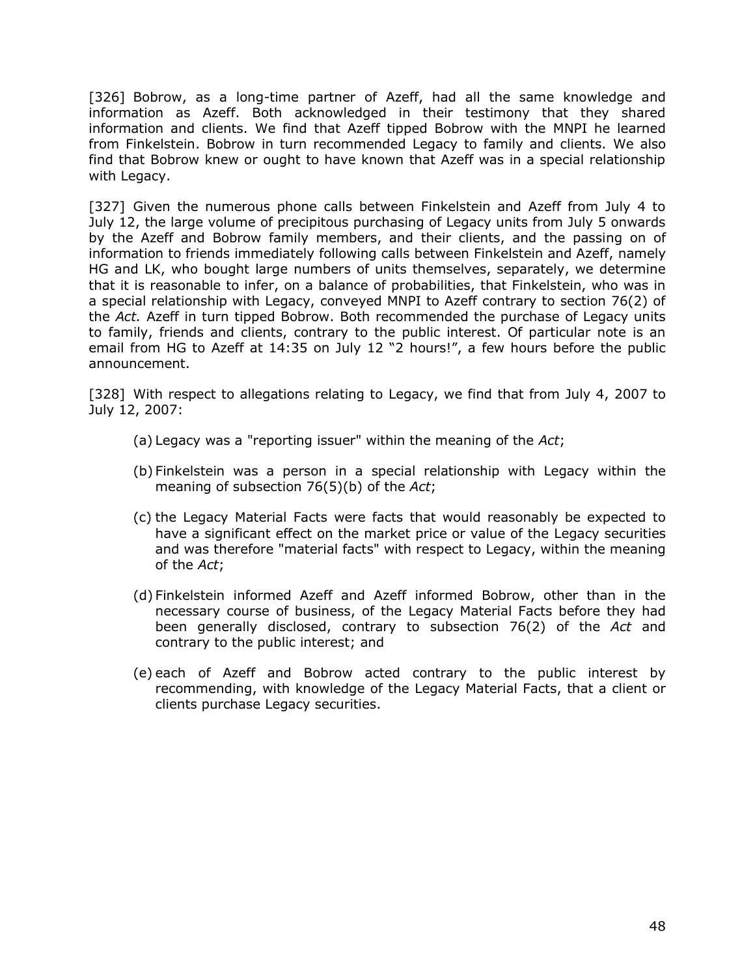[326] Bobrow, as a long-time partner of Azeff, had all the same knowledge and information as Azeff. Both acknowledged in their testimony that they shared information and clients. We find that Azeff tipped Bobrow with the MNPI he learned from Finkelstein. Bobrow in turn recommended Legacy to family and clients. We also find that Bobrow knew or ought to have known that Azeff was in a special relationship with Legacy.

[327] Given the numerous phone calls between Finkelstein and Azeff from July 4 to July 12, the large volume of precipitous purchasing of Legacy units from July 5 onwards by the Azeff and Bobrow family members, and their clients, and the passing on of information to friends immediately following calls between Finkelstein and Azeff, namely HG and LK, who bought large numbers of units themselves, separately, we determine that it is reasonable to infer, on a balance of probabilities, that Finkelstein, who was in a special relationship with Legacy, conveyed MNPI to Azeff contrary to section 76(2) of the *Act.* Azeff in turn tipped Bobrow. Both recommended the purchase of Legacy units to family, friends and clients, contrary to the public interest. Of particular note is an email from HG to Azeff at 14:35 on July 12 "2 hours!", a few hours before the public announcement.

[328] With respect to allegations relating to Legacy, we find that from July 4, 2007 to July 12, 2007:

- (a) Legacy was a "reporting issuer" within the meaning of the *Act*;
- (b) Finkelstein was a person in a special relationship with Legacy within the meaning of subsection 76(5)(b) of the *Act*;
- (c) the Legacy Material Facts were facts that would reasonably be expected to have a significant effect on the market price or value of the Legacy securities and was therefore "material facts" with respect to Legacy, within the meaning of the *Act*;
- (d) Finkelstein informed Azeff and Azeff informed Bobrow, other than in the necessary course of business, of the Legacy Material Facts before they had been generally disclosed, contrary to subsection 76(2) of the *Act* and contrary to the public interest; and
- <span id="page-50-0"></span>(e) each of Azeff and Bobrow acted contrary to the public interest by recommending, with knowledge of the Legacy Material Facts, that a client or clients purchase Legacy securities.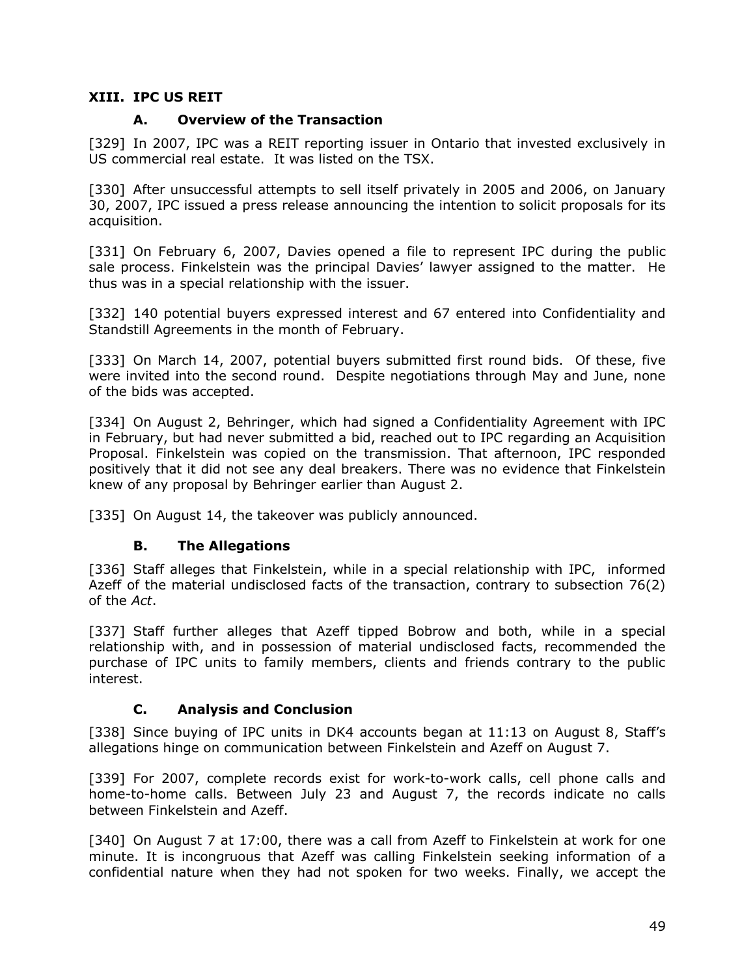#### <span id="page-51-0"></span>**XIII. IPC US REIT**

#### **A. Overview of the Transaction**

[329] In 2007, IPC was a REIT reporting issuer in Ontario that invested exclusively in US commercial real estate. It was listed on the TSX.

[330] After unsuccessful attempts to sell itself privately in 2005 and 2006, on January 30, 2007, IPC issued a press release announcing the intention to solicit proposals for its acquisition.

[331] On February 6, 2007, Davies opened a file to represent IPC during the public sale process. Finkelstein was the principal Davies' lawyer assigned to the matter. He thus was in a special relationship with the issuer.

[332] 140 potential buyers expressed interest and 67 entered into Confidentiality and Standstill Agreements in the month of February.

[333] On March 14, 2007, potential buyers submitted first round bids. Of these, five were invited into the second round. Despite negotiations through May and June, none of the bids was accepted.

[334] On August 2, Behringer, which had signed a Confidentiality Agreement with IPC in February, but had never submitted a bid, reached out to IPC regarding an Acquisition Proposal. Finkelstein was copied on the transmission. That afternoon, IPC responded positively that it did not see any deal breakers. There was no evidence that Finkelstein knew of any proposal by Behringer earlier than August 2.

[335] On August 14, the takeover was publicly announced.

#### **B. The Allegations**

<span id="page-51-1"></span>[336] Staff alleges that Finkelstein, while in a special relationship with IPC, informed Azeff of the material undisclosed facts of the transaction, contrary to subsection 76(2) of the *Act*.

[337] Staff further alleges that Azeff tipped Bobrow and both, while in a special relationship with, and in possession of material undisclosed facts, recommended the purchase of IPC units to family members, clients and friends contrary to the public interest.

### **C. Analysis and Conclusion**

<span id="page-51-2"></span>[338] Since buying of IPC units in DK4 accounts began at 11:13 on August 8, Staff's allegations hinge on communication between Finkelstein and Azeff on August 7.

[339] For 2007, complete records exist for work-to-work calls, cell phone calls and home-to-home calls. Between July 23 and August 7, the records indicate no calls between Finkelstein and Azeff.

[340] On August 7 at 17:00, there was a call from Azeff to Finkelstein at work for one minute. It is incongruous that Azeff was calling Finkelstein seeking information of a confidential nature when they had not spoken for two weeks. Finally, we accept the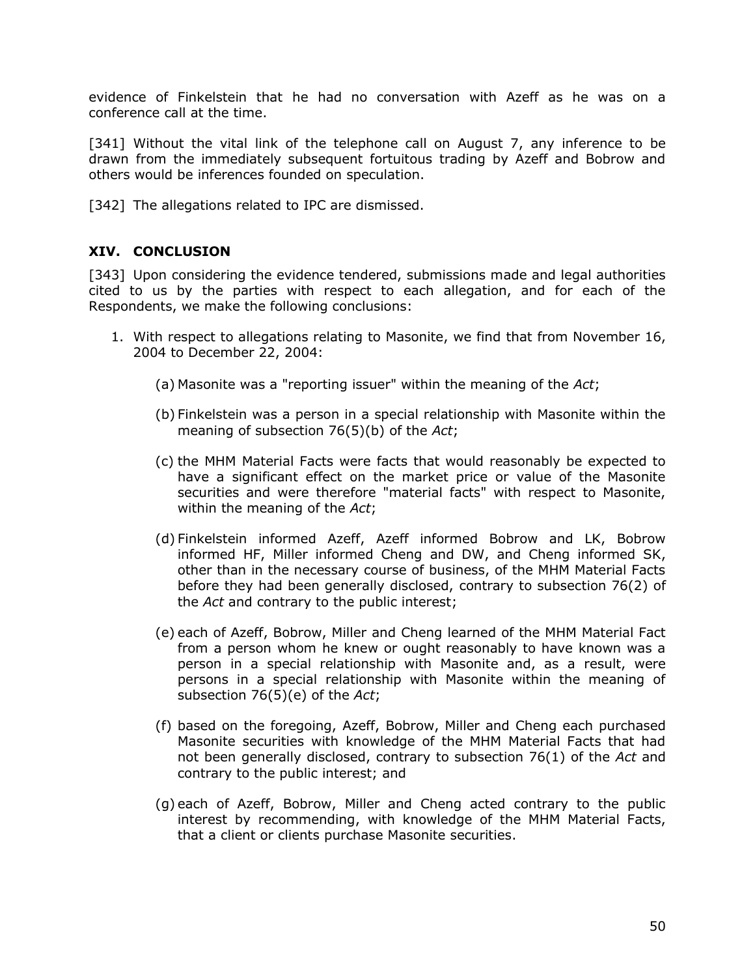evidence of Finkelstein that he had no conversation with Azeff as he was on a conference call at the time.

[341] Without the vital link of the telephone call on August 7, any inference to be drawn from the immediately subsequent fortuitous trading by Azeff and Bobrow and others would be inferences founded on speculation.

[342] The allegations related to IPC are dismissed.

#### <span id="page-52-0"></span>**XIV. CONCLUSION**

[343] Upon considering the evidence tendered, submissions made and legal authorities cited to us by the parties with respect to each allegation, and for each of the Respondents, we make the following conclusions:

- 1. With respect to allegations relating to Masonite, we find that from November 16, 2004 to December 22, 2004:
	- (a) Masonite was a "reporting issuer" within the meaning of the *Act*;
	- (b) Finkelstein was a person in a special relationship with Masonite within the meaning of subsection 76(5)(b) of the *Act*;
	- (c) the MHM Material Facts were facts that would reasonably be expected to have a significant effect on the market price or value of the Masonite securities and were therefore "material facts" with respect to Masonite, within the meaning of the *Act*;
	- (d) Finkelstein informed Azeff, Azeff informed Bobrow and LK, Bobrow informed HF, Miller informed Cheng and DW, and Cheng informed SK, other than in the necessary course of business, of the MHM Material Facts before they had been generally disclosed, contrary to subsection 76(2) of the *Act* and contrary to the public interest;
	- (e) each of Azeff, Bobrow, Miller and Cheng learned of the MHM Material Fact from a person whom he knew or ought reasonably to have known was a person in a special relationship with Masonite and, as a result, were persons in a special relationship with Masonite within the meaning of subsection 76(5)(e) of the *Act*;
	- (f) based on the foregoing, Azeff, Bobrow, Miller and Cheng each purchased Masonite securities with knowledge of the MHM Material Facts that had not been generally disclosed, contrary to subsection 76(1) of the *Act* and contrary to the public interest; and
	- (g) each of Azeff, Bobrow, Miller and Cheng acted contrary to the public interest by recommending, with knowledge of the MHM Material Facts, that a client or clients purchase Masonite securities.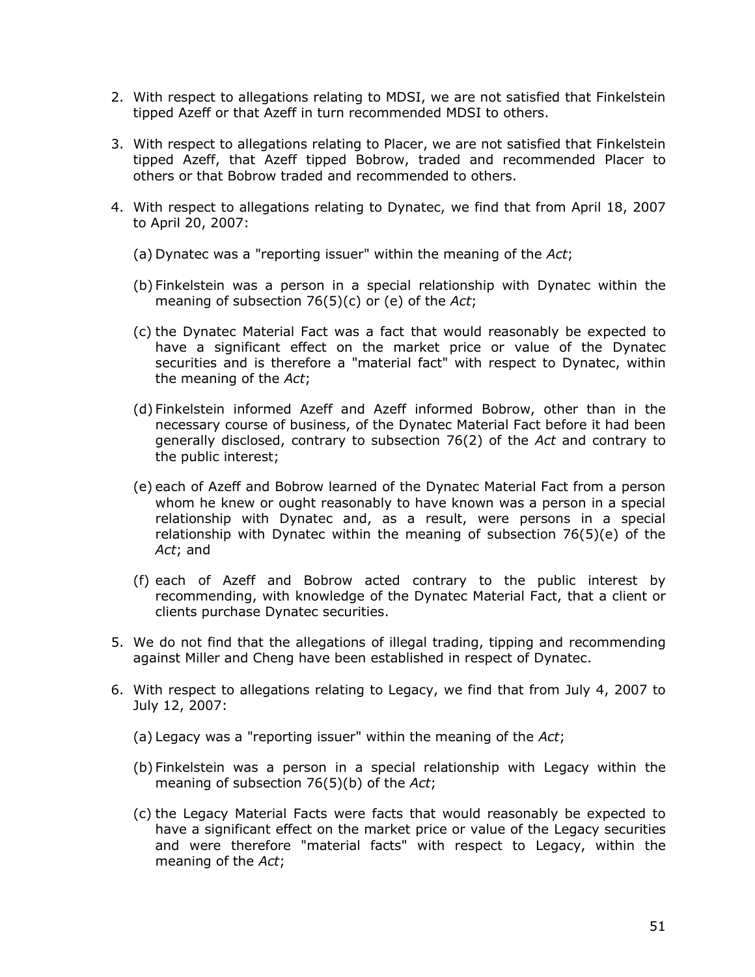- 2. With respect to allegations relating to MDSI, we are not satisfied that Finkelstein tipped Azeff or that Azeff in turn recommended MDSI to others.
- 3. With respect to allegations relating to Placer, we are not satisfied that Finkelstein tipped Azeff, that Azeff tipped Bobrow, traded and recommended Placer to others or that Bobrow traded and recommended to others.
- 4. With respect to allegations relating to Dynatec, we find that from April 18, 2007 to April 20, 2007:
	- (a) Dynatec was a "reporting issuer" within the meaning of the *Act*;
	- (b) Finkelstein was a person in a special relationship with Dynatec within the meaning of subsection 76(5)(c) or (e) of the *Act*;
	- (c) the Dynatec Material Fact was a fact that would reasonably be expected to have a significant effect on the market price or value of the Dynatec securities and is therefore a "material fact" with respect to Dynatec, within the meaning of the *Act*;
	- (d) Finkelstein informed Azeff and Azeff informed Bobrow, other than in the necessary course of business, of the Dynatec Material Fact before it had been generally disclosed, contrary to subsection 76(2) of the *Act* and contrary to the public interest;
	- (e) each of Azeff and Bobrow learned of the Dynatec Material Fact from a person whom he knew or ought reasonably to have known was a person in a special relationship with Dynatec and, as a result, were persons in a special relationship with Dynatec within the meaning of subsection 76(5)(e) of the *Act*; and
	- (f) each of Azeff and Bobrow acted contrary to the public interest by recommending, with knowledge of the Dynatec Material Fact, that a client or clients purchase Dynatec securities.
- 5. We do not find that the allegations of illegal trading, tipping and recommending against Miller and Cheng have been established in respect of Dynatec.
- 6. With respect to allegations relating to Legacy, we find that from July 4, 2007 to July 12, 2007:
	- (a) Legacy was a "reporting issuer" within the meaning of the *Act*;
	- (b) Finkelstein was a person in a special relationship with Legacy within the meaning of subsection 76(5)(b) of the *Act*;
	- (c) the Legacy Material Facts were facts that would reasonably be expected to have a significant effect on the market price or value of the Legacy securities and were therefore "material facts" with respect to Legacy, within the meaning of the *Act*;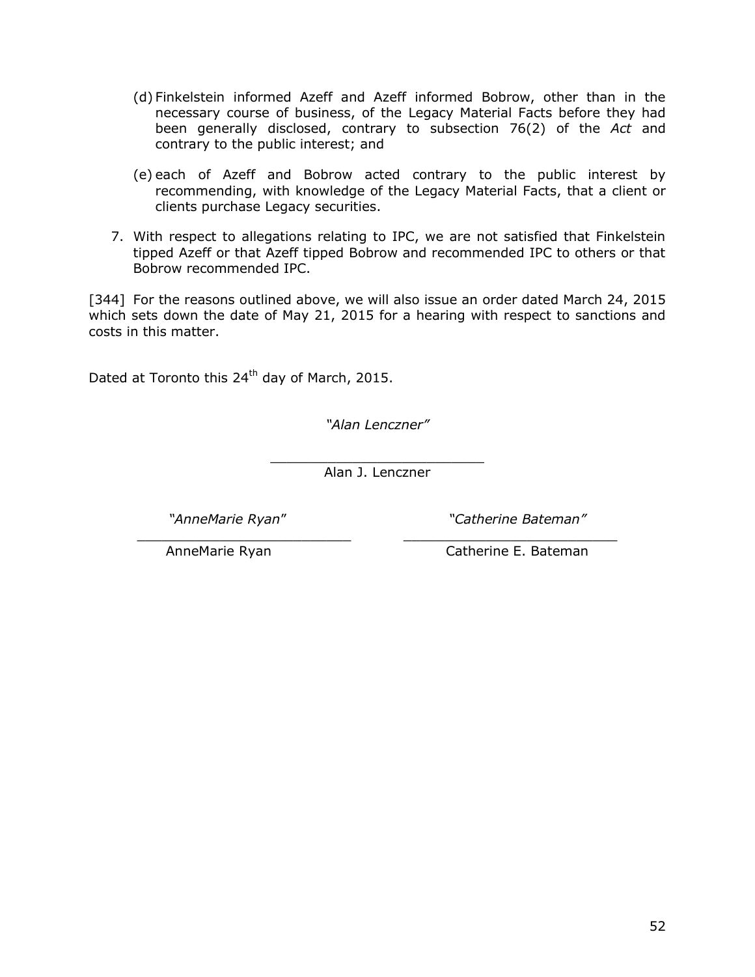- (d) Finkelstein informed Azeff and Azeff informed Bobrow, other than in the necessary course of business, of the Legacy Material Facts before they had been generally disclosed, contrary to subsection 76(2) of the *Act* and contrary to the public interest; and
- (e) each of Azeff and Bobrow acted contrary to the public interest by recommending, with knowledge of the Legacy Material Facts, that a client or clients purchase Legacy securities.
- 7. With respect to allegations relating to IPC, we are not satisfied that Finkelstein tipped Azeff or that Azeff tipped Bobrow and recommended IPC to others or that Bobrow recommended IPC.

[344] For the reasons outlined above, we will also issue an order dated March 24, 2015 which sets down the date of May 21, 2015 for a hearing with respect to sanctions and costs in this matter.

Dated at Toronto this 24<sup>th</sup> day of March, 2015.

*"Alan Lenczner"*

\_\_\_\_\_\_\_\_\_\_\_\_\_\_\_\_\_\_\_\_\_\_\_\_\_\_ Alan J. Lenczner

\_\_\_\_\_\_\_\_\_\_\_\_\_\_\_\_\_\_\_\_\_\_\_\_\_\_ \_\_\_\_\_\_\_\_\_\_\_\_\_\_\_\_\_\_\_\_\_\_\_\_\_\_

*"AnneMarie Ryan*" *"Catherine Bateman"*

AnneMarie Ryan Catherine E. Bateman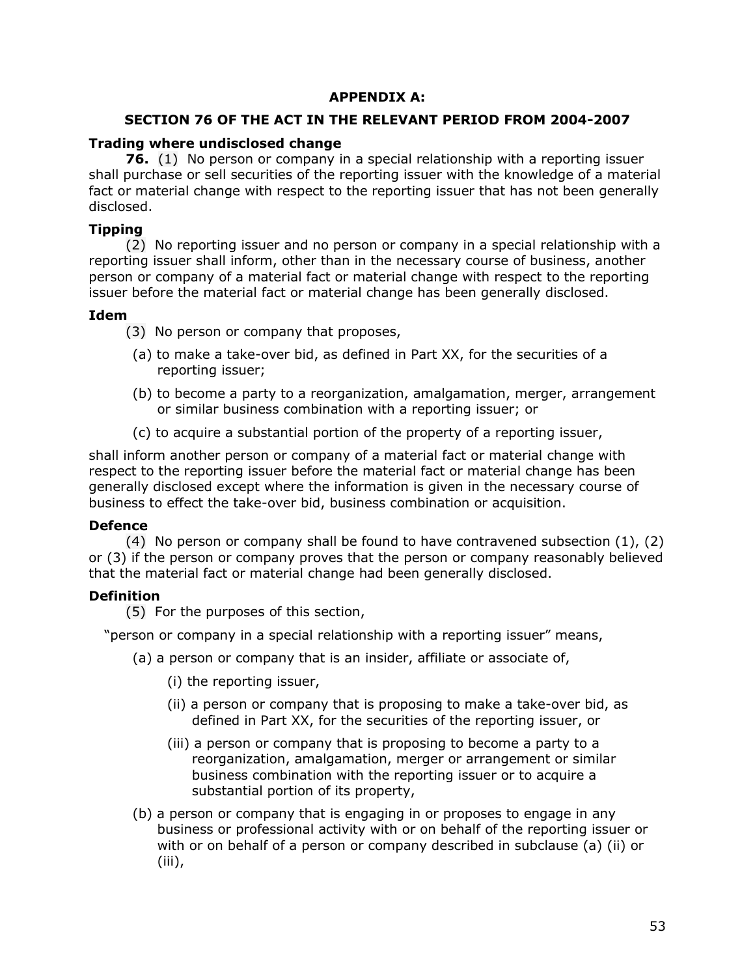#### **APPENDIX A:**

#### <span id="page-55-0"></span>**SECTION 76 OF THE ACT IN THE RELEVANT PERIOD FROM 2004-2007**

#### **Trading where undisclosed change**

**76.** (1) No person or company in a special relationship with a reporting issuer shall purchase or sell securities of the reporting issuer with the knowledge of a material fact or material change with respect to the reporting issuer that has not been generally disclosed.

#### **Tipping**

(2) No reporting issuer and no person or company in a special relationship with a reporting issuer shall inform, other than in the necessary course of business, another person or company of a material fact or material change with respect to the reporting issuer before the material fact or material change has been generally disclosed.

#### **Idem**

(3) No person or company that proposes,

- (a) to make a take-over bid, as defined in Part XX, for the securities of a reporting issuer;
- (b) to become a party to a reorganization, amalgamation, merger, arrangement or similar business combination with a reporting issuer; or
- (c) to acquire a substantial portion of the property of a reporting issuer,

shall inform another person or company of a material fact or material change with respect to the reporting issuer before the material fact or material change has been generally disclosed except where the information is given in the necessary course of business to effect the take-over bid, business combination or acquisition.

### **Defence**

(4) No person or company shall be found to have contravened subsection (1), (2) or (3) if the person or company proves that the person or company reasonably believed that the material fact or material change had been generally disclosed.

### **Definition**

(5) For the purposes of this section,

"person or company in a special relationship with a reporting issuer" means,

- (a) a person or company that is an insider, affiliate or associate of,
	- (i) the reporting issuer,
	- (ii) a person or company that is proposing to make a take-over bid, as defined in Part XX, for the securities of the reporting issuer, or
	- (iii) a person or company that is proposing to become a party to a reorganization, amalgamation, merger or arrangement or similar business combination with the reporting issuer or to acquire a substantial portion of its property,
- (b) a person or company that is engaging in or proposes to engage in any business or professional activity with or on behalf of the reporting issuer or with or on behalf of a person or company described in subclause (a) (ii) or (iii),